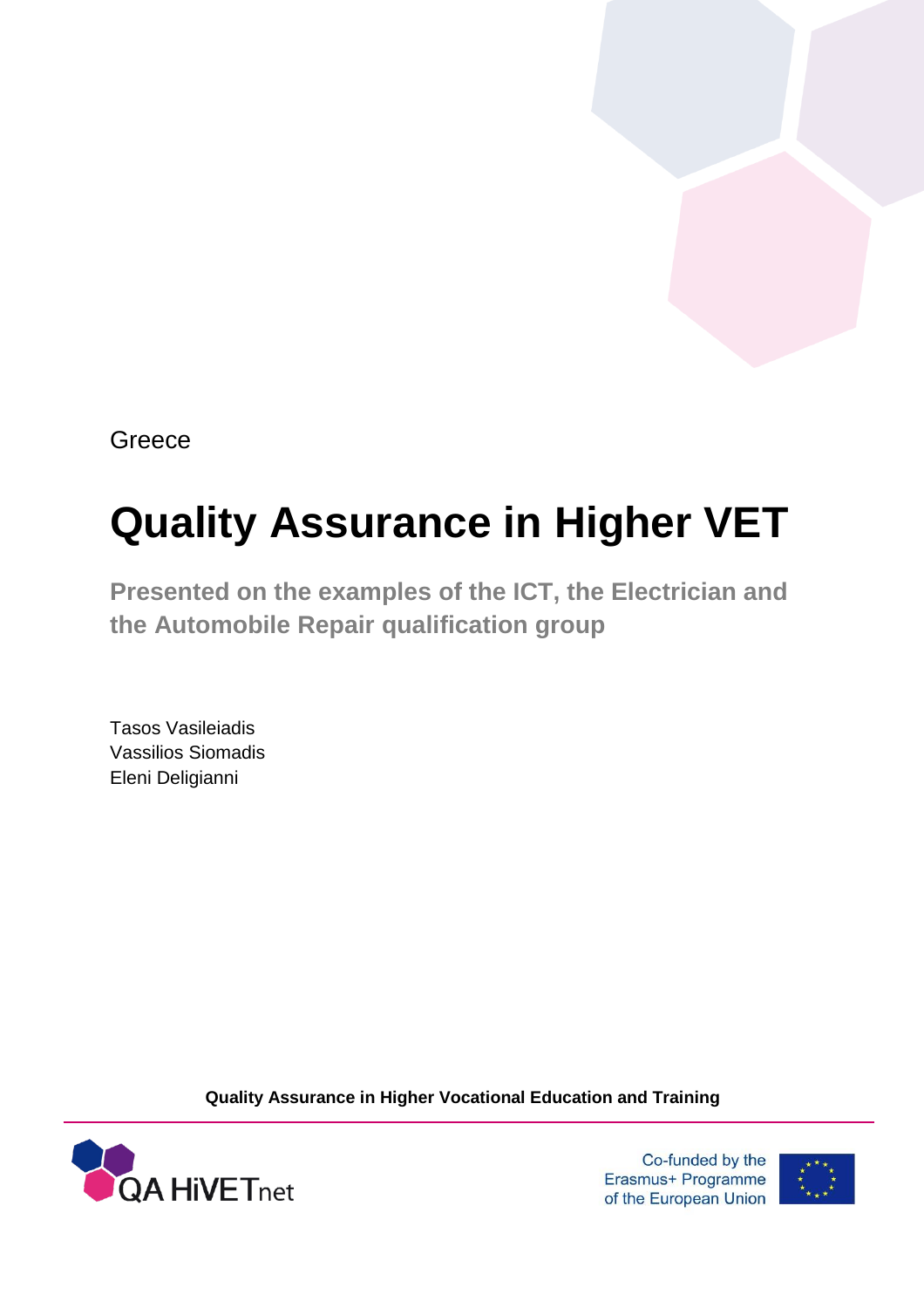**Greece** 

# **Quality Assurance in Higher VET**

**Presented on the examples of the ICT, the Electrician and the Automobile Repair qualification group**

Tasos Vasileiadis Vassilios Siomadis Eleni Deligianni

**Quality Assurance in Higher Vocational Education and Training**



Co-funded by the Erasmus+ Programme of the European Union

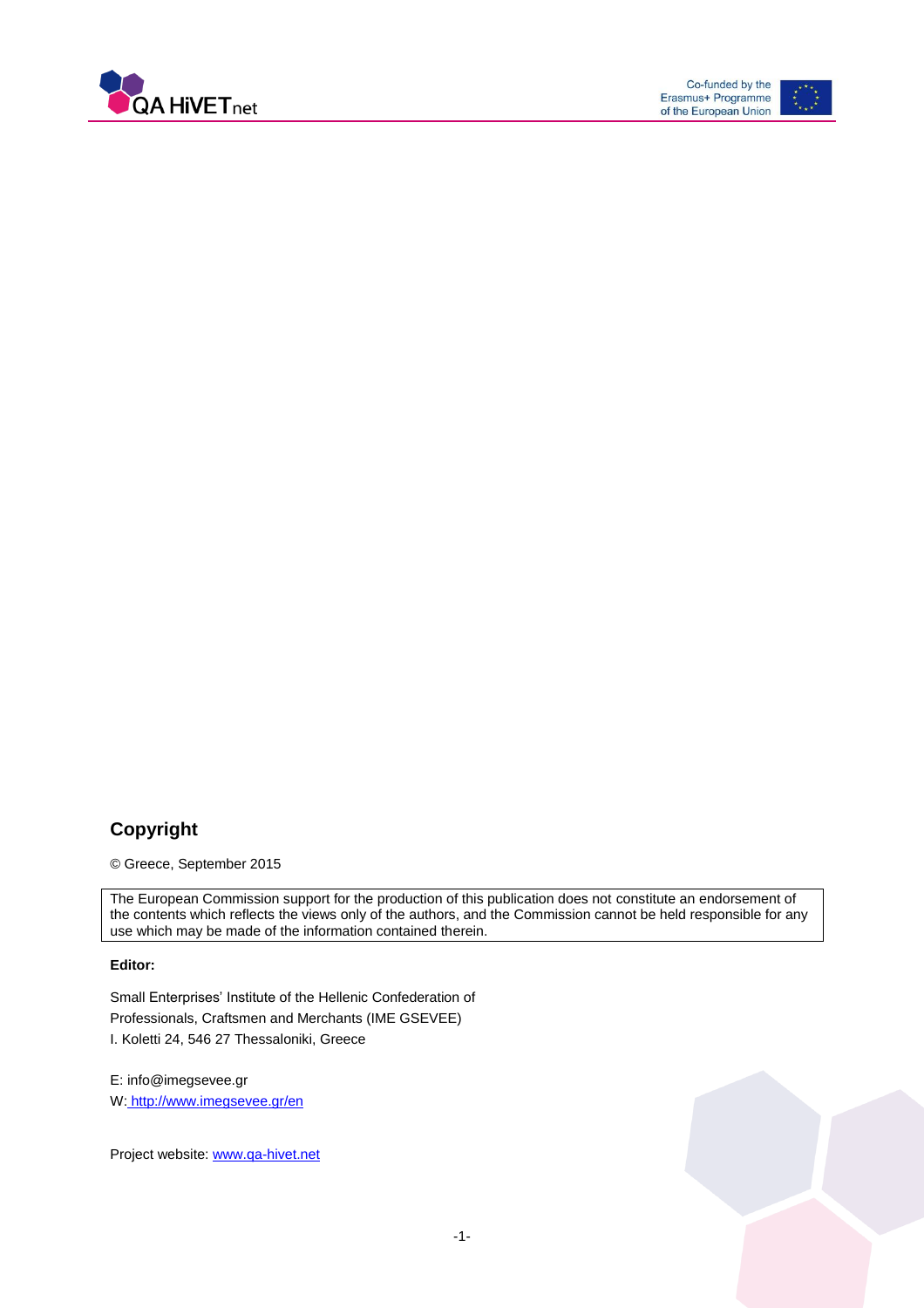



### **Copyright**

© Greece, September 2015

The European Commission support for the production of this publication does not constitute an endorsement of the contents which reflects the views only of the authors, and the Commission cannot be held responsible for any use which may be made of the information contained therein.

#### **Editor:**

Small Enterprises' Institute of the Hellenic Confederation of Professionals, Craftsmen and Merchants (IME GSEVEE) I. Koletti 24, 546 27 Thessaloniki, Greece

E: info@imegsevee.gr W: http://www.imegsevee.gr/en

Project website: [www.qa-hivet.net](http://www.qa-hivet.net/)

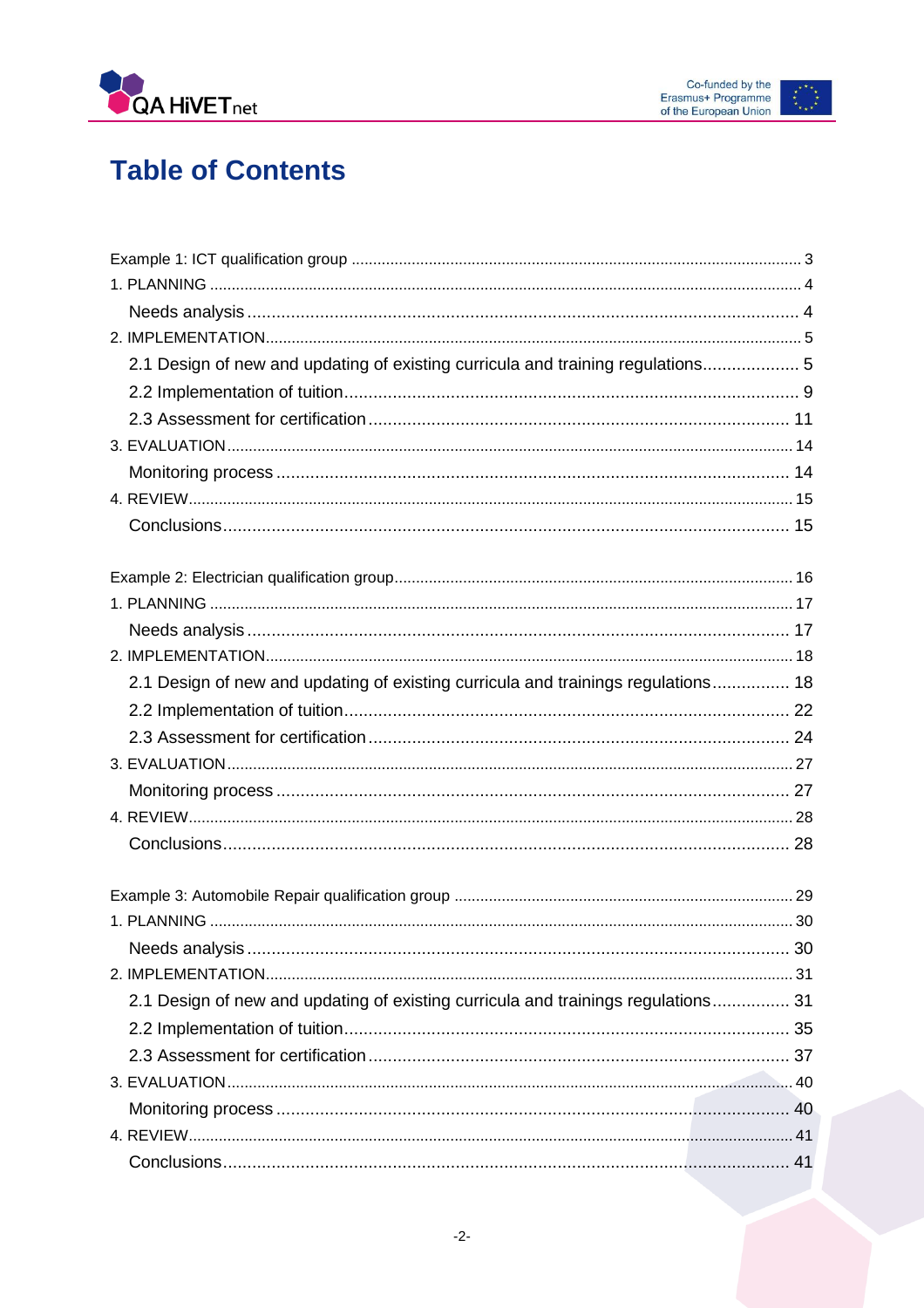

# **Table of Contents**

| 2.1 Design of new and updating of existing curricula and training regulations 5   |  |
|-----------------------------------------------------------------------------------|--|
|                                                                                   |  |
|                                                                                   |  |
|                                                                                   |  |
|                                                                                   |  |
|                                                                                   |  |
|                                                                                   |  |
|                                                                                   |  |
|                                                                                   |  |
|                                                                                   |  |
|                                                                                   |  |
| 2.1 Design of new and updating of existing curricula and trainings regulations 18 |  |
|                                                                                   |  |
|                                                                                   |  |
|                                                                                   |  |
|                                                                                   |  |
|                                                                                   |  |
|                                                                                   |  |
|                                                                                   |  |
|                                                                                   |  |
|                                                                                   |  |
|                                                                                   |  |
| 2.1 Design of new and updating of existing curricula and trainings regulations 31 |  |
|                                                                                   |  |
|                                                                                   |  |
|                                                                                   |  |
|                                                                                   |  |
|                                                                                   |  |
|                                                                                   |  |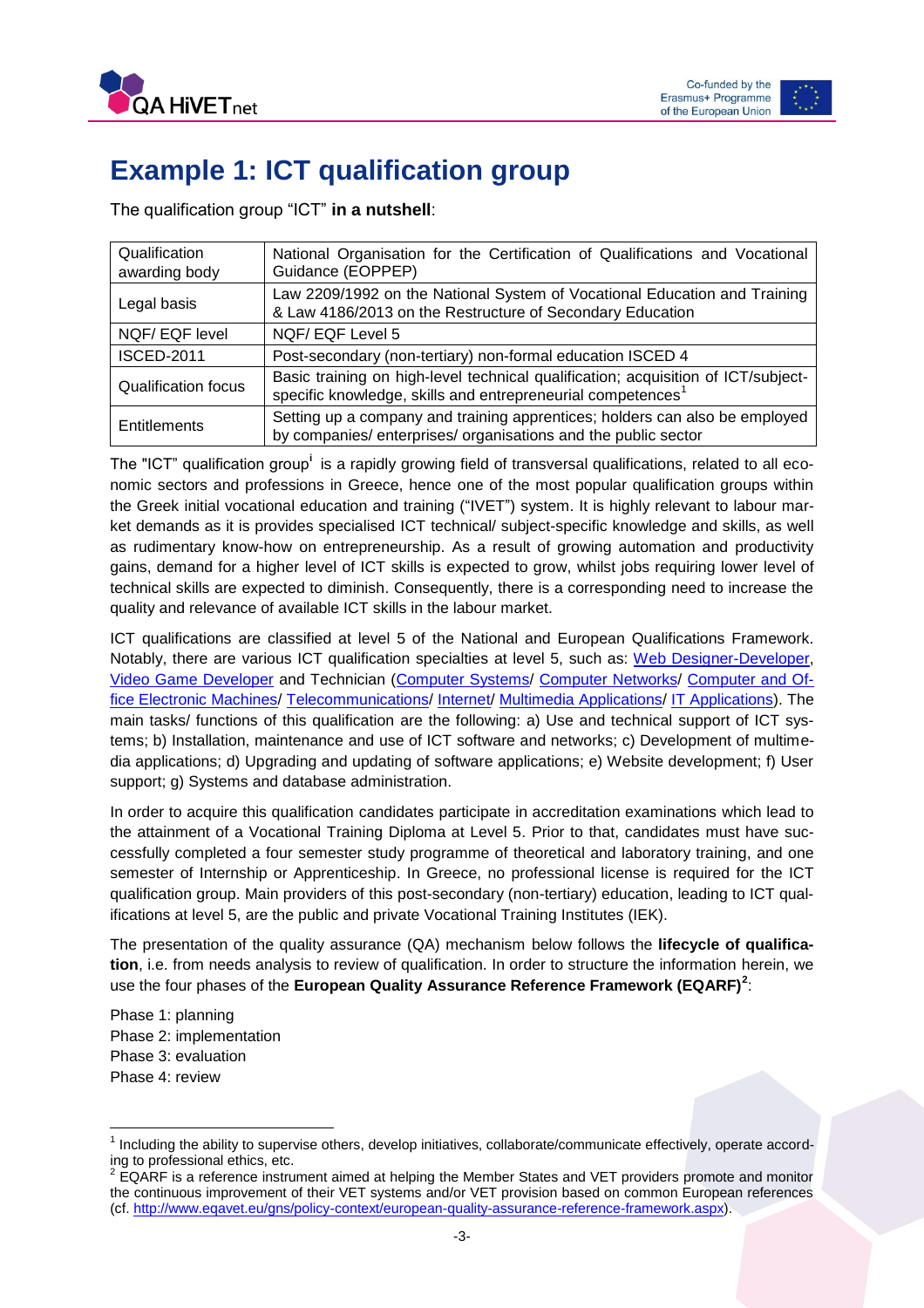



# <span id="page-3-0"></span>**Example 1: ICT qualification group**

The qualification group "ICT" **in a nutshell**:

| Qualification<br>awarding body | National Organisation for the Certification of Qualifications and Vocational<br>Guidance (EOPPEP)                                                            |
|--------------------------------|--------------------------------------------------------------------------------------------------------------------------------------------------------------|
| Legal basis                    | Law 2209/1992 on the National System of Vocational Education and Training<br>& Law 4186/2013 on the Restructure of Secondary Education                       |
| NQF/EQF level                  | NQF/EQF Level 5                                                                                                                                              |
| <b>ISCED-2011</b>              | Post-secondary (non-tertiary) non-formal education ISCED 4                                                                                                   |
| <b>Qualification focus</b>     | Basic training on high-level technical qualification; acquisition of ICT/subject-<br>specific knowledge, skills and entrepreneurial competences <sup>1</sup> |
| <b>Entitlements</b>            | Setting up a company and training apprentices; holders can also be employed<br>by companies/enterprises/organisations and the public sector                  |

The "ICT" qualification group<sup>i</sup>is a rapidly growing field of transversal qualifications, related to all economic sectors and professions in Greece, hence one of the most popular qualification groups within the Greek initial vocational education and training ("IVET") system. It is highly relevant to labour market demands as it is provides specialised ICT technical/ subject-specific knowledge and skills, as well as rudimentary know-how on entrepreneurship. As a result of growing automation and productivity gains, demand for a higher level of ICT skills is expected to grow, whilst jobs requiring lower level of technical skills are expected to diminish. Consequently, there is a corresponding need to increase the quality and relevance of available ICT skills in the labour market.

ICT qualifications are classified at level 5 of the National and European Qualifications Framework. Notably, there are various ICT qualification specialties at level 5, such as: [Web Designer-Developer,](http://europass.eoppep.gr/images/IEKSupplementsEN/texnikos%20sxediasis%20kai%20anaptyksis%20istoselidon%20(web%20designer-developer)-EN.pdf) [Video Game Developer](http://europass.eoppep.gr/images/IEKSupplementsEN/texnikos_programmatismou_paixnidion_kai_psihagogikon_efarmogon_video_games_en.pdf) and Technician [\(Computer Systems/](http://europass.eoppep.gr/images/IEKSupplementsEN/texnikos_systhmaton_ypologiston_en.pdf) [Computer Networks/](http://europass.eoppep.gr/images/IEKSupplementsEN/texnikos_diktion_ypologiston_en.pdf) [Computer and Of](http://europass.eoppep.gr/images/IEKSupplementsEN/texnikos-hy-ilektron-mixanon-grafiou-en.pdf)[fice Electronic Machines/](http://europass.eoppep.gr/images/IEKSupplementsEN/texnikos-hy-ilektron-mixanon-grafiou-en.pdf) [Telecommunications/](http://europass.eoppep.gr/images/IEKSupplementsEN/texnikos-sistimaton-tilepikoinonion-en.pdf) [Internet/](http://europass.eoppep.gr/images/IEKSupplementsEN/tehnikos_technologias_internet_en.pdf) [Multimedia Applications/](http://europass.eoppep.gr/images/IEKSupplementsEN/texnikos%20efarmogon%20pliroforikis%20me%20polimesa%20(multimedia)-EN.pdf) [IT Applications\)](http://europass.eoppep.gr/images/IEKSupplementsEN/texnikos-efarmogon-pliroforikis-en.pdf). The main tasks/ functions of this qualification are the following: a) Use and technical support of ICT systems; b) Installation, maintenance and use of ICT software and networks; c) Development of multimedia applications; d) Upgrading and updating of software applications; e) Website development; f) User support; g) Systems and database administration.

In order to acquire this qualification candidates participate in accreditation examinations which lead to the attainment of a Vocational Training Diploma at Level 5. Prior to that, candidates must have successfully completed a four semester study programme of theoretical and laboratory training, and one semester of Internship or Apprenticeship. In Greece, no professional license is required for the ICT qualification group. Main providers of this post-secondary (non-tertiary) education, leading to ICT qualifications at level 5, are the public and private Vocational Training Institutes (IEK).

The presentation of the quality assurance (QA) mechanism below follows the **lifecycle of qualification**, i.e. from needs analysis to review of qualification. In order to structure the information herein, we use the four phases of the **European Quality Assurance Reference Framework (EQARF)<sup>2</sup>** :

Phase 1: planning Phase 2: implementation Phase 3: evaluation Phase 4: review

 $\overline{a}$ 

<sup>&</sup>lt;sup>1</sup> Including the ability to supervise others, develop initiatives, collaborate/communicate effectively, operate according to professional ethics, etc.<br><sup>2</sup> EQARF is a reference instrument aimed at helping the Member States and VET providers promote and monitor

the continuous improvement of their VET systems and/or VET provision based on common European references (cf. [http://www.eqavet.eu/gns/policy-context/european-quality-assurance-reference-framework.aspx\)](http://www.eqavet.eu/gns/policy-context/european-quality-assurance-reference-framework.aspx).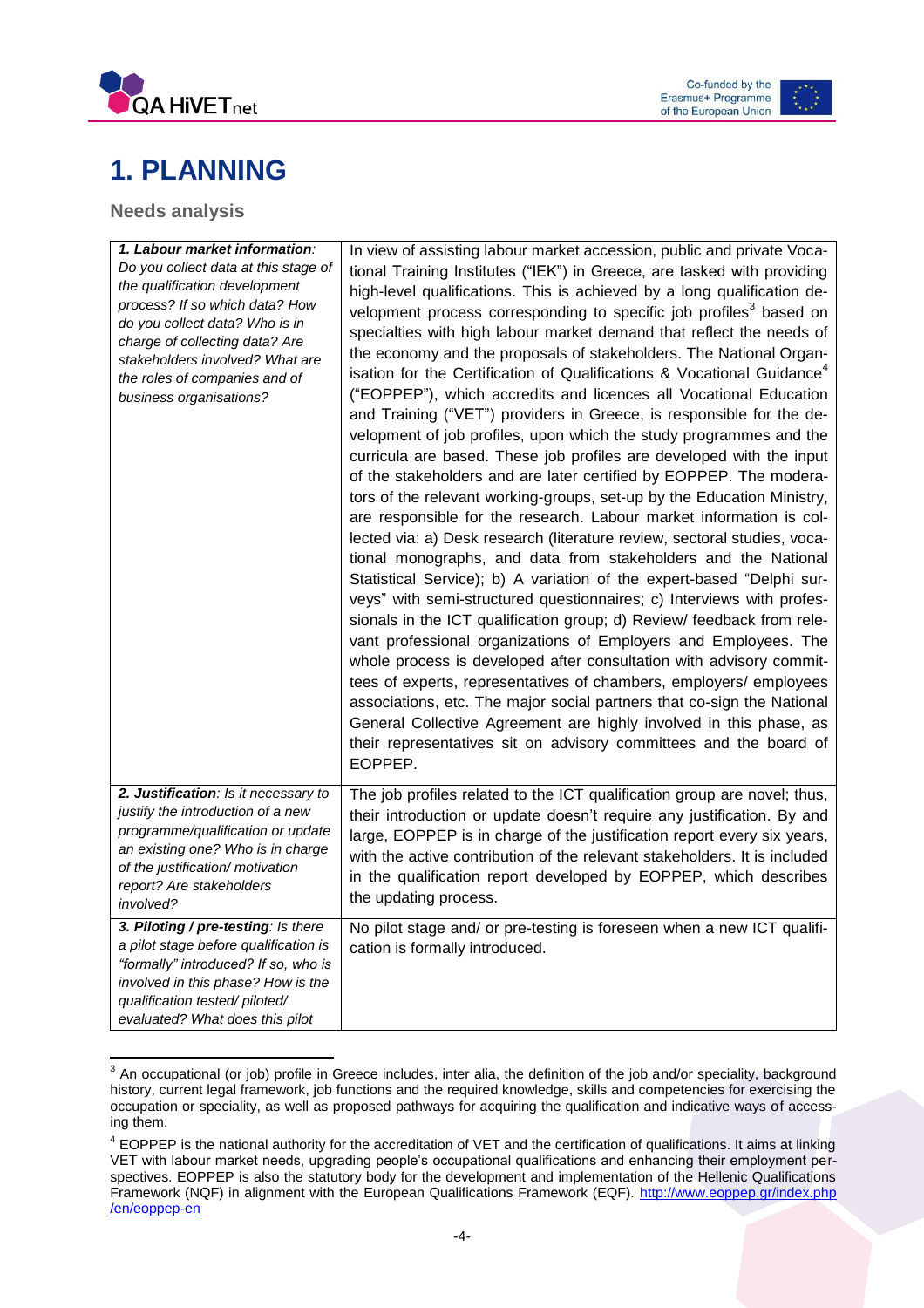



# <span id="page-4-0"></span>**1. PLANNING**

<span id="page-4-1"></span>**Needs analysis**

| 1. Labour market information:                                                                                                                                                                                                                                              | In view of assisting labour market accession, public and private Voca-                                                                                                                                                                                                                                                                                                                                                                                                                                                                                                                                                                                                                                                                                                                                                                                                                                                                                                                                                                                                                                                                                                                                                                                                                                                                                                                                                                                                                                                                                                                                                                                                                                                                                                                                               |
|----------------------------------------------------------------------------------------------------------------------------------------------------------------------------------------------------------------------------------------------------------------------------|----------------------------------------------------------------------------------------------------------------------------------------------------------------------------------------------------------------------------------------------------------------------------------------------------------------------------------------------------------------------------------------------------------------------------------------------------------------------------------------------------------------------------------------------------------------------------------------------------------------------------------------------------------------------------------------------------------------------------------------------------------------------------------------------------------------------------------------------------------------------------------------------------------------------------------------------------------------------------------------------------------------------------------------------------------------------------------------------------------------------------------------------------------------------------------------------------------------------------------------------------------------------------------------------------------------------------------------------------------------------------------------------------------------------------------------------------------------------------------------------------------------------------------------------------------------------------------------------------------------------------------------------------------------------------------------------------------------------------------------------------------------------------------------------------------------------|
| Do you collect data at this stage of<br>the qualification development<br>process? If so which data? How<br>do you collect data? Who is in<br>charge of collecting data? Are<br>stakeholders involved? What are<br>the roles of companies and of<br>business organisations? | tional Training Institutes ("IEK") in Greece, are tasked with providing<br>high-level qualifications. This is achieved by a long qualification de-<br>velopment process corresponding to specific job profiles <sup>3</sup> based on<br>specialties with high labour market demand that reflect the needs of<br>the economy and the proposals of stakeholders. The National Organ-<br>isation for the Certification of Qualifications & Vocational Guidance <sup>4</sup><br>("EOPPEP"), which accredits and licences all Vocational Education<br>and Training ("VET") providers in Greece, is responsible for the de-<br>velopment of job profiles, upon which the study programmes and the<br>curricula are based. These job profiles are developed with the input<br>of the stakeholders and are later certified by EOPPEP. The modera-<br>tors of the relevant working-groups, set-up by the Education Ministry,<br>are responsible for the research. Labour market information is col-<br>lected via: a) Desk research (literature review, sectoral studies, voca-<br>tional monographs, and data from stakeholders and the National<br>Statistical Service); b) A variation of the expert-based "Delphi sur-<br>veys" with semi-structured questionnaires; c) Interviews with profes-<br>sionals in the ICT qualification group; d) Review/ feedback from rele-<br>vant professional organizations of Employers and Employees. The<br>whole process is developed after consultation with advisory commit-<br>tees of experts, representatives of chambers, employers/ employees<br>associations, etc. The major social partners that co-sign the National<br>General Collective Agreement are highly involved in this phase, as<br>their representatives sit on advisory committees and the board of<br>EOPPEP. |
| 2. Justification: Is it necessary to<br>justify the introduction of a new<br>programme/qualification or update<br>an existing one? Who is in charge<br>of the justification/ motivation<br>report? Are stakeholders<br>involved?                                           | The job profiles related to the ICT qualification group are novel; thus,<br>their introduction or update doesn't require any justification. By and<br>large, EOPPEP is in charge of the justification report every six years,<br>with the active contribution of the relevant stakeholders. It is included<br>in the qualification report developed by EOPPEP, which describes<br>the updating process.                                                                                                                                                                                                                                                                                                                                                                                                                                                                                                                                                                                                                                                                                                                                                                                                                                                                                                                                                                                                                                                                                                                                                                                                                                                                                                                                                                                                              |
| 3. Piloting / pre-testing: Is there<br>a pilot stage before qualification is<br>"formally" introduced? If so, who is<br>involved in this phase? How is the<br>qualification tested/piloted/<br>evaluated? What does this pilot                                             | No pilot stage and/ or pre-testing is foreseen when a new ICT qualifi-<br>cation is formally introduced.                                                                                                                                                                                                                                                                                                                                                                                                                                                                                                                                                                                                                                                                                                                                                                                                                                                                                                                                                                                                                                                                                                                                                                                                                                                                                                                                                                                                                                                                                                                                                                                                                                                                                                             |

 3 An occupational (or job) profile in Greece includes, inter alia, the definition of the job and/or speciality, background history, current legal framework, job functions and the required knowledge, skills and competencies for exercising the occupation or speciality, as well as proposed pathways for acquiring the qualification and indicative ways of accessing them.

<sup>&</sup>lt;sup>4</sup> EOPPEP is the national authority for the accreditation of VET and the certification of qualifications. It aims at linking VET with labour market needs, upgrading people's occupational qualifications and enhancing their employment perspectives. EOPPEP is also the statutory body for the development and implementation of the Hellenic Qualifications Framework (NQF) in alignment with the European Qualifications Framework (EQF). [http://www.eoppep.gr/index.php](http://www.eoppep.gr/index.php/en/eoppep-en) [/en/eoppep-en](http://www.eoppep.gr/index.php/en/eoppep-en)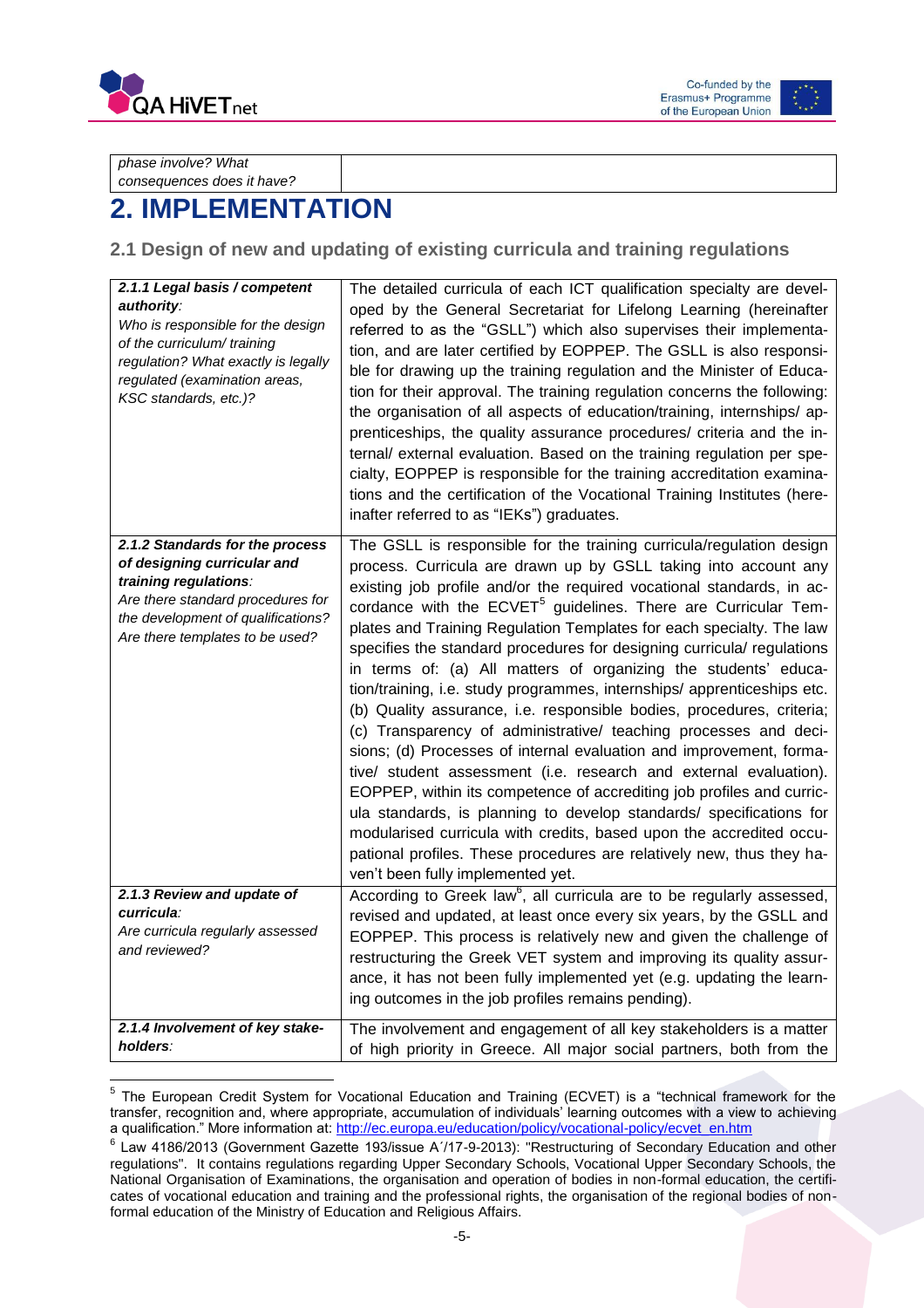



*phase involve? What consequences does it have?*

# <span id="page-5-0"></span>**2. IMPLEMENTATION**

### <span id="page-5-1"></span>**2.1 Design of new and updating of existing curricula and training regulations**

| 2.1.1 Legal basis / competent<br>authority:<br>Who is responsible for the design<br>of the curriculum/ training<br>regulation? What exactly is legally<br>regulated (examination areas,<br>KSC standards, etc.)? | The detailed curricula of each ICT qualification specialty are devel-<br>oped by the General Secretariat for Lifelong Learning (hereinafter<br>referred to as the "GSLL") which also supervises their implementa-<br>tion, and are later certified by EOPPEP. The GSLL is also responsi-<br>ble for drawing up the training regulation and the Minister of Educa-<br>tion for their approval. The training regulation concerns the following:<br>the organisation of all aspects of education/training, internships/ ap-<br>prenticeships, the quality assurance procedures/ criteria and the in-<br>ternal/ external evaluation. Based on the training regulation per spe-<br>cialty, EOPPEP is responsible for the training accreditation examina-<br>tions and the certification of the Vocational Training Institutes (here-<br>inafter referred to as "IEKs") graduates.                                                                                                                                                                                                                                                                                                                                                |
|------------------------------------------------------------------------------------------------------------------------------------------------------------------------------------------------------------------|------------------------------------------------------------------------------------------------------------------------------------------------------------------------------------------------------------------------------------------------------------------------------------------------------------------------------------------------------------------------------------------------------------------------------------------------------------------------------------------------------------------------------------------------------------------------------------------------------------------------------------------------------------------------------------------------------------------------------------------------------------------------------------------------------------------------------------------------------------------------------------------------------------------------------------------------------------------------------------------------------------------------------------------------------------------------------------------------------------------------------------------------------------------------------------------------------------------------------|
| 2.1.2 Standards for the process<br>of designing curricular and<br>training regulations:<br>Are there standard procedures for<br>the development of qualifications?<br>Are there templates to be used?            | The GSLL is responsible for the training curricula/regulation design<br>process. Curricula are drawn up by GSLL taking into account any<br>existing job profile and/or the required vocational standards, in ac-<br>cordance with the ECVET <sup>5</sup> guidelines. There are Curricular Tem-<br>plates and Training Regulation Templates for each specialty. The law<br>specifies the standard procedures for designing curricula/ regulations<br>in terms of: (a) All matters of organizing the students' educa-<br>tion/training, i.e. study programmes, internships/ apprenticeships etc.<br>(b) Quality assurance, i.e. responsible bodies, procedures, criteria;<br>(c) Transparency of administrative/ teaching processes and deci-<br>sions; (d) Processes of internal evaluation and improvement, forma-<br>tive/ student assessment (i.e. research and external evaluation).<br>EOPPEP, within its competence of accrediting job profiles and curric-<br>ula standards, is planning to develop standards/ specifications for<br>modularised curricula with credits, based upon the accredited occu-<br>pational profiles. These procedures are relatively new, thus they ha-<br>ven't been fully implemented yet. |
| 2.1.3 Review and update of                                                                                                                                                                                       | According to Greek law <sup>6</sup> , all curricula are to be regularly assessed,                                                                                                                                                                                                                                                                                                                                                                                                                                                                                                                                                                                                                                                                                                                                                                                                                                                                                                                                                                                                                                                                                                                                            |
| curricula:<br>Are curricula regularly assessed                                                                                                                                                                   | revised and updated, at least once every six years, by the GSLL and                                                                                                                                                                                                                                                                                                                                                                                                                                                                                                                                                                                                                                                                                                                                                                                                                                                                                                                                                                                                                                                                                                                                                          |
| and reviewed?                                                                                                                                                                                                    | EOPPEP. This process is relatively new and given the challenge of                                                                                                                                                                                                                                                                                                                                                                                                                                                                                                                                                                                                                                                                                                                                                                                                                                                                                                                                                                                                                                                                                                                                                            |
|                                                                                                                                                                                                                  | restructuring the Greek VET system and improving its quality assur-<br>ance, it has not been fully implemented yet (e.g. updating the learn-                                                                                                                                                                                                                                                                                                                                                                                                                                                                                                                                                                                                                                                                                                                                                                                                                                                                                                                                                                                                                                                                                 |
|                                                                                                                                                                                                                  | ing outcomes in the job profiles remains pending).                                                                                                                                                                                                                                                                                                                                                                                                                                                                                                                                                                                                                                                                                                                                                                                                                                                                                                                                                                                                                                                                                                                                                                           |
| 2.1.4 Involvement of key stake-                                                                                                                                                                                  | The involvement and engagement of all key stakeholders is a matter                                                                                                                                                                                                                                                                                                                                                                                                                                                                                                                                                                                                                                                                                                                                                                                                                                                                                                                                                                                                                                                                                                                                                           |
| holders:                                                                                                                                                                                                         | of high priority in Greece. All major social partners, both from the                                                                                                                                                                                                                                                                                                                                                                                                                                                                                                                                                                                                                                                                                                                                                                                                                                                                                                                                                                                                                                                                                                                                                         |

 5 The European Credit System for Vocational Education and Training (ECVET) is a "technical framework for the transfer, recognition and, where appropriate, accumulation of individuals' learning outcomes with a view to achieving a qualification." More information at[: http://ec.europa.eu/education/policy/vocational-policy/ecvet\\_en.htm](http://ec.europa.eu/education/policy/vocational-policy/ecvet_en.htm)

<sup>6</sup> Law 4186/2013 (Government Gazette 193/issue Α΄/17-9-2013): "Restructuring of Secondary Education and other regulations". It contains regulations regarding Upper Secondary Schools, Vocational Upper Secondary Schools, the National Organisation of Examinations, the organisation and operation of bodies in non-formal education, the certificates of vocational education and training and the professional rights, the organisation of the regional bodies of nonformal education of the Ministry of Education and Religious Affairs.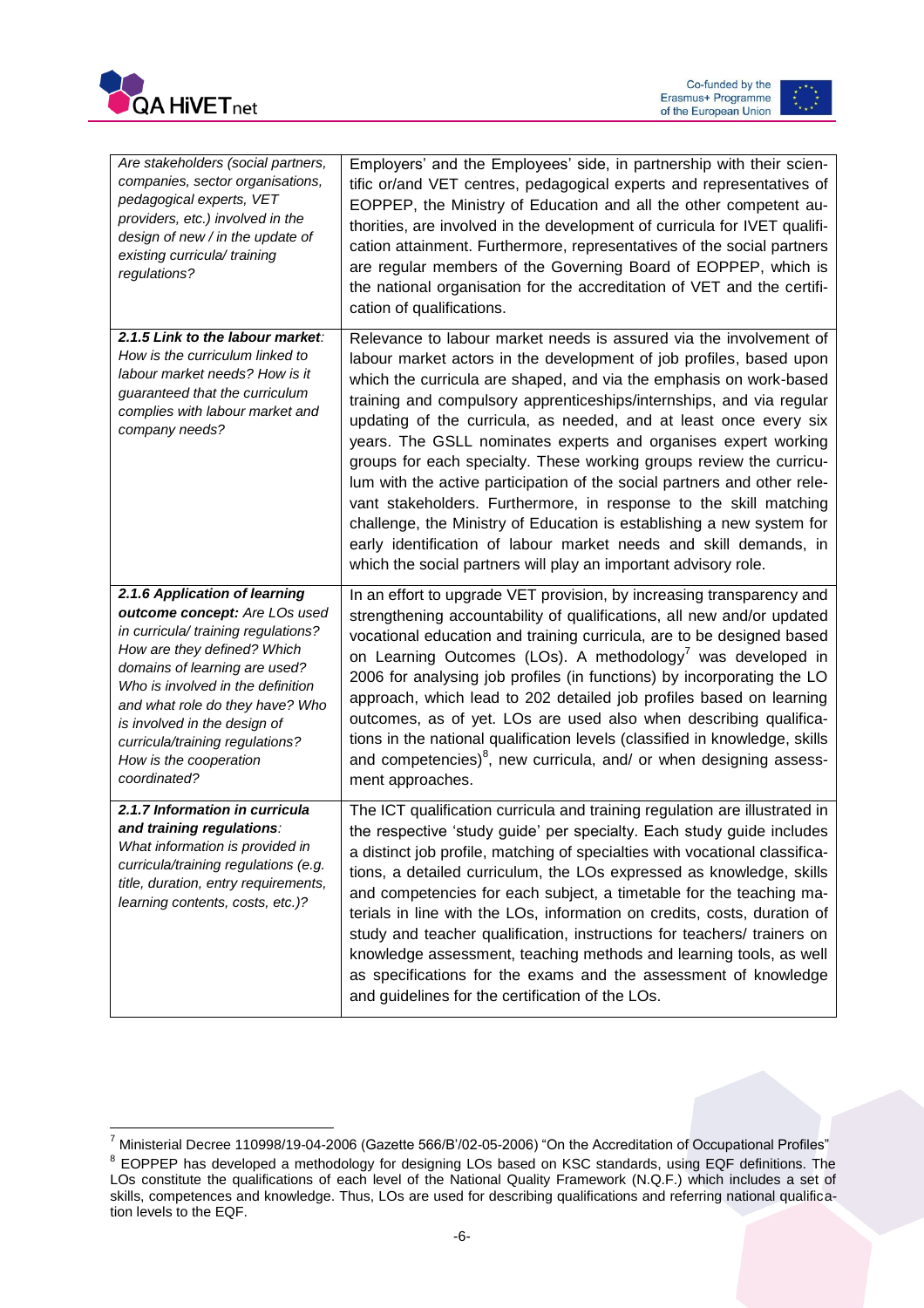



| Are stakeholders (social partners,<br>companies, sector organisations,<br>pedagogical experts, VET<br>providers, etc.) involved in the<br>design of new / in the update of<br>existing curricula/ training<br>regulations?                                                                                                                                 | Employers' and the Employees' side, in partnership with their scien-<br>tific or/and VET centres, pedagogical experts and representatives of<br>EOPPEP, the Ministry of Education and all the other competent au-<br>thorities, are involved in the development of curricula for IVET qualifi-<br>cation attainment. Furthermore, representatives of the social partners<br>are regular members of the Governing Board of EOPPEP, which is<br>the national organisation for the accreditation of VET and the certifi-<br>cation of qualifications.                                                                                                                                                                                                                                                                                                                      |
|------------------------------------------------------------------------------------------------------------------------------------------------------------------------------------------------------------------------------------------------------------------------------------------------------------------------------------------------------------|-------------------------------------------------------------------------------------------------------------------------------------------------------------------------------------------------------------------------------------------------------------------------------------------------------------------------------------------------------------------------------------------------------------------------------------------------------------------------------------------------------------------------------------------------------------------------------------------------------------------------------------------------------------------------------------------------------------------------------------------------------------------------------------------------------------------------------------------------------------------------|
| 2.1.5 Link to the labour market:<br>How is the curriculum linked to<br>labour market needs? How is it<br>guaranteed that the curriculum<br>complies with labour market and<br>company needs?                                                                                                                                                               | Relevance to labour market needs is assured via the involvement of<br>labour market actors in the development of job profiles, based upon<br>which the curricula are shaped, and via the emphasis on work-based<br>training and compulsory apprenticeships/internships, and via regular<br>updating of the curricula, as needed, and at least once every six<br>years. The GSLL nominates experts and organises expert working<br>groups for each specialty. These working groups review the curricu-<br>lum with the active participation of the social partners and other rele-<br>vant stakeholders. Furthermore, in response to the skill matching<br>challenge, the Ministry of Education is establishing a new system for<br>early identification of labour market needs and skill demands, in<br>which the social partners will play an important advisory role. |
| 2.1.6 Application of learning<br>outcome concept: Are LOs used<br>in curricula/ training regulations?<br>How are they defined? Which<br>domains of learning are used?<br>Who is involved in the definition<br>and what role do they have? Who<br>is involved in the design of<br>curricula/training regulations?<br>How is the cooperation<br>coordinated? | In an effort to upgrade VET provision, by increasing transparency and<br>strengthening accountability of qualifications, all new and/or updated<br>vocational education and training curricula, are to be designed based<br>on Learning Outcomes (LOs). A methodology <sup>7</sup> was developed in<br>2006 for analysing job profiles (in functions) by incorporating the LO<br>approach, which lead to 202 detailed job profiles based on learning<br>outcomes, as of yet. LOs are used also when describing qualifica-<br>tions in the national qualification levels (classified in knowledge, skills<br>and competencies) <sup>8</sup> , new curricula, and/ or when designing assess-<br>ment approaches.                                                                                                                                                          |
| 2.1.7 Information in curricula<br>and training regulations:<br>What information is provided in<br>curricula/training regulations (e.g.<br>title, duration, entry requirements,<br>learning contents, costs, etc.)?                                                                                                                                         | The ICT qualification curricula and training regulation are illustrated in<br>the respective 'study guide' per specialty. Each study guide includes<br>a distinct job profile, matching of specialties with vocational classifica-<br>tions, a detailed curriculum, the LOs expressed as knowledge, skills<br>and competencies for each subject, a timetable for the teaching ma-<br>terials in line with the LOs, information on credits, costs, duration of<br>study and teacher qualification, instructions for teachers/ trainers on<br>knowledge assessment, teaching methods and learning tools, as well<br>as specifications for the exams and the assessment of knowledge<br>and guidelines for the certification of the LOs.                                                                                                                                   |

 $\overline{\phantom{a}}$  $^7$  Ministerial Decree 110998/19-04-2006 (Gazette 566/B'/02-05-2006) "On the Accreditation of Occupational Profiles"

 $8$  EOPPEP has developed a methodology for designing LOs based on KSC standards, using EQF definitions. The LOs constitute the qualifications of each level of the National Quality Framework (N.Q.F.) which includes a set of skills, competences and knowledge. Thus, LOs are used for describing qualifications and referring national qualification levels to the EQF.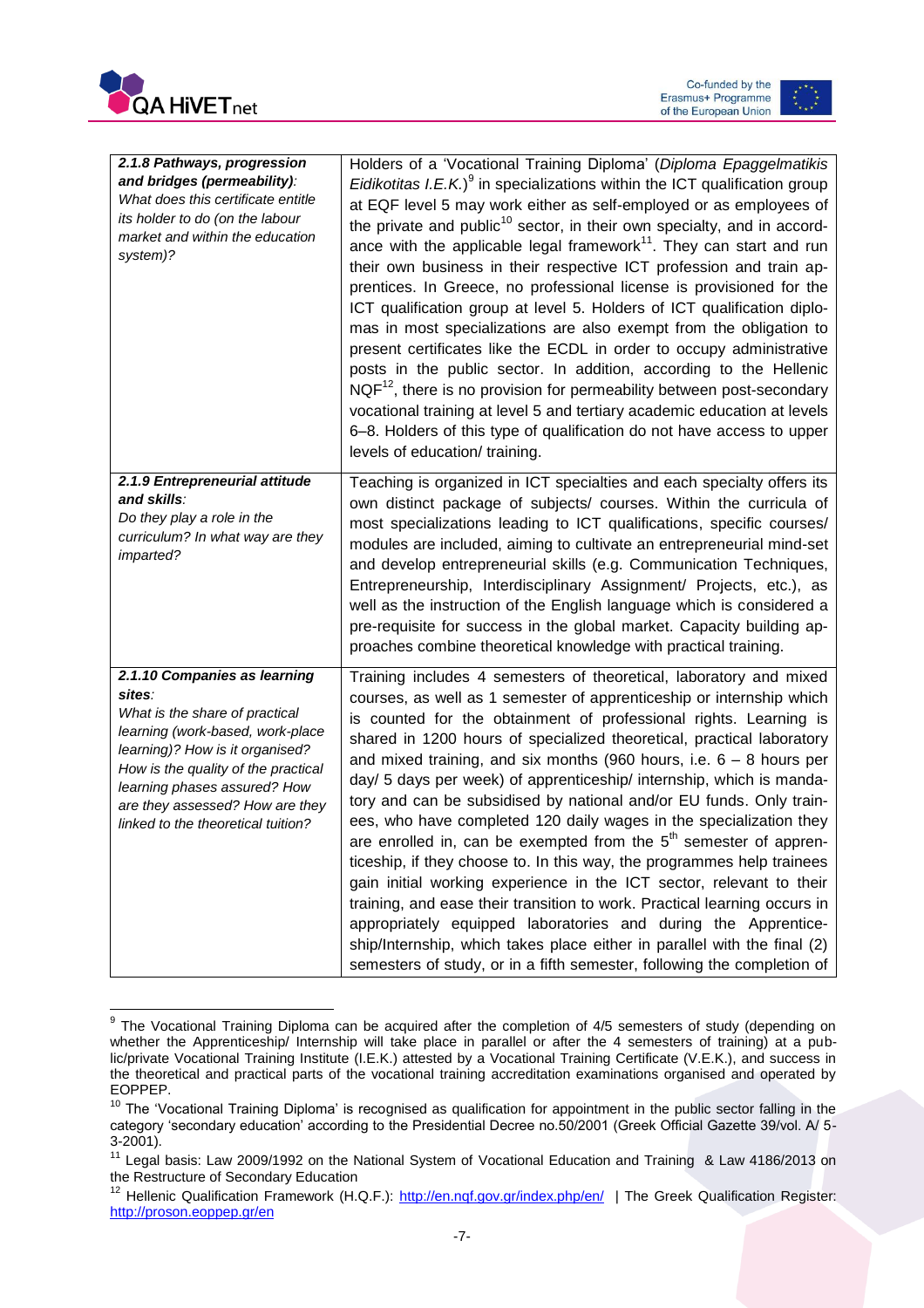



| 2.1.8 Pathways, progression<br>and bridges (permeability):<br>What does this certificate entitle<br>its holder to do (on the labour<br>market and within the education<br>system)?                                                                                                              | Holders of a 'Vocational Training Diploma' (Diploma Epaggelmatikis<br>Eidikotitas $I.E.K.9$ in specializations within the ICT qualification group<br>at EQF level 5 may work either as self-employed or as employees of<br>the private and public <sup>10</sup> sector, in their own specialty, and in accord-<br>ance with the applicable legal framework <sup>11</sup> . They can start and run<br>their own business in their respective ICT profession and train ap-<br>prentices. In Greece, no professional license is provisioned for the<br>ICT qualification group at level 5. Holders of ICT qualification diplo-<br>mas in most specializations are also exempt from the obligation to<br>present certificates like the ECDL in order to occupy administrative<br>posts in the public sector. In addition, according to the Hellenic<br>$NQF12$ , there is no provision for permeability between post-secondary<br>vocational training at level 5 and tertiary academic education at levels<br>6-8. Holders of this type of qualification do not have access to upper<br>levels of education/ training.              |
|-------------------------------------------------------------------------------------------------------------------------------------------------------------------------------------------------------------------------------------------------------------------------------------------------|---------------------------------------------------------------------------------------------------------------------------------------------------------------------------------------------------------------------------------------------------------------------------------------------------------------------------------------------------------------------------------------------------------------------------------------------------------------------------------------------------------------------------------------------------------------------------------------------------------------------------------------------------------------------------------------------------------------------------------------------------------------------------------------------------------------------------------------------------------------------------------------------------------------------------------------------------------------------------------------------------------------------------------------------------------------------------------------------------------------------------------|
| 2.1.9 Entrepreneurial attitude<br>and skills:<br>Do they play a role in the<br>curriculum? In what way are they<br>imparted?                                                                                                                                                                    | Teaching is organized in ICT specialties and each specialty offers its<br>own distinct package of subjects/ courses. Within the curricula of<br>most specializations leading to ICT qualifications, specific courses/<br>modules are included, aiming to cultivate an entrepreneurial mind-set<br>and develop entrepreneurial skills (e.g. Communication Techniques,<br>Entrepreneurship, Interdisciplinary Assignment/ Projects, etc.), as<br>well as the instruction of the English language which is considered a<br>pre-requisite for success in the global market. Capacity building ap-<br>proaches combine theoretical knowledge with practical training.                                                                                                                                                                                                                                                                                                                                                                                                                                                                |
| 2.1.10 Companies as learning<br>sites:<br>What is the share of practical<br>learning (work-based, work-place<br>learning)? How is it organised?<br>How is the quality of the practical<br>learning phases assured? How<br>are they assessed? How are they<br>linked to the theoretical tuition? | Training includes 4 semesters of theoretical, laboratory and mixed<br>courses, as well as 1 semester of apprenticeship or internship which<br>is counted for the obtainment of professional rights. Learning is<br>shared in 1200 hours of specialized theoretical, practical laboratory<br>and mixed training, and six months (960 hours, i.e. $6 - 8$ hours per<br>day/ 5 days per week) of apprenticeship/ internship, which is manda-<br>tory and can be subsidised by national and/or EU funds. Only train-<br>ees, who have completed 120 daily wages in the specialization they<br>are enrolled in, can be exempted from the 5 <sup>th</sup> semester of appren-<br>ticeship, if they choose to. In this way, the programmes help trainees<br>gain initial working experience in the ICT sector, relevant to their<br>training, and ease their transition to work. Practical learning occurs in<br>appropriately equipped laboratories and during the Apprentice-<br>ship/Internship, which takes place either in parallel with the final (2)<br>semesters of study, or in a fifth semester, following the completion of |

**EXECTS THE VOCATION CONCORDED THE VILLE-**<br>The Vocational Training Diploma can be acquired after the completion of 4/5 semesters of study (depending on whether the Apprenticeship/ Internship will take place in parallel or after the 4 semesters of training) at a public/private Vocational Training Institute (I.E.K.) attested by a Vocational Training Certificate (V.E.K.), and success in the theoretical and practical parts of the vocational training accreditation examinations organised and operated by EOPPEP.

<sup>&</sup>lt;sup>10</sup> The 'Vocational Training Diploma' is recognised as qualification for appointment in the public sector falling in the category 'secondary education' according to the Presidential Decree no.50/2001 (Greek Official Gazette 39/vol. A/ 5- 3-2001).

<sup>&</sup>lt;sup>11</sup> Legal basis: Law 2009/1992 on the National System of Vocational Education and Training & Law 4186/2013 on the Restructure of Secondary Education

<sup>&</sup>lt;sup>12</sup> Hellenic Qualification Framework (H.Q.F.):<http://en.nqf.gov.gr/index.php/en/>| The Greek Qualification Register: <http://proson.eoppep.gr/en>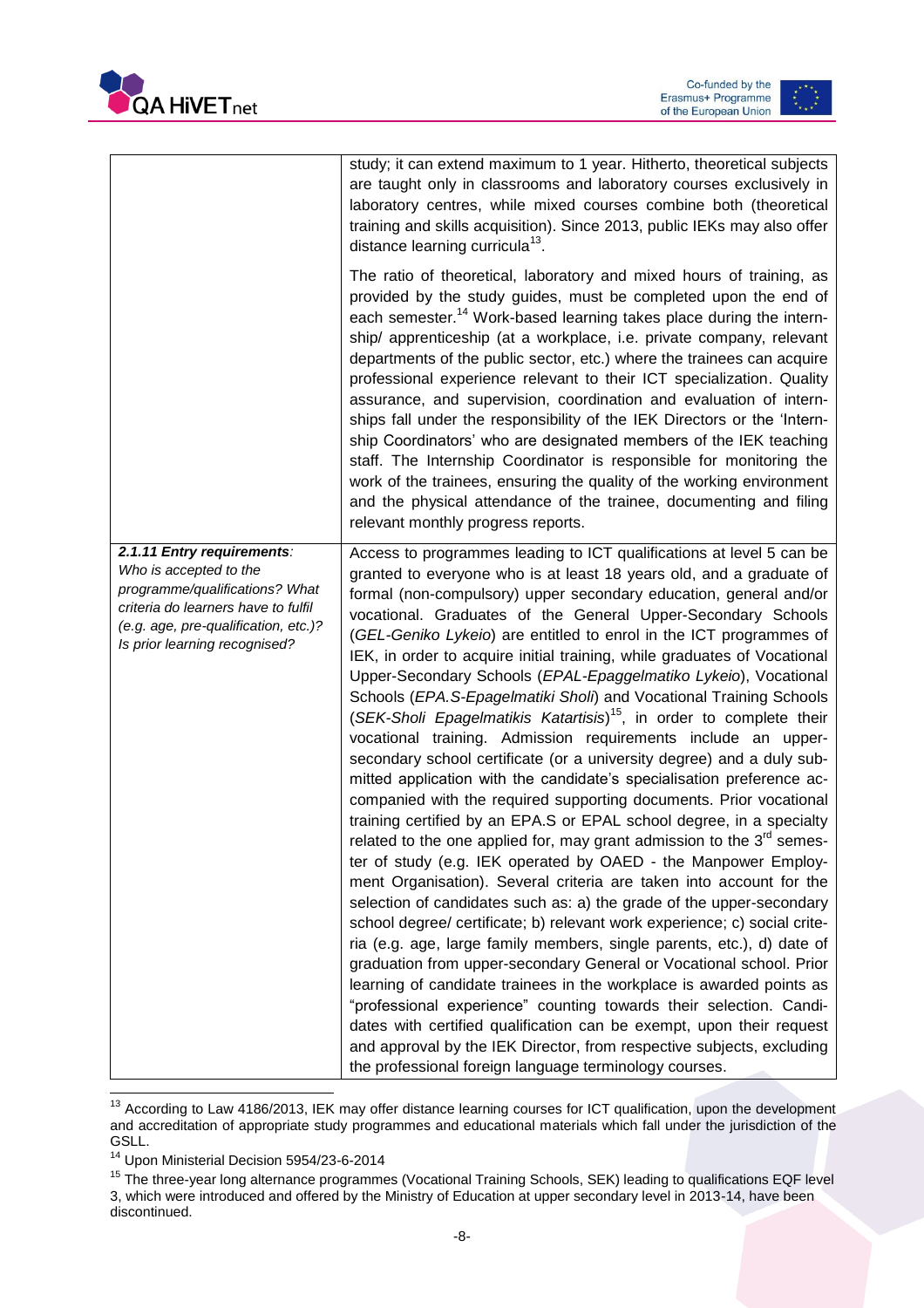



|                                                                                                                                                                                                        | study; it can extend maximum to 1 year. Hitherto, theoretical subjects<br>are taught only in classrooms and laboratory courses exclusively in<br>laboratory centres, while mixed courses combine both (theoretical<br>training and skills acquisition). Since 2013, public IEKs may also offer<br>distance learning curricula <sup>13</sup> .                                                                                                                                                                                                                                                                                                                                                                                                                                                                                                                                                                                                                                                                                                                                                                                                                                                                                                                                                                                                                                                                                                                                                                                                                                                                                                                                                                                                                                                                                                                                                                      |
|--------------------------------------------------------------------------------------------------------------------------------------------------------------------------------------------------------|--------------------------------------------------------------------------------------------------------------------------------------------------------------------------------------------------------------------------------------------------------------------------------------------------------------------------------------------------------------------------------------------------------------------------------------------------------------------------------------------------------------------------------------------------------------------------------------------------------------------------------------------------------------------------------------------------------------------------------------------------------------------------------------------------------------------------------------------------------------------------------------------------------------------------------------------------------------------------------------------------------------------------------------------------------------------------------------------------------------------------------------------------------------------------------------------------------------------------------------------------------------------------------------------------------------------------------------------------------------------------------------------------------------------------------------------------------------------------------------------------------------------------------------------------------------------------------------------------------------------------------------------------------------------------------------------------------------------------------------------------------------------------------------------------------------------------------------------------------------------------------------------------------------------|
|                                                                                                                                                                                                        | The ratio of theoretical, laboratory and mixed hours of training, as<br>provided by the study guides, must be completed upon the end of<br>each semester. <sup>14</sup> Work-based learning takes place during the intern-<br>ship/ apprenticeship (at a workplace, i.e. private company, relevant<br>departments of the public sector, etc.) where the trainees can acquire<br>professional experience relevant to their ICT specialization. Quality<br>assurance, and supervision, coordination and evaluation of intern-<br>ships fall under the responsibility of the IEK Directors or the 'Intern-<br>ship Coordinators' who are designated members of the IEK teaching<br>staff. The Internship Coordinator is responsible for monitoring the<br>work of the trainees, ensuring the quality of the working environment<br>and the physical attendance of the trainee, documenting and filing<br>relevant monthly progress reports.                                                                                                                                                                                                                                                                                                                                                                                                                                                                                                                                                                                                                                                                                                                                                                                                                                                                                                                                                                           |
| 2.1.11 Entry requirements:<br>Who is accepted to the<br>programme/qualifications? What<br>criteria do learners have to fulfil<br>(e.g. age, pre-qualification, etc.)?<br>Is prior learning recognised? | Access to programmes leading to ICT qualifications at level 5 can be<br>granted to everyone who is at least 18 years old, and a graduate of<br>formal (non-compulsory) upper secondary education, general and/or<br>vocational. Graduates of the General Upper-Secondary Schools<br>(GEL-Geniko Lykeio) are entitled to enrol in the ICT programmes of<br>IEK, in order to acquire initial training, while graduates of Vocational<br>Upper-Secondary Schools (EPAL-Epaggelmatiko Lykeio), Vocational<br>Schools (EPA.S-Epagelmatiki Sholi) and Vocational Training Schools<br>(SEK-Sholi Epagelmatikis Katartisis) <sup>15</sup> , in order to complete their<br>vocational training. Admission requirements include an upper-<br>secondary school certificate (or a university degree) and a duly sub-<br>mitted application with the candidate's specialisation preference ac-<br>companied with the required supporting documents. Prior vocational<br>training certified by an EPA.S or EPAL school degree, in a specialty<br>related to the one applied for, may grant admission to the $3rd$ semes-<br>ter of study (e.g. IEK operated by OAED - the Manpower Employ-<br>ment Organisation). Several criteria are taken into account for the<br>selection of candidates such as: a) the grade of the upper-secondary<br>school degree/ certificate; b) relevant work experience; c) social crite-<br>ria (e.g. age, large family members, single parents, etc.), d) date of<br>graduation from upper-secondary General or Vocational school. Prior<br>learning of candidate trainees in the workplace is awarded points as<br>"professional experience" counting towards their selection. Candi-<br>dates with certified qualification can be exempt, upon their request<br>and approval by the IEK Director, from respective subjects, excluding<br>the professional foreign language terminology courses. |

 $\overline{a}$ <sup>13</sup> According to Law 4186/2013, IEK may offer distance learning courses for ICT qualification, upon the development and accreditation of appropriate study programmes and educational materials which fall under the jurisdiction of the GSLL.

<sup>14</sup> Upon Ministerial Decision 5954/23-6-2014

<sup>&</sup>lt;sup>15</sup> The three-year long alternance programmes (Vocational Training Schools, SEK) leading to qualifications EQF level 3, which were introduced and offered by the Ministry of Education at upper secondary level in 2013-14, have been discontinued.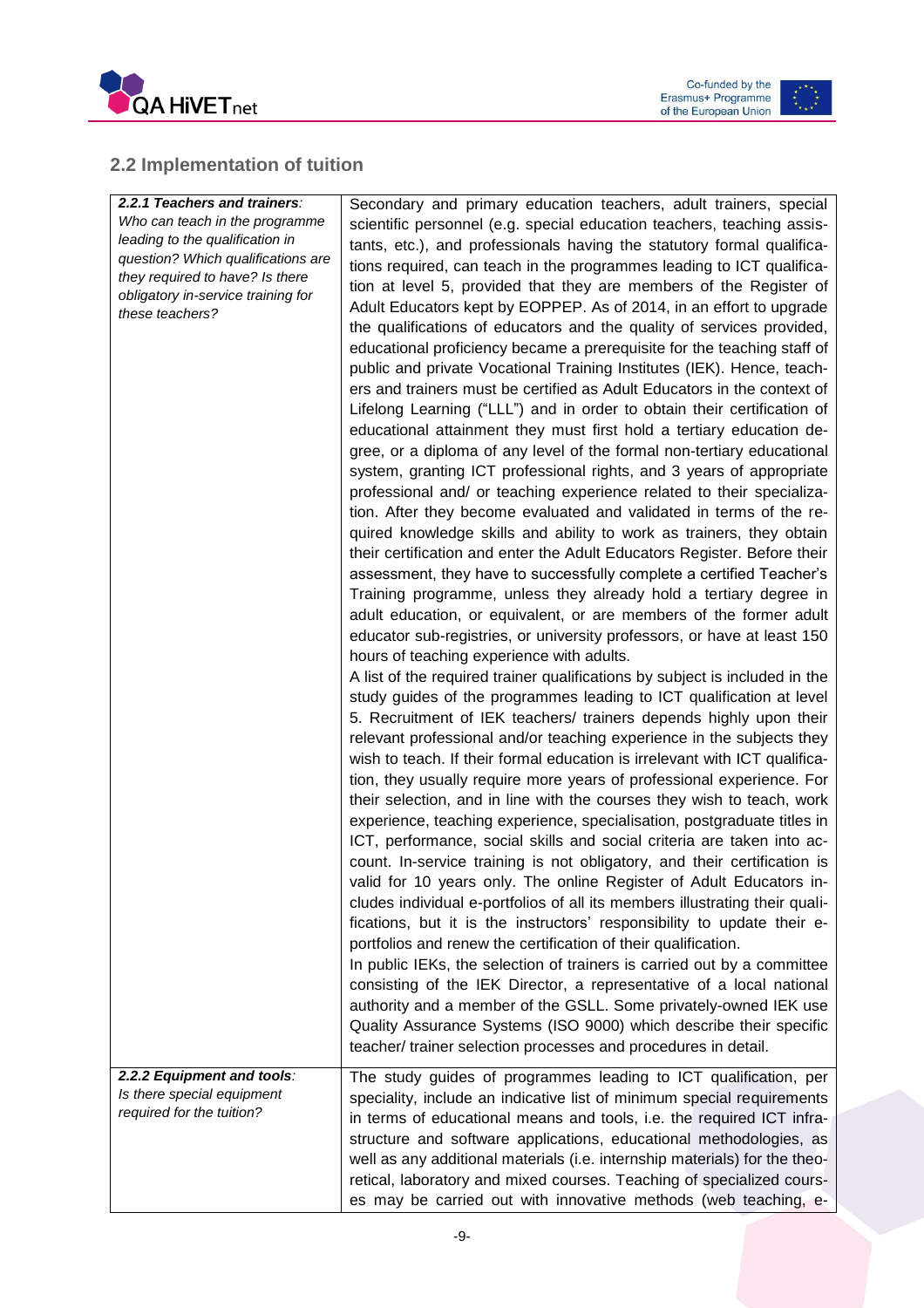



### <span id="page-9-0"></span>**2.2 Implementation of tuition**

| 2.2.1 Teachers and trainers:<br>Who can teach in the programme<br>leading to the qualification in<br>question? Which qualifications are<br>they required to have? Is there<br>obligatory in-service training for<br>these teachers? | Secondary and primary education teachers, adult trainers, special<br>scientific personnel (e.g. special education teachers, teaching assis-<br>tants, etc.), and professionals having the statutory formal qualifica-<br>tions required, can teach in the programmes leading to ICT qualifica-<br>tion at level 5, provided that they are members of the Register of<br>Adult Educators kept by EOPPEP. As of 2014, in an effort to upgrade<br>the qualifications of educators and the quality of services provided,<br>educational proficiency became a prerequisite for the teaching staff of<br>public and private Vocational Training Institutes (IEK). Hence, teach-<br>ers and trainers must be certified as Adult Educators in the context of<br>Lifelong Learning ("LLL") and in order to obtain their certification of<br>educational attainment they must first hold a tertiary education de-<br>gree, or a diploma of any level of the formal non-tertiary educational<br>system, granting ICT professional rights, and 3 years of appropriate<br>professional and/ or teaching experience related to their specializa-<br>tion. After they become evaluated and validated in terms of the re-<br>quired knowledge skills and ability to work as trainers, they obtain<br>their certification and enter the Adult Educators Register. Before their<br>assessment, they have to successfully complete a certified Teacher's<br>Training programme, unless they already hold a tertiary degree in<br>adult education, or equivalent, or are members of the former adult<br>educator sub-registries, or university professors, or have at least 150<br>hours of teaching experience with adults.<br>A list of the required trainer qualifications by subject is included in the<br>study guides of the programmes leading to ICT qualification at level<br>5. Recruitment of IEK teachers/ trainers depends highly upon their<br>relevant professional and/or teaching experience in the subjects they<br>wish to teach. If their formal education is irrelevant with ICT qualifica-<br>tion, they usually require more years of professional experience. For<br>their selection, and in line with the courses they wish to teach, work<br>experience, teaching experience, specialisation, postgraduate titles in<br>ICT, performance, social skills and social criteria are taken into ac-<br>count. In-service training is not obligatory, and their certification is<br>valid for 10 years only. The online Register of Adult Educators in-<br>cludes individual e-portfolios of all its members illustrating their quali-<br>fications, but it is the instructors' responsibility to update their e-<br>portfolios and renew the certification of their qualification.<br>In public IEKs, the selection of trainers is carried out by a committee<br>consisting of the IEK Director, a representative of a local national<br>authority and a member of the GSLL. Some privately-owned IEK use<br>Quality Assurance Systems (ISO 9000) which describe their specific |
|-------------------------------------------------------------------------------------------------------------------------------------------------------------------------------------------------------------------------------------|----------------------------------------------------------------------------------------------------------------------------------------------------------------------------------------------------------------------------------------------------------------------------------------------------------------------------------------------------------------------------------------------------------------------------------------------------------------------------------------------------------------------------------------------------------------------------------------------------------------------------------------------------------------------------------------------------------------------------------------------------------------------------------------------------------------------------------------------------------------------------------------------------------------------------------------------------------------------------------------------------------------------------------------------------------------------------------------------------------------------------------------------------------------------------------------------------------------------------------------------------------------------------------------------------------------------------------------------------------------------------------------------------------------------------------------------------------------------------------------------------------------------------------------------------------------------------------------------------------------------------------------------------------------------------------------------------------------------------------------------------------------------------------------------------------------------------------------------------------------------------------------------------------------------------------------------------------------------------------------------------------------------------------------------------------------------------------------------------------------------------------------------------------------------------------------------------------------------------------------------------------------------------------------------------------------------------------------------------------------------------------------------------------------------------------------------------------------------------------------------------------------------------------------------------------------------------------------------------------------------------------------------------------------------------------------------------------------------------------------------------------------------------------------------------------------------------------------------------------------------------------------------------------------------------------------------------------------------------------------------------------------------------------------------------------------------------------|
|                                                                                                                                                                                                                                     | teacher/ trainer selection processes and procedures in detail.                                                                                                                                                                                                                                                                                                                                                                                                                                                                                                                                                                                                                                                                                                                                                                                                                                                                                                                                                                                                                                                                                                                                                                                                                                                                                                                                                                                                                                                                                                                                                                                                                                                                                                                                                                                                                                                                                                                                                                                                                                                                                                                                                                                                                                                                                                                                                                                                                                                                                                                                                                                                                                                                                                                                                                                                                                                                                                                                                                                                                   |
| 2.2.2 Equipment and tools:<br>Is there special equipment<br>required for the tuition?                                                                                                                                               | The study guides of programmes leading to ICT qualification, per<br>speciality, include an indicative list of minimum special requirements<br>in terms of educational means and tools, i.e. the required ICT infra-<br>structure and software applications, educational methodologies, as<br>well as any additional materials (i.e. internship materials) for the theo-<br>retical, laboratory and mixed courses. Teaching of specialized cours-<br>es may be carried out with innovative methods (web teaching, e-                                                                                                                                                                                                                                                                                                                                                                                                                                                                                                                                                                                                                                                                                                                                                                                                                                                                                                                                                                                                                                                                                                                                                                                                                                                                                                                                                                                                                                                                                                                                                                                                                                                                                                                                                                                                                                                                                                                                                                                                                                                                                                                                                                                                                                                                                                                                                                                                                                                                                                                                                              |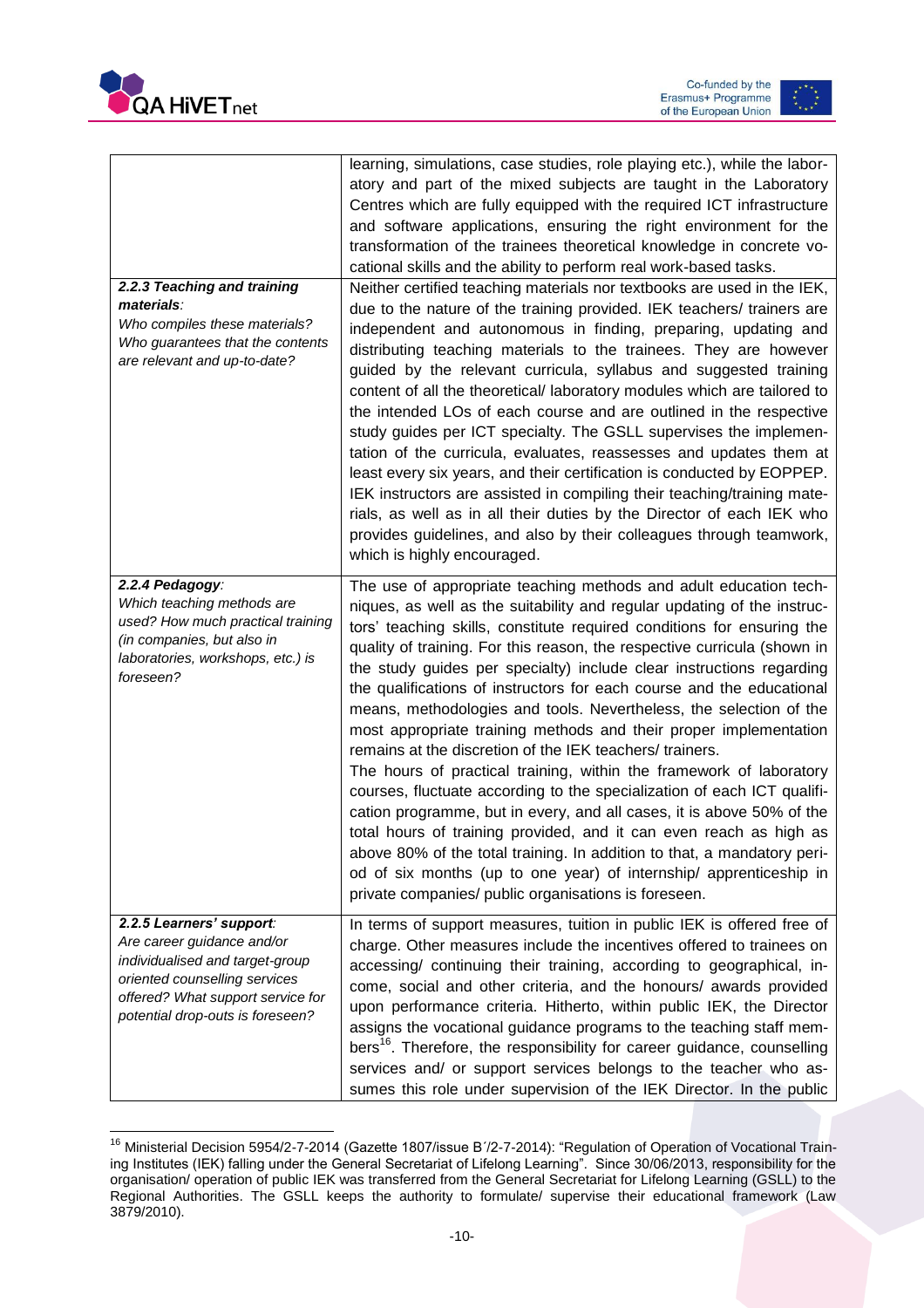



| 2.2.3 Teaching and training<br>materials:<br>Who compiles these materials?<br>Who guarantees that the contents<br>are relevant and up-to-date?                                                      | learning, simulations, case studies, role playing etc.), while the labor-<br>atory and part of the mixed subjects are taught in the Laboratory<br>Centres which are fully equipped with the required ICT infrastructure<br>and software applications, ensuring the right environment for the<br>transformation of the trainees theoretical knowledge in concrete vo-<br>cational skills and the ability to perform real work-based tasks.<br>Neither certified teaching materials nor textbooks are used in the IEK,<br>due to the nature of the training provided. IEK teachers/ trainers are<br>independent and autonomous in finding, preparing, updating and<br>distributing teaching materials to the trainees. They are however<br>guided by the relevant curricula, syllabus and suggested training<br>content of all the theoretical/ laboratory modules which are tailored to<br>the intended LOs of each course and are outlined in the respective<br>study guides per ICT specialty. The GSLL supervises the implemen-<br>tation of the curricula, evaluates, reassesses and updates them at<br>least every six years, and their certification is conducted by EOPPEP.<br>IEK instructors are assisted in compiling their teaching/training mate-<br>rials, as well as in all their duties by the Director of each IEK who<br>provides guidelines, and also by their colleagues through teamwork,<br>which is highly encouraged. |
|-----------------------------------------------------------------------------------------------------------------------------------------------------------------------------------------------------|---------------------------------------------------------------------------------------------------------------------------------------------------------------------------------------------------------------------------------------------------------------------------------------------------------------------------------------------------------------------------------------------------------------------------------------------------------------------------------------------------------------------------------------------------------------------------------------------------------------------------------------------------------------------------------------------------------------------------------------------------------------------------------------------------------------------------------------------------------------------------------------------------------------------------------------------------------------------------------------------------------------------------------------------------------------------------------------------------------------------------------------------------------------------------------------------------------------------------------------------------------------------------------------------------------------------------------------------------------------------------------------------------------------------------------------------|
| 2.2.4 Pedagogy:<br>Which teaching methods are<br>used? How much practical training<br>(in companies, but also in<br>laboratories, workshops, etc.) is<br>foreseen?                                  | The use of appropriate teaching methods and adult education tech-<br>niques, as well as the suitability and regular updating of the instruc-<br>tors' teaching skills, constitute required conditions for ensuring the<br>quality of training. For this reason, the respective curricula (shown in<br>the study guides per specialty) include clear instructions regarding<br>the qualifications of instructors for each course and the educational<br>means, methodologies and tools. Nevertheless, the selection of the<br>most appropriate training methods and their proper implementation<br>remains at the discretion of the IEK teachers/ trainers.<br>The hours of practical training, within the framework of laboratory<br>courses, fluctuate according to the specialization of each ICT qualifi-<br>cation programme, but in every, and all cases, it is above 50% of the<br>total hours of training provided, and it can even reach as high as<br>above 80% of the total training. In addition to that, a mandatory peri-<br>od of six months (up to one year) of internship/ apprenticeship in<br>private companies/ public organisations is foreseen.                                                                                                                                                                                                                                                                        |
| 2.2.5 Learners' support:<br>Are career guidance and/or<br>individualised and target-group<br>oriented counselling services<br>offered? What support service for<br>potential drop-outs is foreseen? | In terms of support measures, tuition in public IEK is offered free of<br>charge. Other measures include the incentives offered to trainees on<br>accessing/ continuing their training, according to geographical, in-<br>come, social and other criteria, and the honours/ awards provided<br>upon performance criteria. Hitherto, within public IEK, the Director<br>assigns the vocational guidance programs to the teaching staff mem-<br>bers <sup>16</sup> . Therefore, the responsibility for career guidance, counselling<br>services and/ or support services belongs to the teacher who as-<br>sumes this role under supervision of the IEK Director. In the public                                                                                                                                                                                                                                                                                                                                                                                                                                                                                                                                                                                                                                                                                                                                                               |

 $\overline{a}$ <sup>16</sup> Ministerial Decision 5954/2-7-2014 (Gazette 1807/issue Β΄/2-7-2014): "Regulation of Operation of Vocational Training Institutes (IEK) falling under the General Secretariat of Lifelong Learning". Since 30/06/2013, responsibility for the organisation/ operation of public IEK was transferred from the General Secretariat for Lifelong Learning (GSLL) to the Regional Authorities. The GSLL keeps the authority to formulate/ supervise their educational framework (Law 3879/2010).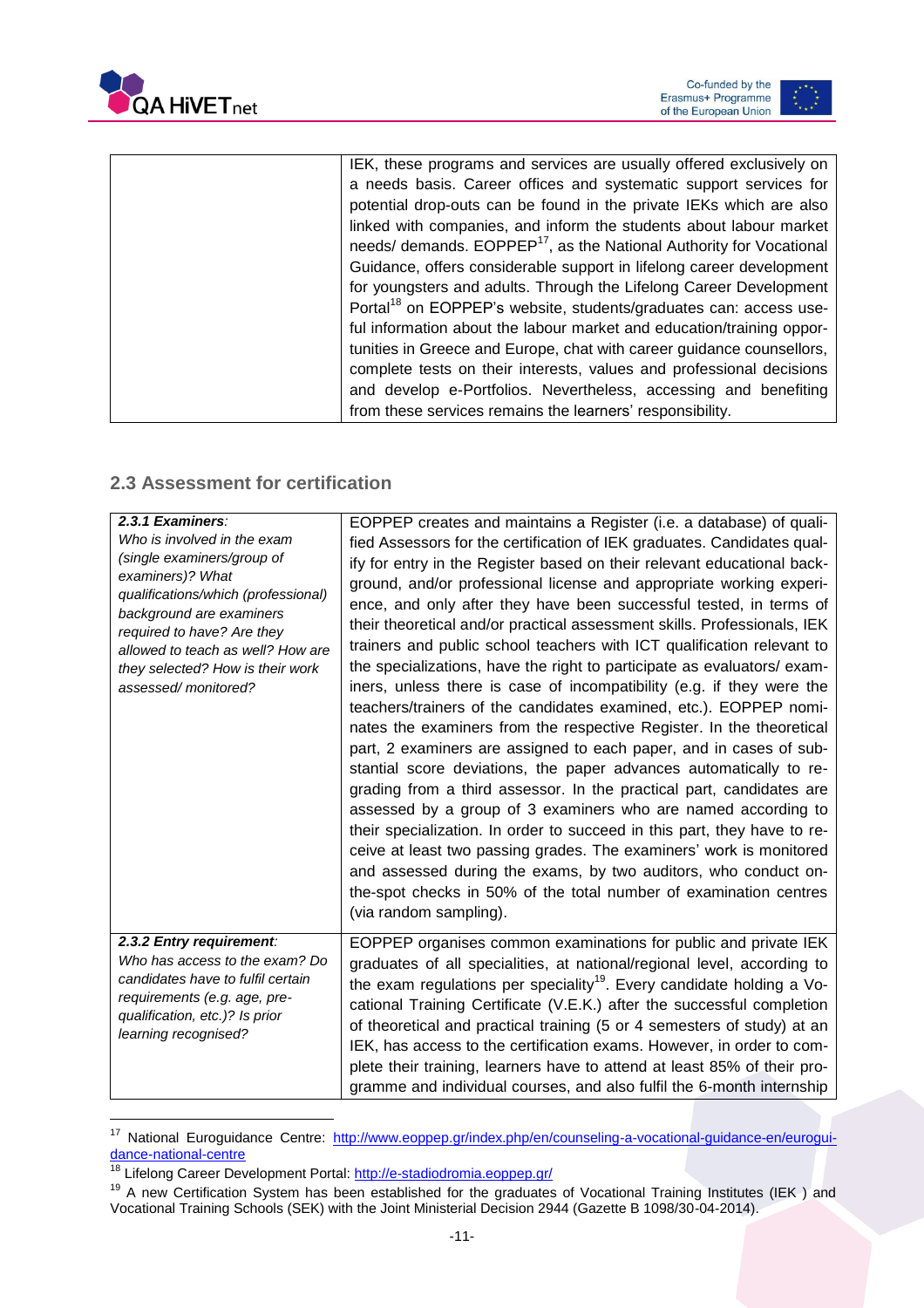



| IEK, these programs and services are usually offered exclusively on             |
|---------------------------------------------------------------------------------|
| a needs basis. Career offices and systematic support services for               |
| potential drop-outs can be found in the private IEKs which are also             |
| linked with companies, and inform the students about labour market              |
| needs/ demands. EOPPEP <sup>17</sup> , as the National Authority for Vocational |
| Guidance, offers considerable support in lifelong career development            |
| for youngsters and adults. Through the Lifelong Career Development              |
| Portal <sup>18</sup> on EOPPEP's website, students/graduates can: access use-   |
| ful information about the labour market and education/training oppor-           |
| tunities in Greece and Europe, chat with career guidance counsellors,           |
| complete tests on their interests, values and professional decisions            |
| and develop e-Portfolios. Nevertheless, accessing and benefiting                |
| from these services remains the learners' responsibility.                       |
|                                                                                 |

### <span id="page-11-0"></span>**2.3 Assessment for certification**

| 2.3.1 Examiners:<br>Who is involved in the exam<br>(single examiners/group of<br>examiners)? What<br>qualifications/which (professional)<br>background are examiners<br>required to have? Are they<br>allowed to teach as well? How are<br>they selected? How is their work<br>assessed/monitored? | EOPPEP creates and maintains a Register (i.e. a database) of quali-<br>fied Assessors for the certification of IEK graduates. Candidates qual-<br>ify for entry in the Register based on their relevant educational back-<br>ground, and/or professional license and appropriate working experi-<br>ence, and only after they have been successful tested, in terms of<br>their theoretical and/or practical assessment skills. Professionals, IEK<br>trainers and public school teachers with ICT qualification relevant to<br>the specializations, have the right to participate as evaluators/exam-<br>iners, unless there is case of incompatibility (e.g. if they were the<br>teachers/trainers of the candidates examined, etc.). EOPPEP nomi-<br>nates the examiners from the respective Register. In the theoretical<br>part, 2 examiners are assigned to each paper, and in cases of sub-<br>stantial score deviations, the paper advances automatically to re-<br>grading from a third assessor. In the practical part, candidates are<br>assessed by a group of 3 examiners who are named according to<br>their specialization. In order to succeed in this part, they have to re-<br>ceive at least two passing grades. The examiners' work is monitored<br>and assessed during the exams, by two auditors, who conduct on-<br>the-spot checks in 50% of the total number of examination centres<br>(via random sampling). |
|----------------------------------------------------------------------------------------------------------------------------------------------------------------------------------------------------------------------------------------------------------------------------------------------------|----------------------------------------------------------------------------------------------------------------------------------------------------------------------------------------------------------------------------------------------------------------------------------------------------------------------------------------------------------------------------------------------------------------------------------------------------------------------------------------------------------------------------------------------------------------------------------------------------------------------------------------------------------------------------------------------------------------------------------------------------------------------------------------------------------------------------------------------------------------------------------------------------------------------------------------------------------------------------------------------------------------------------------------------------------------------------------------------------------------------------------------------------------------------------------------------------------------------------------------------------------------------------------------------------------------------------------------------------------------------------------------------------------------------------------------|
| 2.3.2 Entry requirement:<br>Who has access to the exam? Do<br>candidates have to fulfil certain<br>requirements (e.g. age, pre-<br>qualification, etc.)? Is prior<br>learning recognised?                                                                                                          | EOPPEP organises common examinations for public and private IEK<br>graduates of all specialities, at national/regional level, according to<br>the exam regulations per speciality <sup>19</sup> . Every candidate holding a Vo-<br>cational Training Certificate (V.E.K.) after the successful completion<br>of theoretical and practical training (5 or 4 semesters of study) at an<br>IEK, has access to the certification exams. However, in order to com-<br>plete their training, learners have to attend at least 85% of their pro-<br>gramme and individual courses, and also fulfil the 6-month internship                                                                                                                                                                                                                                                                                                                                                                                                                                                                                                                                                                                                                                                                                                                                                                                                                     |

<sup>&</sup>lt;sup>17</sup> National Euroguidance Centre: [http://www.eoppep.gr/index.php/en/counseling-a-vocational-guidance-en/eurogui](http://www.eoppep.gr/index.php/en/counseling-a-vocational-guidance-en/euroguidance-national-centre)[dance-national-centre](http://www.eoppep.gr/index.php/en/counseling-a-vocational-guidance-en/euroguidance-national-centre)

 $\overline{a}$ 

<sup>&</sup>lt;sup>18</sup> Lifelong Career Development Portal:<http://e-stadiodromia.eoppep.gr/>

<sup>&</sup>lt;sup>19</sup> A new Certification System has been established for the graduates of Vocational Training Institutes (IEK) and Vocational Training Schools (SEK) with the Joint Ministerial Decision 2944 (Gazette B 1098/30-04-2014).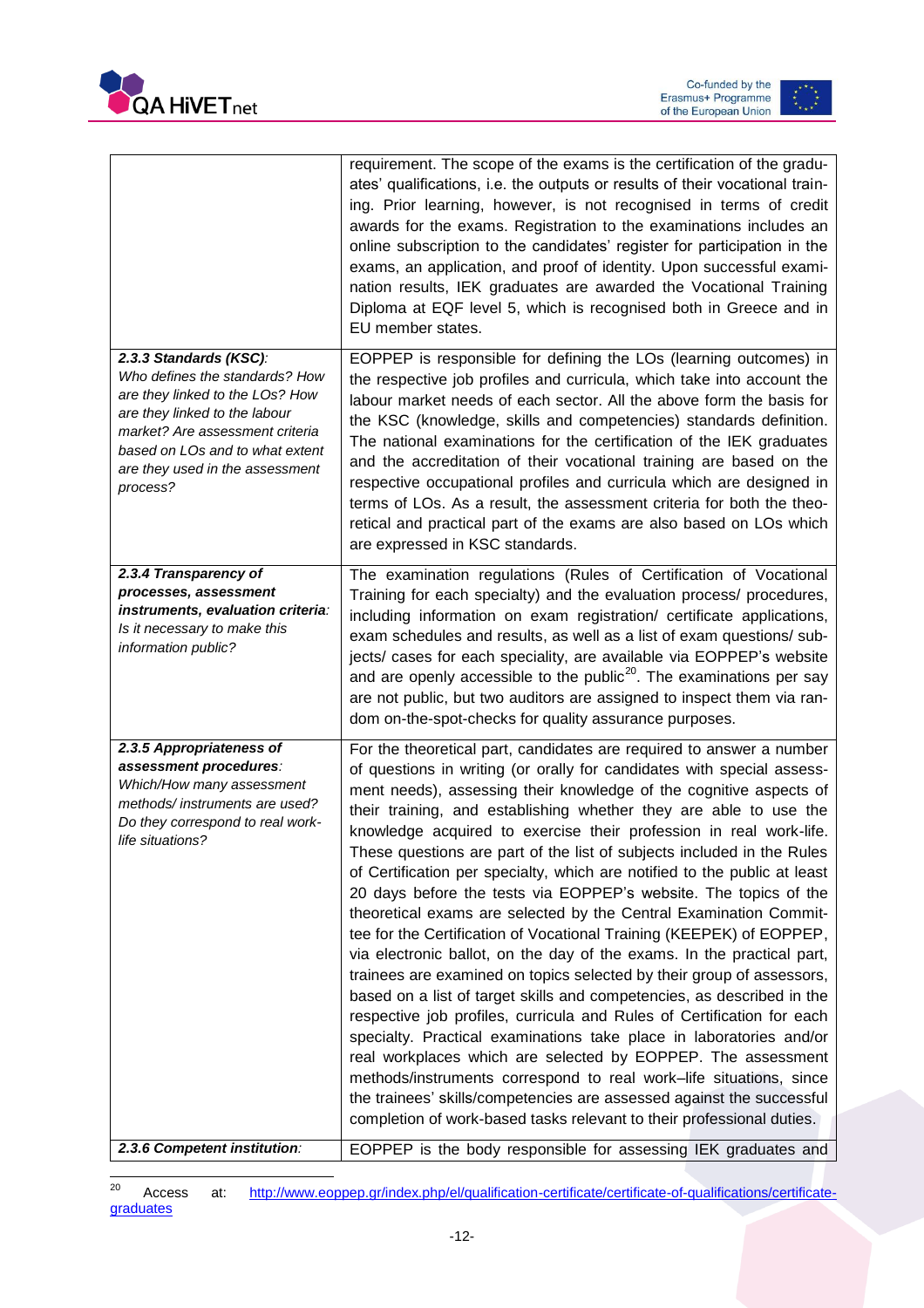



|                                                                                                                                                                                                                                                   | requirement. The scope of the exams is the certification of the gradu-<br>ates' qualifications, i.e. the outputs or results of their vocational train-<br>ing. Prior learning, however, is not recognised in terms of credit<br>awards for the exams. Registration to the examinations includes an<br>online subscription to the candidates' register for participation in the<br>exams, an application, and proof of identity. Upon successful exami-<br>nation results, IEK graduates are awarded the Vocational Training<br>Diploma at EQF level 5, which is recognised both in Greece and in<br>EU member states.                                                                                                                                                                                                                                                                                                                                                                                                                                                                                                                                                                                                                                                                                                                                                                                         |
|---------------------------------------------------------------------------------------------------------------------------------------------------------------------------------------------------------------------------------------------------|---------------------------------------------------------------------------------------------------------------------------------------------------------------------------------------------------------------------------------------------------------------------------------------------------------------------------------------------------------------------------------------------------------------------------------------------------------------------------------------------------------------------------------------------------------------------------------------------------------------------------------------------------------------------------------------------------------------------------------------------------------------------------------------------------------------------------------------------------------------------------------------------------------------------------------------------------------------------------------------------------------------------------------------------------------------------------------------------------------------------------------------------------------------------------------------------------------------------------------------------------------------------------------------------------------------------------------------------------------------------------------------------------------------|
| 2.3.3 Standards (KSC):<br>Who defines the standards? How<br>are they linked to the LOs? How<br>are they linked to the labour<br>market? Are assessment criteria<br>based on LOs and to what extent<br>are they used in the assessment<br>process? | EOPPEP is responsible for defining the LOs (learning outcomes) in<br>the respective job profiles and curricula, which take into account the<br>labour market needs of each sector. All the above form the basis for<br>the KSC (knowledge, skills and competencies) standards definition.<br>The national examinations for the certification of the IEK graduates<br>and the accreditation of their vocational training are based on the<br>respective occupational profiles and curricula which are designed in<br>terms of LOs. As a result, the assessment criteria for both the theo-<br>retical and practical part of the exams are also based on LOs which<br>are expressed in KSC standards.                                                                                                                                                                                                                                                                                                                                                                                                                                                                                                                                                                                                                                                                                                           |
| 2.3.4 Transparency of<br>processes, assessment<br>instruments, evaluation criteria:<br>Is it necessary to make this<br>information public?                                                                                                        | The examination regulations (Rules of Certification of Vocational<br>Training for each specialty) and the evaluation process/ procedures,<br>including information on exam registration/ certificate applications,<br>exam schedules and results, as well as a list of exam questions/ sub-<br>jects/ cases for each speciality, are available via EOPPEP's website<br>and are openly accessible to the public <sup>20</sup> . The examinations per say<br>are not public, but two auditors are assigned to inspect them via ran-<br>dom on-the-spot-checks for quality assurance purposes.                                                                                                                                                                                                                                                                                                                                                                                                                                                                                                                                                                                                                                                                                                                                                                                                                   |
| 2.3.5 Appropriateness of<br>assessment procedures:<br>Which/How many assessment<br>methods/instruments are used?<br>Do they correspond to real work-<br>life situations?                                                                          | For the theoretical part, candidates are required to answer a number<br>of questions in writing (or orally for candidates with special assess-<br>ment needs), assessing their knowledge of the cognitive aspects of<br>their training, and establishing whether they are able to use the<br>knowledge acquired to exercise their profession in real work-life.<br>These questions are part of the list of subjects included in the Rules<br>of Certification per specialty, which are notified to the public at least<br>20 days before the tests via EOPPEP's website. The topics of the<br>theoretical exams are selected by the Central Examination Commit-<br>tee for the Certification of Vocational Training (KEEPEK) of EOPPEP,<br>via electronic ballot, on the day of the exams. In the practical part,<br>trainees are examined on topics selected by their group of assessors,<br>based on a list of target skills and competencies, as described in the<br>respective job profiles, curricula and Rules of Certification for each<br>specialty. Practical examinations take place in laboratories and/or<br>real workplaces which are selected by EOPPEP. The assessment<br>methods/instruments correspond to real work-life situations, since<br>the trainees' skills/competencies are assessed against the successful<br>completion of work-based tasks relevant to their professional duties. |
| 2.3.6 Competent institution:                                                                                                                                                                                                                      | EOPPEP is the body responsible for assessing IEK graduates and                                                                                                                                                                                                                                                                                                                                                                                                                                                                                                                                                                                                                                                                                                                                                                                                                                                                                                                                                                                                                                                                                                                                                                                                                                                                                                                                                |

 $20$ Access at: [http://www.eoppep.gr/index.php/el/qualification-certificate/certificate-of-qualifications/certificate](http://www.eoppep.gr/index.php/el/qualification-certificate/certificate-of-qualifications/certificate-graduates)[graduates](http://www.eoppep.gr/index.php/el/qualification-certificate/certificate-of-qualifications/certificate-graduates)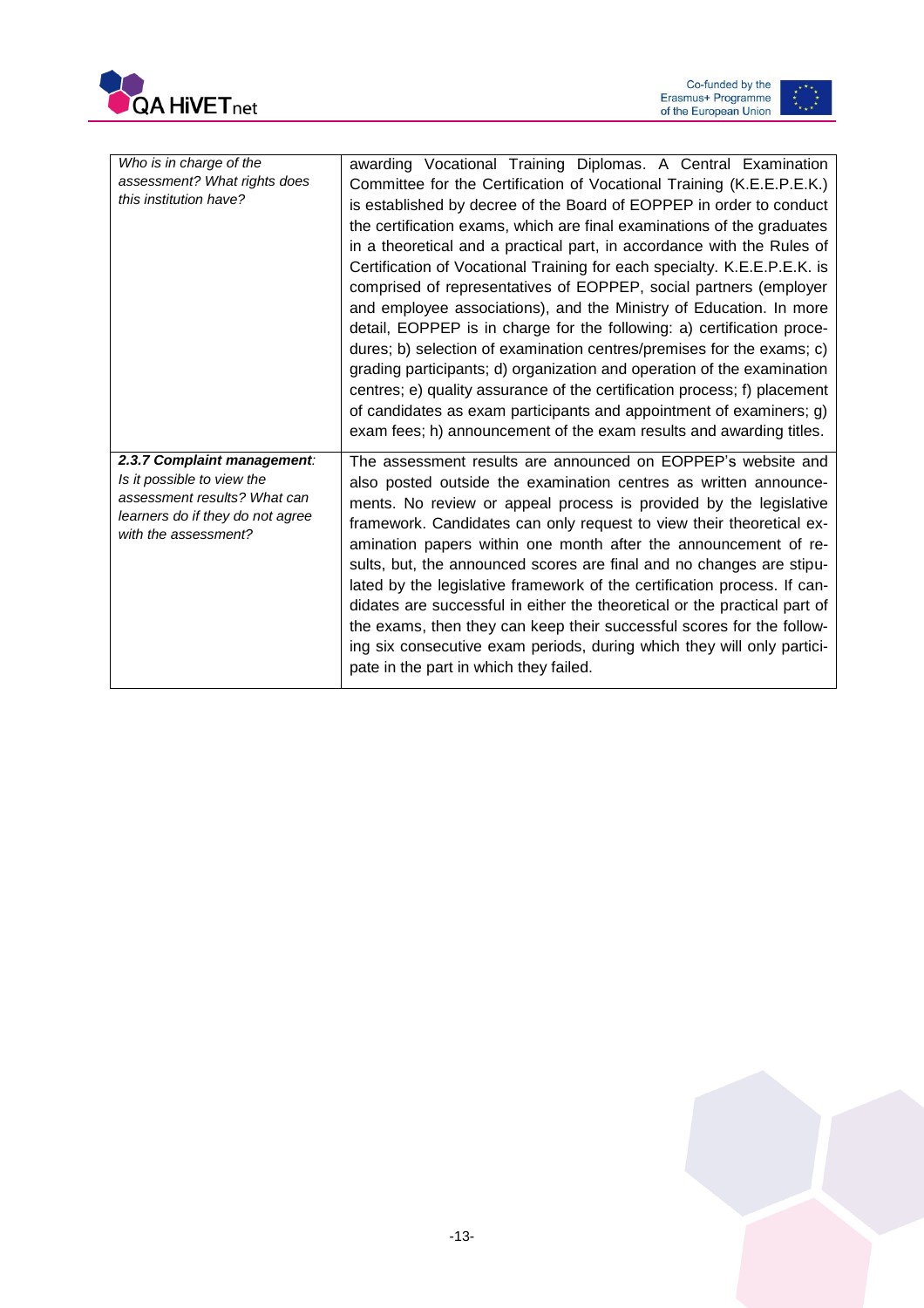



| Who is in charge of the<br>assessment? What rights does<br>this institution have?                                                                     | awarding Vocational Training Diplomas. A Central Examination<br>Committee for the Certification of Vocational Training (K.E.E.P.E.K.)<br>is established by decree of the Board of EOPPEP in order to conduct<br>the certification exams, which are final examinations of the graduates<br>in a theoretical and a practical part, in accordance with the Rules of<br>Certification of Vocational Training for each specialty. K.E.E.P.E.K. is<br>comprised of representatives of EOPPEP, social partners (employer<br>and employee associations), and the Ministry of Education. In more<br>detail, EOPPEP is in charge for the following: a) certification proce-<br>dures; b) selection of examination centres/premises for the exams; c)<br>grading participants; d) organization and operation of the examination<br>centres; e) quality assurance of the certification process; f) placement<br>of candidates as exam participants and appointment of examiners; g)<br>exam fees; h) announcement of the exam results and awarding titles. |
|-------------------------------------------------------------------------------------------------------------------------------------------------------|------------------------------------------------------------------------------------------------------------------------------------------------------------------------------------------------------------------------------------------------------------------------------------------------------------------------------------------------------------------------------------------------------------------------------------------------------------------------------------------------------------------------------------------------------------------------------------------------------------------------------------------------------------------------------------------------------------------------------------------------------------------------------------------------------------------------------------------------------------------------------------------------------------------------------------------------------------------------------------------------------------------------------------------------|
| 2.3.7 Complaint management:<br>Is it possible to view the<br>assessment results? What can<br>learners do if they do not agree<br>with the assessment? | The assessment results are announced on EOPPEP's website and<br>also posted outside the examination centres as written announce-<br>ments. No review or appeal process is provided by the legislative<br>framework. Candidates can only request to view their theoretical ex-<br>amination papers within one month after the announcement of re-<br>sults, but, the announced scores are final and no changes are stipu-<br>lated by the legislative framework of the certification process. If can-<br>didates are successful in either the theoretical or the practical part of<br>the exams, then they can keep their successful scores for the follow-<br>ing six consecutive exam periods, during which they will only partici-<br>pate in the part in which they failed.                                                                                                                                                                                                                                                                 |

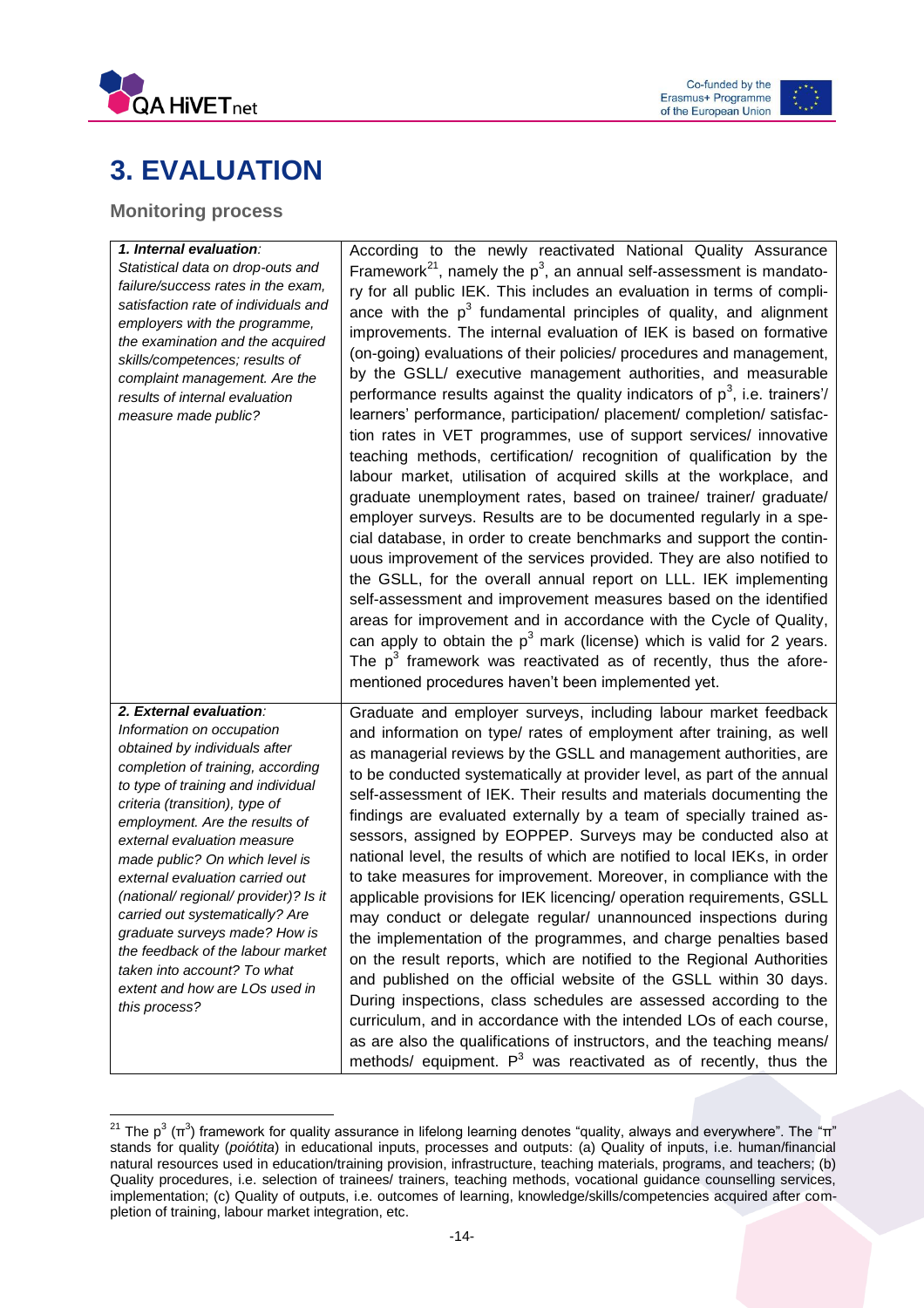



# <span id="page-14-0"></span>**3. EVALUATION**

### <span id="page-14-1"></span>**Monitoring process**

 $\overline{a}$ 

| 1. Internal evaluation:<br>Statistical data on drop-outs and<br>failure/success rates in the exam,<br>satisfaction rate of individuals and<br>employers with the programme,<br>the examination and the acquired<br>skills/competences; results of<br>complaint management. Are the<br>results of internal evaluation<br>measure made public?                                                                                                                                                                                                                               | According to the newly reactivated National Quality Assurance<br>Framework <sup>21</sup> , namely the $p^3$ , an annual self-assessment is mandato-<br>ry for all public IEK. This includes an evaluation in terms of compli-<br>ance with the $p^3$ fundamental principles of quality, and alignment<br>improvements. The internal evaluation of IEK is based on formative<br>(on-going) evaluations of their policies/ procedures and management,<br>by the GSLL/ executive management authorities, and measurable<br>performance results against the quality indicators of $p^3$ , i.e. trainers'/<br>learners' performance, participation/ placement/ completion/ satisfac-<br>tion rates in VET programmes, use of support services/ innovative<br>teaching methods, certification/ recognition of qualification by the<br>labour market, utilisation of acquired skills at the workplace, and<br>graduate unemployment rates, based on trainee/ trainer/ graduate/<br>employer surveys. Results are to be documented regularly in a spe-<br>cial database, in order to create benchmarks and support the contin-<br>uous improvement of the services provided. They are also notified to<br>the GSLL, for the overall annual report on LLL. IEK implementing<br>self-assessment and improvement measures based on the identified<br>areas for improvement and in accordance with the Cycle of Quality,<br>can apply to obtain the $p^3$ mark (license) which is valid for 2 years. |
|----------------------------------------------------------------------------------------------------------------------------------------------------------------------------------------------------------------------------------------------------------------------------------------------------------------------------------------------------------------------------------------------------------------------------------------------------------------------------------------------------------------------------------------------------------------------------|------------------------------------------------------------------------------------------------------------------------------------------------------------------------------------------------------------------------------------------------------------------------------------------------------------------------------------------------------------------------------------------------------------------------------------------------------------------------------------------------------------------------------------------------------------------------------------------------------------------------------------------------------------------------------------------------------------------------------------------------------------------------------------------------------------------------------------------------------------------------------------------------------------------------------------------------------------------------------------------------------------------------------------------------------------------------------------------------------------------------------------------------------------------------------------------------------------------------------------------------------------------------------------------------------------------------------------------------------------------------------------------------------------------------------------------------------------------------------------------|
| 2. External evaluation:<br>Information on occupation<br>obtained by individuals after<br>completion of training, according<br>to type of training and individual<br>criteria (transition), type of<br>employment. Are the results of<br>external evaluation measure<br>made public? On which level is<br>external evaluation carried out<br>(national/regional/provider)? Is it<br>carried out systematically? Are<br>graduate surveys made? How is<br>the feedback of the labour market<br>taken into account? To what<br>extent and how are LOs used in<br>this process? | The $p^3$ framework was reactivated as of recently, thus the afore-<br>mentioned procedures haven't been implemented yet.<br>Graduate and employer surveys, including labour market feedback<br>and information on type/ rates of employment after training, as well<br>as managerial reviews by the GSLL and management authorities, are<br>to be conducted systematically at provider level, as part of the annual<br>self-assessment of IEK. Their results and materials documenting the<br>findings are evaluated externally by a team of specially trained as-<br>sessors, assigned by EOPPEP. Surveys may be conducted also at<br>national level, the results of which are notified to local IEKs, in order<br>to take measures for improvement. Moreover, in compliance with the<br>applicable provisions for IEK licencing/ operation requirements, GSLL<br>may conduct or delegate regular/ unannounced inspections during<br>the implementation of the programmes, and charge penalties based<br>on the result reports, which are notified to the Regional Authorities<br>and published on the official website of the GSLL within 30 days.<br>During inspections, class schedules are assessed according to the<br>curriculum, and in accordance with the intended LOs of each course,<br>as are also the qualifications of instructors, and the teaching means/<br>methods/ equipment. $P^3$ was reactivated as of recently, thus the                                        |

<sup>&</sup>lt;sup>21</sup> The p $^3$  (π $^3$ ) framework for quality assurance in lifelong learning denotes "quality, always and everywhere". The "π" stands for quality (*poiótita*) in educational inputs, processes and outputs: (a) Quality of inputs, i.e. human/financial natural resources used in education/training provision, infrastructure, teaching materials, programs, and teachers; (b) Quality procedures, i.e. selection of trainees/ trainers, teaching methods, vocational guidance counselling services, implementation; (c) Quality of outputs, i.e. outcomes of learning, knowledge/skills/competencies acquired after completion of training, labour market integration, etc.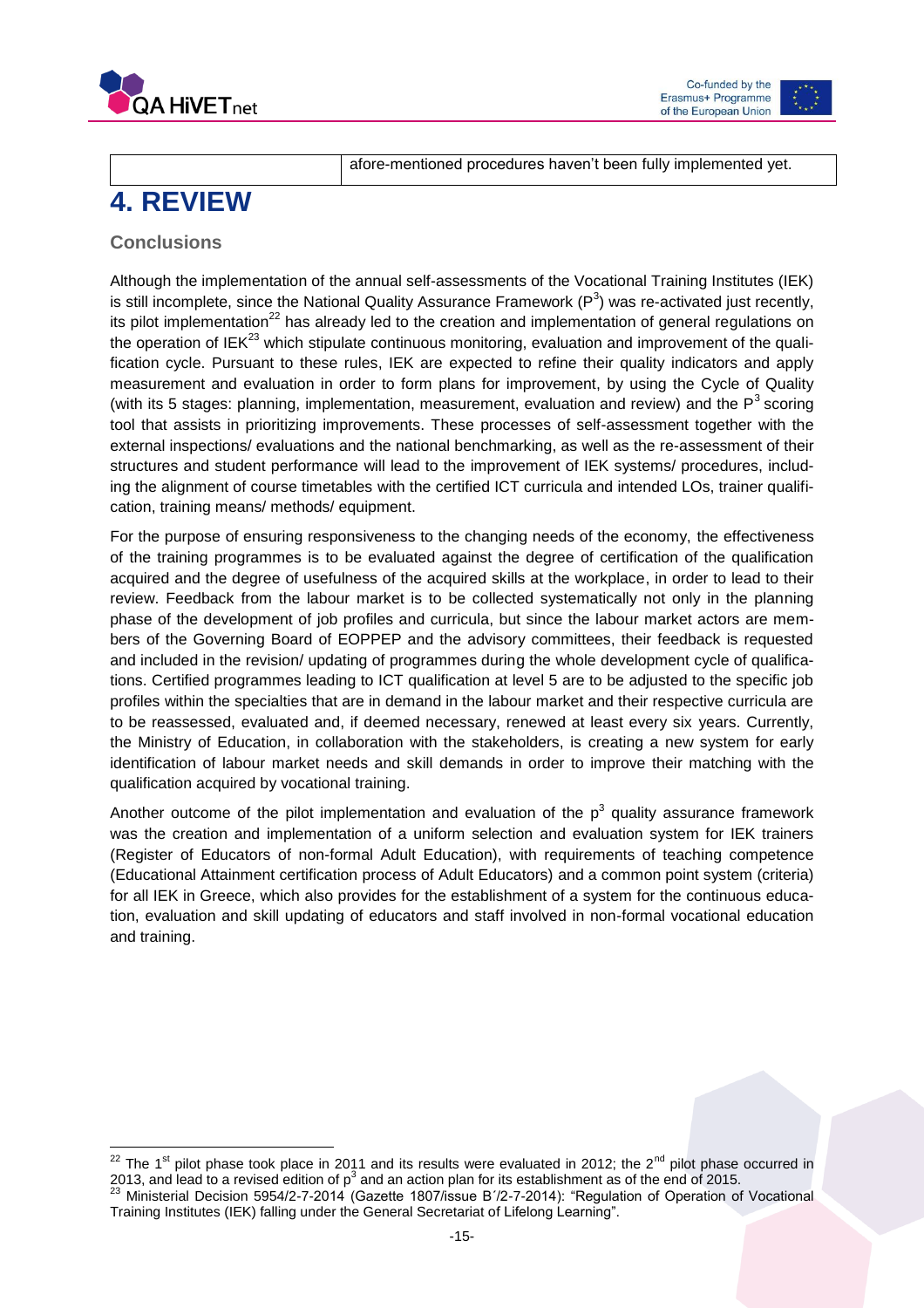



# <span id="page-15-0"></span>**4. REVIEW**

afore-mentioned procedures haven't been fully implemented yet.

### <span id="page-15-1"></span>**Conclusions**

Although the implementation of the annual self-assessments of the Vocational Training Institutes (IEK) is still incomplete, since the National Quality Assurance Framework (P<sup>3</sup>) was re-activated just recently, its pilot implementation<sup>22</sup> has already led to the creation and implementation of general regulations on the operation of IEK<sup>23</sup> which stipulate continuous monitoring, evaluation and improvement of the qualification cycle. Pursuant to these rules, IEK are expected to refine their quality indicators and apply measurement and evaluation in order to form plans for improvement, by using the Cycle of Quality (with its 5 stages: planning, implementation, measurement, evaluation and review) and the  $P<sup>3</sup>$  scoring tool that assists in prioritizing improvements. These processes of self-assessment together with the external inspections/ evaluations and the national benchmarking, as well as the re-assessment of their structures and student performance will lead to the improvement of IEK systems/ procedures, including the alignment of course timetables with the certified ICT curricula and intended LOs, trainer qualification, training means/ methods/ equipment.

For the purpose of ensuring responsiveness to the changing needs of the economy, the effectiveness of the training programmes is to be evaluated against the degree of certification of the qualification acquired and the degree of usefulness of the acquired skills at the workplace, in order to lead to their review. Feedback from the labour market is to be collected systematically not only in the planning phase of the development of job profiles and curricula, but since the labour market actors are members of the Governing Board of EOPPEP and the advisory committees, their feedback is requested and included in the revision/ updating of programmes during the whole development cycle of qualifications. Certified programmes leading to ICT qualification at level 5 are to be adjusted to the specific job profiles within the specialties that are in demand in the labour market and their respective curricula are to be reassessed, evaluated and, if deemed necessary, renewed at least every six years. Currently, the Ministry of Education, in collaboration with the stakeholders, is creating a new system for early identification of labour market needs and skill demands in order to improve their matching with the qualification acquired by vocational training.

<span id="page-15-2"></span>Another outcome of the pilot implementation and evaluation of the  $p^3$  quality assurance framework was the creation and implementation of a uniform selection and evaluation system for IEK trainers (Register of Educators of non-formal Adult Education), with requirements of teaching competence (Educational Attainment certification process of Adult Educators) and a common point system (criteria) for all IEK in Greece, which also provides for the establishment of a system for the continuous education, evaluation and skill updating of educators and staff involved in non-formal vocational education and training.

 $\overline{a}$ <sup>22</sup> The 1<sup>st</sup> pilot phase took place in 2011 and its results were evaluated in 2012; the 2<sup>nd</sup> pilot phase occurred in 2013, and lead to a revised edition of p<sup>3</sup> and an action plan for its establishment as of the end of 2015.

<sup>&</sup>lt;sup>23</sup> Ministerial Decision 5954/2-7-2014 (Gazette 1807/issue B'/2-7-2014): "Regulation of Operation of Vocational Training Institutes (IEK) falling under the General Secretariat of Lifelong Learning".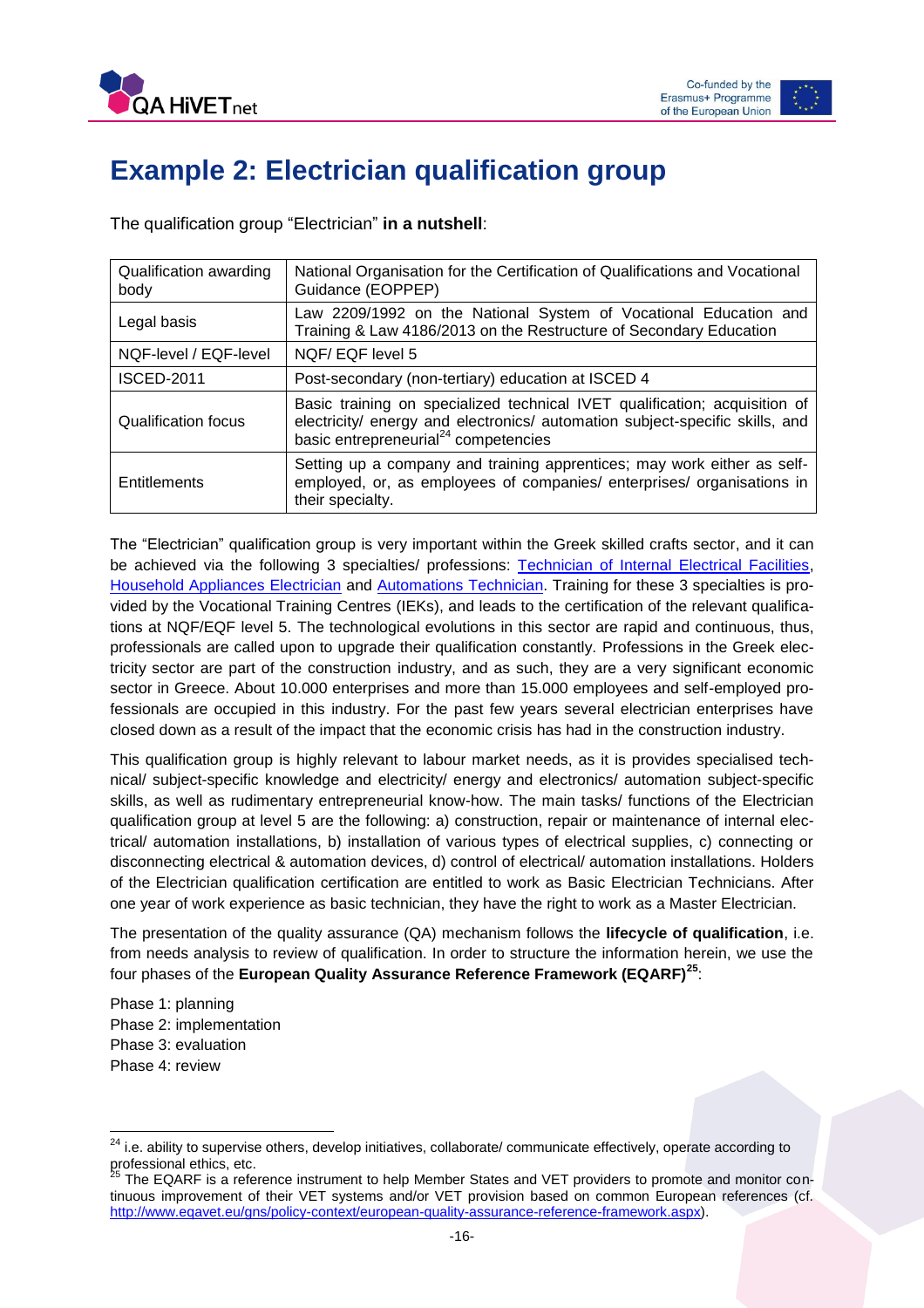

# **Example 2: Electrician qualification group**

The qualification group "Electrician" **in a nutshell**:

| Qualification awarding<br>body | National Organisation for the Certification of Qualifications and Vocational<br>Guidance (EOPPEP)                                                                                                              |
|--------------------------------|----------------------------------------------------------------------------------------------------------------------------------------------------------------------------------------------------------------|
| Legal basis                    | Law 2209/1992 on the National System of Vocational Education and<br>Training & Law 4186/2013 on the Restructure of Secondary Education                                                                         |
| NQF-level / EQF-level          | NQF/EQF level 5                                                                                                                                                                                                |
| <b>ISCED-2011</b>              | Post-secondary (non-tertiary) education at ISCED 4                                                                                                                                                             |
| Qualification focus            | Basic training on specialized technical IVET qualification; acquisition of<br>electricity/ energy and electronics/ automation subject-specific skills, and<br>basic entrepreneurial <sup>24</sup> competencies |
| Entitlements                   | Setting up a company and training apprentices; may work either as self-<br>employed, or, as employees of companies/ enterprises/ organisations in<br>their specialty.                                          |

The "Electrician" qualification group is very important within the Greek skilled crafts sector, and it can be achieved via the following 3 specialties/ professions: [Technician of Internal Electrical Facilities,](http://europass.eoppep.gr/images/IEKSupplementsEN/texnikos_esoterikon_hlektrikon_egkatastaseon_en.pdf) [Household Appliances Electrician](http://europass.eoppep.gr/images/IEKSupplementsEN/texnikos%20ilektrologos%20ilektrikon%20oikiakon%20syskevon-EN.pdf) and [Automations](http://europass.eoppep.gr/images/IEKSupplementsEN/texnikos-aftomatismon-en.pdf) Technician. Training for these 3 specialties is provided by the Vocational Training Centres (IEKs), and leads to the certification of the relevant qualifications at NQF/EQF level 5. The technological evolutions in this sector are rapid and continuous, thus, professionals are called upon to upgrade their qualification constantly. Professions in the Greek electricity sector are part of the construction industry, and as such, they are a very significant economic sector in Greece. About 10.000 enterprises and more than 15.000 employees and self-employed professionals are occupied in this industry. For the past few years several electrician enterprises have closed down as a result of the impact that the economic crisis has had in the construction industry.

This qualification group is highly relevant to labour market needs, as it is provides specialised technical/ subject-specific knowledge and electricity/ energy and electronics/ automation subject-specific skills, as well as rudimentary entrepreneurial know-how. The main tasks/ functions of the Electrician qualification group at level 5 are the following: a) construction, repair or maintenance of internal electrical/ automation installations, b) installation of various types of electrical supplies, c) connecting or disconnecting electrical & automation devices, d) control of electrical/ automation installations. Holders of the Electrician qualification certification are entitled to work as Basic Electrician Technicians. After one year of work experience as basic technician, they have the right to work as a Master Electrician.

The presentation of the quality assurance (QA) mechanism follows the **lifecycle of qualification**, i.e. from needs analysis to review of qualification. In order to structure the information herein, we use the four phases of the **European Quality Assurance Reference Framework (EQARF)<sup>25</sup>**:

Phase 1: planning Phase 2: implementation Phase 3: evaluation Phase 4: review

 $\overline{\phantom{a}}$ 

<sup>&</sup>lt;sup>24</sup> i.e. ability to supervise others, develop initiatives, collaborate/ communicate effectively, operate according to professional ethics, etc.<br> $^{25}$  The FC  $^{15}$ 

The EQARF is a reference instrument to help Member States and VET providers to promote and monitor continuous improvement of their VET systems and/or VET provision based on common European references (cf. [http://www.eqavet.eu/gns/policy-context/european-quality-assurance-reference-framework.aspx\)](http://www.eqavet.eu/gns/policy-context/european-quality-assurance-reference-framework.aspx).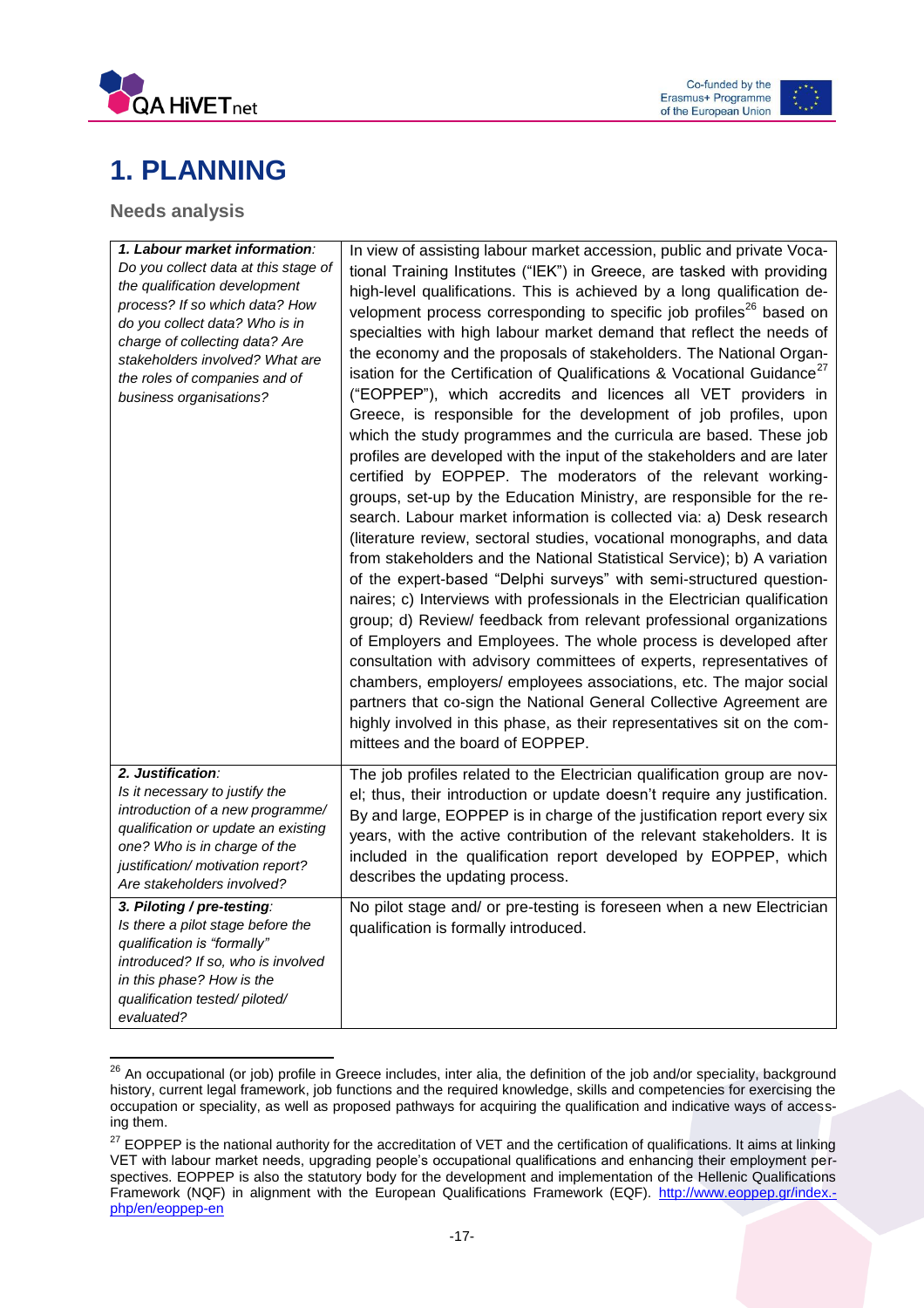



# <span id="page-17-0"></span>**1. PLANNING**

### <span id="page-17-1"></span>**Needs analysis**

| 1. Labour market information:<br>Do you collect data at this stage of<br>the qualification development<br>process? If so which data? How<br>do you collect data? Who is in<br>charge of collecting data? Are<br>stakeholders involved? What are<br>the roles of companies and of<br>business organisations? | In view of assisting labour market accession, public and private Voca-<br>tional Training Institutes ("IEK") in Greece, are tasked with providing<br>high-level qualifications. This is achieved by a long qualification de-<br>velopment process corresponding to specific job profiles <sup>26</sup> based on<br>specialties with high labour market demand that reflect the needs of<br>the economy and the proposals of stakeholders. The National Organ-<br>isation for the Certification of Qualifications & Vocational Guidance <sup>27</sup><br>("EOPPEP"), which accredits and licences all VET providers in<br>Greece, is responsible for the development of job profiles, upon<br>which the study programmes and the curricula are based. These job<br>profiles are developed with the input of the stakeholders and are later<br>certified by EOPPEP. The moderators of the relevant working-<br>groups, set-up by the Education Ministry, are responsible for the re-<br>search. Labour market information is collected via: a) Desk research<br>(literature review, sectoral studies, vocational monographs, and data<br>from stakeholders and the National Statistical Service); b) A variation<br>of the expert-based "Delphi surveys" with semi-structured question-<br>naires; c) Interviews with professionals in the Electrician qualification<br>group; d) Review/ feedback from relevant professional organizations<br>of Employers and Employees. The whole process is developed after<br>consultation with advisory committees of experts, representatives of<br>chambers, employers/ employees associations, etc. The major social<br>partners that co-sign the National General Collective Agreement are |
|-------------------------------------------------------------------------------------------------------------------------------------------------------------------------------------------------------------------------------------------------------------------------------------------------------------|------------------------------------------------------------------------------------------------------------------------------------------------------------------------------------------------------------------------------------------------------------------------------------------------------------------------------------------------------------------------------------------------------------------------------------------------------------------------------------------------------------------------------------------------------------------------------------------------------------------------------------------------------------------------------------------------------------------------------------------------------------------------------------------------------------------------------------------------------------------------------------------------------------------------------------------------------------------------------------------------------------------------------------------------------------------------------------------------------------------------------------------------------------------------------------------------------------------------------------------------------------------------------------------------------------------------------------------------------------------------------------------------------------------------------------------------------------------------------------------------------------------------------------------------------------------------------------------------------------------------------------------------------------------------------------------------------------------------------------|
|                                                                                                                                                                                                                                                                                                             | highly involved in this phase, as their representatives sit on the com-<br>mittees and the board of EOPPEP.                                                                                                                                                                                                                                                                                                                                                                                                                                                                                                                                                                                                                                                                                                                                                                                                                                                                                                                                                                                                                                                                                                                                                                                                                                                                                                                                                                                                                                                                                                                                                                                                                        |
| 2. Justification:<br>Is it necessary to justify the<br>introduction of a new programme/<br>qualification or update an existing<br>one? Who is in charge of the<br>justification/ motivation report?<br>Are stakeholders involved?                                                                           | The job profiles related to the Electrician qualification group are nov-<br>el; thus, their introduction or update doesn't require any justification.<br>By and large, EOPPEP is in charge of the justification report every six<br>years, with the active contribution of the relevant stakeholders. It is<br>included in the qualification report developed by EOPPEP, which<br>describes the updating process.                                                                                                                                                                                                                                                                                                                                                                                                                                                                                                                                                                                                                                                                                                                                                                                                                                                                                                                                                                                                                                                                                                                                                                                                                                                                                                                  |
| 3. Piloting / pre-testing:<br>Is there a pilot stage before the<br>qualification is "formally"<br>introduced? If so, who is involved<br>in this phase? How is the<br>qualification tested/piloted/<br>evaluated?                                                                                            | No pilot stage and/ or pre-testing is foreseen when a new Electrician<br>qualification is formally introduced.                                                                                                                                                                                                                                                                                                                                                                                                                                                                                                                                                                                                                                                                                                                                                                                                                                                                                                                                                                                                                                                                                                                                                                                                                                                                                                                                                                                                                                                                                                                                                                                                                     |

 <sup>26</sup> An occupational (or job) profile in Greece includes, inter alia, the definition of the job and/or speciality, background history, current legal framework, job functions and the required knowledge, skills and competencies for exercising the occupation or speciality, as well as proposed pathways for acquiring the qualification and indicative ways of accessing them.

<sup>&</sup>lt;sup>27</sup> EOPPEP is the national authority for the accreditation of VET and the certification of qualifications. It aims at linking VET with labour market needs, upgrading people's occupational qualifications and enhancing their employment perspectives. EOPPEP is also the statutory body for the development and implementation of the Hellenic Qualifications Framework (NQF) in alignment with the European Qualifications Framework (EQF). [http://www.eoppep.gr/index.](http://www.eoppep.gr/index.php/en/eoppep-en) [php/en/eoppep-en](http://www.eoppep.gr/index.php/en/eoppep-en)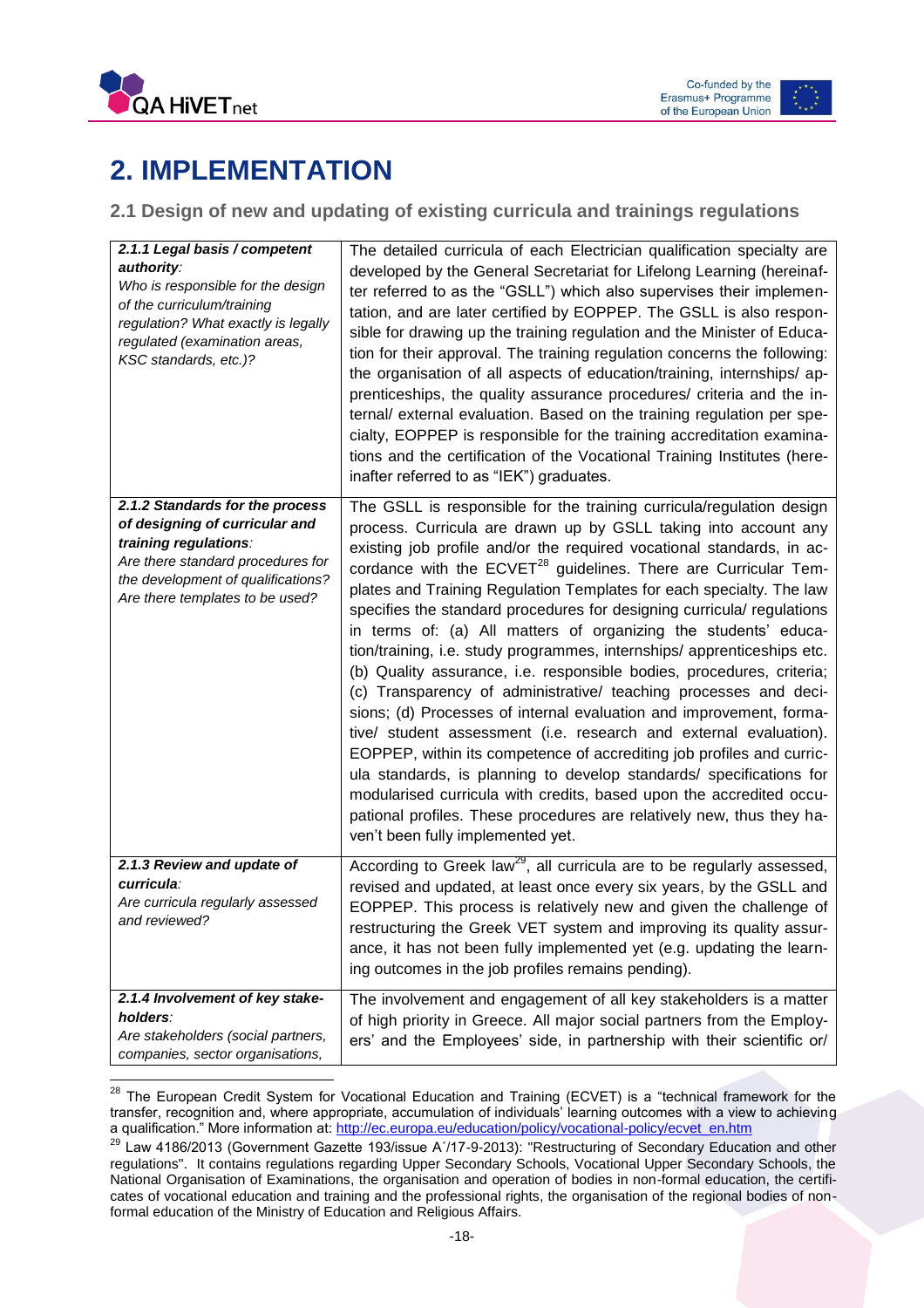



# <span id="page-18-0"></span>**2. IMPLEMENTATION**

### <span id="page-18-1"></span>**2.1 Design of new and updating of existing curricula and trainings regulations**

| 2.1.1 Legal basis / competent<br>authority:<br>Who is responsible for the design<br>of the curriculum/training<br>regulation? What exactly is legally<br>regulated (examination areas,<br>KSC standards, etc.)? | The detailed curricula of each Electrician qualification specialty are<br>developed by the General Secretariat for Lifelong Learning (hereinaf-<br>ter referred to as the "GSLL") which also supervises their implemen-<br>tation, and are later certified by EOPPEP. The GSLL is also respon-<br>sible for drawing up the training regulation and the Minister of Educa-<br>tion for their approval. The training regulation concerns the following:<br>the organisation of all aspects of education/training, internships/ ap-<br>prenticeships, the quality assurance procedures/ criteria and the in-<br>ternal/ external evaluation. Based on the training regulation per spe-<br>cialty, EOPPEP is responsible for the training accreditation examina-<br>tions and the certification of the Vocational Training Institutes (here-<br>inafter referred to as "IEK") graduates.                                                                                                                                                                                                                                                                                                                                          |
|-----------------------------------------------------------------------------------------------------------------------------------------------------------------------------------------------------------------|-------------------------------------------------------------------------------------------------------------------------------------------------------------------------------------------------------------------------------------------------------------------------------------------------------------------------------------------------------------------------------------------------------------------------------------------------------------------------------------------------------------------------------------------------------------------------------------------------------------------------------------------------------------------------------------------------------------------------------------------------------------------------------------------------------------------------------------------------------------------------------------------------------------------------------------------------------------------------------------------------------------------------------------------------------------------------------------------------------------------------------------------------------------------------------------------------------------------------------|
| 2.1.2 Standards for the process<br>of designing of curricular and<br>training regulations:<br>Are there standard procedures for<br>the development of qualifications?<br>Are there templates to be used?        | The GSLL is responsible for the training curricula/regulation design<br>process. Curricula are drawn up by GSLL taking into account any<br>existing job profile and/or the required vocational standards, in ac-<br>cordance with the ECVET <sup>28</sup> guidelines. There are Curricular Tem-<br>plates and Training Regulation Templates for each specialty. The law<br>specifies the standard procedures for designing curricula/ regulations<br>in terms of: (a) All matters of organizing the students' educa-<br>tion/training, i.e. study programmes, internships/ apprenticeships etc.<br>(b) Quality assurance, i.e. responsible bodies, procedures, criteria;<br>(c) Transparency of administrative/ teaching processes and deci-<br>sions; (d) Processes of internal evaluation and improvement, forma-<br>tive/ student assessment (i.e. research and external evaluation).<br>EOPPEP, within its competence of accrediting job profiles and curric-<br>ula standards, is planning to develop standards/ specifications for<br>modularised curricula with credits, based upon the accredited occu-<br>pational profiles. These procedures are relatively new, thus they ha-<br>ven't been fully implemented yet. |
| 2.1.3 Review and update of<br>curricula:<br>Are curricula regularly assessed<br>and reviewed?                                                                                                                   | According to Greek law <sup>29</sup> , all curricula are to be regularly assessed,<br>revised and updated, at least once every six years, by the GSLL and<br>EOPPEP. This process is relatively new and given the challenge of<br>restructuring the Greek VET system and improving its quality assur-<br>ance, it has not been fully implemented yet (e.g. updating the learn-<br>ing outcomes in the job profiles remains pending).                                                                                                                                                                                                                                                                                                                                                                                                                                                                                                                                                                                                                                                                                                                                                                                          |
| 2.1.4 Involvement of key stake-<br>holders:<br>Are stakeholders (social partners,<br>companies, sector organisations,                                                                                           | The involvement and engagement of all key stakeholders is a matter<br>of high priority in Greece. All major social partners from the Employ-<br>ers' and the Employees' side, in partnership with their scientific or/                                                                                                                                                                                                                                                                                                                                                                                                                                                                                                                                                                                                                                                                                                                                                                                                                                                                                                                                                                                                        |

 $^{28}$  The European Credit System for Vocational Education and Training (ECVET) is a "technical framework for the transfer, recognition and, where appropriate, accumulation of individuals' learning outcomes with a view to achieving a qualification." More information at[: http://ec.europa.eu/education/policy/vocational-policy/ecvet\\_en.htm](http://ec.europa.eu/education/policy/vocational-policy/ecvet_en.htm)

<sup>&</sup>lt;sup>29</sup> Law 4186/2013 (Government Gazette 193/issue A'/17-9-2013): "Restructuring of Secondary Education and other regulations". It contains regulations regarding Upper Secondary Schools, Vocational Upper Secondary Schools, the National Organisation of Examinations, the organisation and operation of bodies in non-formal education, the certificates of vocational education and training and the professional rights, the organisation of the regional bodies of nonformal education of the Ministry of Education and Religious Affairs.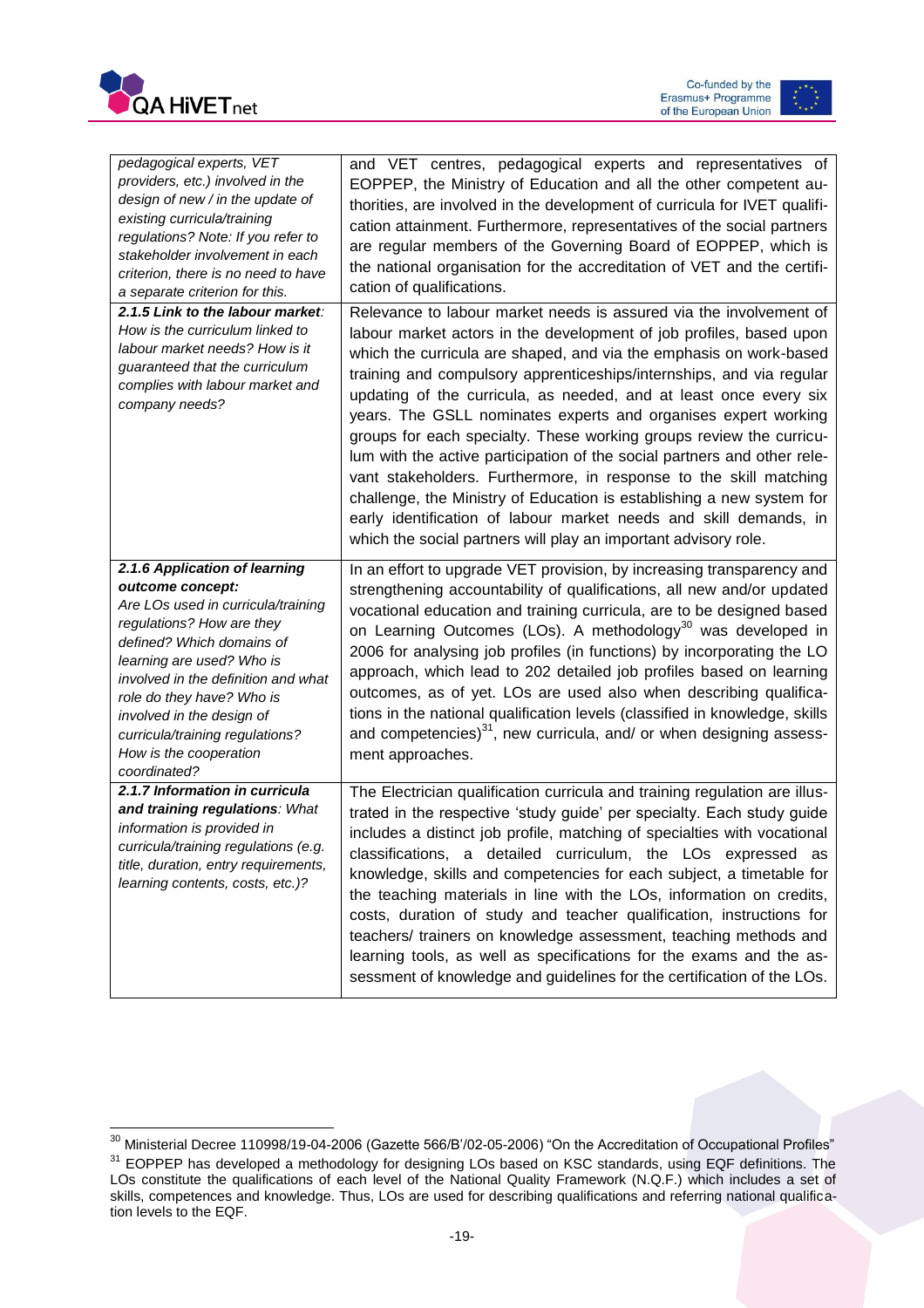



| pedagogical experts, VET<br>providers, etc.) involved in the<br>design of new / in the update of<br>existing curricula/training<br>regulations? Note: If you refer to<br>stakeholder involvement in each<br>criterion, there is no need to have<br>a separate criterion for this.                                                                            | and VET centres, pedagogical experts and representatives of<br>EOPPEP, the Ministry of Education and all the other competent au-<br>thorities, are involved in the development of curricula for IVET qualifi-<br>cation attainment. Furthermore, representatives of the social partners<br>are regular members of the Governing Board of EOPPEP, which is<br>the national organisation for the accreditation of VET and the certifi-<br>cation of qualifications.                                                                                                                                                                                                                                                                                                                                                                                                       |
|--------------------------------------------------------------------------------------------------------------------------------------------------------------------------------------------------------------------------------------------------------------------------------------------------------------------------------------------------------------|-------------------------------------------------------------------------------------------------------------------------------------------------------------------------------------------------------------------------------------------------------------------------------------------------------------------------------------------------------------------------------------------------------------------------------------------------------------------------------------------------------------------------------------------------------------------------------------------------------------------------------------------------------------------------------------------------------------------------------------------------------------------------------------------------------------------------------------------------------------------------|
| 2.1.5 Link to the labour market:<br>How is the curriculum linked to<br>labour market needs? How is it<br>guaranteed that the curriculum<br>complies with labour market and<br>company needs?                                                                                                                                                                 | Relevance to labour market needs is assured via the involvement of<br>labour market actors in the development of job profiles, based upon<br>which the curricula are shaped, and via the emphasis on work-based<br>training and compulsory apprenticeships/internships, and via regular<br>updating of the curricula, as needed, and at least once every six<br>years. The GSLL nominates experts and organises expert working<br>groups for each specialty. These working groups review the curricu-<br>lum with the active participation of the social partners and other rele-<br>vant stakeholders. Furthermore, in response to the skill matching<br>challenge, the Ministry of Education is establishing a new system for<br>early identification of labour market needs and skill demands, in<br>which the social partners will play an important advisory role. |
| 2.1.6 Application of learning<br>outcome concept:<br>Are LOs used in curricula/training<br>regulations? How are they<br>defined? Which domains of<br>learning are used? Who is<br>involved in the definition and what<br>role do they have? Who is<br>involved in the design of<br>curricula/training regulations?<br>How is the cooperation<br>coordinated? | In an effort to upgrade VET provision, by increasing transparency and<br>strengthening accountability of qualifications, all new and/or updated<br>vocational education and training curricula, are to be designed based<br>on Learning Outcomes (LOs). A methodology <sup>30</sup> was developed in<br>2006 for analysing job profiles (in functions) by incorporating the LO<br>approach, which lead to 202 detailed job profiles based on learning<br>outcomes, as of yet. LOs are used also when describing qualifica-<br>tions in the national qualification levels (classified in knowledge, skills<br>and competencies) <sup>31</sup> , new curricula, and/ or when designing assess-<br>ment approaches.                                                                                                                                                        |
| 2.1.7 Information in curricula<br>and training regulations: What<br>information is provided in<br>curricula/training regulations (e.g.<br>title, duration, entry requirements,<br>learning contents, costs, etc.)?                                                                                                                                           | The Electrician qualification curricula and training regulation are illus-<br>trated in the respective 'study guide' per specialty. Each study guide<br>includes a distinct job profile, matching of specialties with vocational<br>classifications, a detailed curriculum, the LOs expressed as<br>knowledge, skills and competencies for each subject, a timetable for<br>the teaching materials in line with the LOs, information on credits,<br>costs, duration of study and teacher qualification, instructions for<br>teachers/ trainers on knowledge assessment, teaching methods and<br>learning tools, as well as specifications for the exams and the as-<br>sessment of knowledge and guidelines for the certification of the LOs.                                                                                                                           |

 $\overline{\phantom{a}}$  $^{\rm 30}$  Ministerial Decree 110998/19-04-2006 (Gazette 566/B'/02-05-2006) "On the Accreditation of Occupational Profiles"

 $31$  EOPPEP has developed a methodology for designing LOs based on KSC standards, using EQF definitions. The LOs constitute the qualifications of each level of the National Quality Framework (N.Q.F.) which includes a set of skills, competences and knowledge. Thus, LOs are used for describing qualifications and referring national qualification levels to the EQF.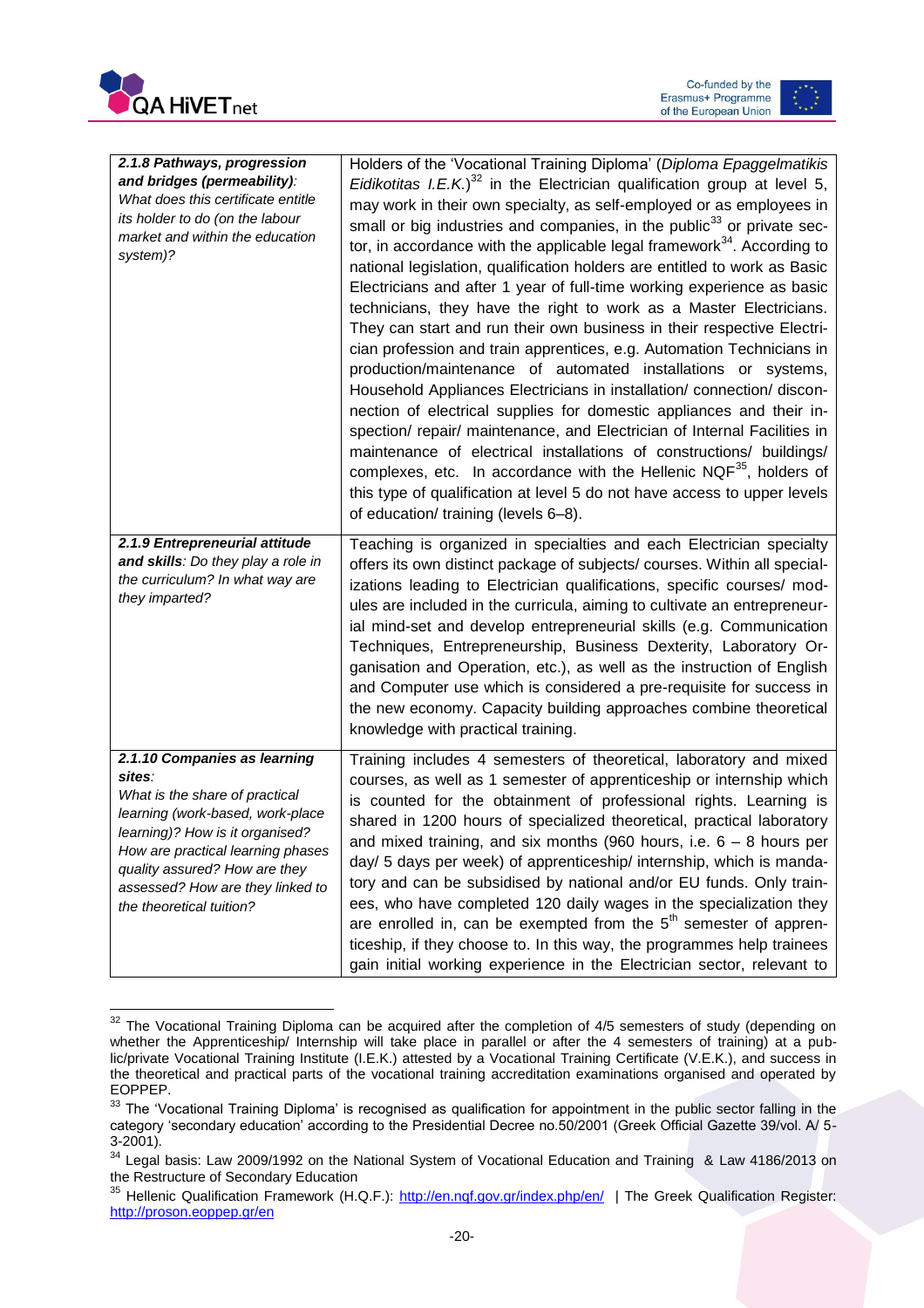





| 2.1.8 Pathways, progression<br>and bridges (permeability):<br>What does this certificate entitle<br>its holder to do (on the labour<br>market and within the education<br>system)?                                                                                                    | Holders of the 'Vocational Training Diploma' (Diploma Epaggelmatikis<br>Eidikotitas I.E.K.) <sup>32</sup> in the Electrician qualification group at level 5,<br>may work in their own specialty, as self-employed or as employees in<br>small or big industries and companies, in the public <sup>33</sup> or private sec-<br>tor, in accordance with the applicable legal framework <sup>34</sup> . According to<br>national legislation, qualification holders are entitled to work as Basic<br>Electricians and after 1 year of full-time working experience as basic<br>technicians, they have the right to work as a Master Electricians.<br>They can start and run their own business in their respective Electri-<br>cian profession and train apprentices, e.g. Automation Technicians in<br>production/maintenance of automated installations or systems,<br>Household Appliances Electricians in installation/ connection/ discon-<br>nection of electrical supplies for domestic appliances and their in-<br>spection/repair/maintenance, and Electrician of Internal Facilities in<br>maintenance of electrical installations of constructions/ buildings/<br>complexes, etc. In accordance with the Hellenic $NQF^{35}$ , holders of<br>this type of qualification at level 5 do not have access to upper levels<br>of education/ training (levels 6-8). |
|---------------------------------------------------------------------------------------------------------------------------------------------------------------------------------------------------------------------------------------------------------------------------------------|-----------------------------------------------------------------------------------------------------------------------------------------------------------------------------------------------------------------------------------------------------------------------------------------------------------------------------------------------------------------------------------------------------------------------------------------------------------------------------------------------------------------------------------------------------------------------------------------------------------------------------------------------------------------------------------------------------------------------------------------------------------------------------------------------------------------------------------------------------------------------------------------------------------------------------------------------------------------------------------------------------------------------------------------------------------------------------------------------------------------------------------------------------------------------------------------------------------------------------------------------------------------------------------------------------------------------------------------------------------------------|
| 2.1.9 Entrepreneurial attitude<br>and skills: Do they play a role in<br>the curriculum? In what way are<br>they imparted?                                                                                                                                                             | Teaching is organized in specialties and each Electrician specialty<br>offers its own distinct package of subjects/ courses. Within all special-<br>izations leading to Electrician qualifications, specific courses/ mod-<br>ules are included in the curricula, aiming to cultivate an entrepreneur-<br>ial mind-set and develop entrepreneurial skills (e.g. Communication<br>Techniques, Entrepreneurship, Business Dexterity, Laboratory Or-<br>ganisation and Operation, etc.), as well as the instruction of English<br>and Computer use which is considered a pre-requisite for success in<br>the new economy. Capacity building approaches combine theoretical<br>knowledge with practical training.                                                                                                                                                                                                                                                                                                                                                                                                                                                                                                                                                                                                                                                         |
| 2.1.10 Companies as learning<br>sites:<br>What is the share of practical<br>learning (work-based, work-place<br>learning)? How is it organised?<br>How are practical learning phases<br>quality assured? How are they<br>assessed? How are they linked to<br>the theoretical tuition? | Training includes 4 semesters of theoretical, laboratory and mixed<br>courses, as well as 1 semester of apprenticeship or internship which<br>is counted for the obtainment of professional rights. Learning is<br>shared in 1200 hours of specialized theoretical, practical laboratory<br>and mixed training, and six months (960 hours, i.e. $6 - 8$ hours per<br>day/ 5 days per week) of apprenticeship/ internship, which is manda-<br>tory and can be subsidised by national and/or EU funds. Only train-<br>ees, who have completed 120 daily wages in the specialization they<br>are enrolled in, can be exempted from the $5th$ semester of appren-<br>ticeship, if they choose to. In this way, the programmes help trainees<br>gain initial working experience in the Electrician sector, relevant to                                                                                                                                                                                                                                                                                                                                                                                                                                                                                                                                                     |

 $\overline{\phantom{a}}$  $32$  The Vocational Training Diploma can be acquired after the completion of 4/5 semesters of study (depending on whether the Apprenticeship/ Internship will take place in parallel or after the 4 semesters of training) at a public/private Vocational Training Institute (I.E.K.) attested by a Vocational Training Certificate (V.E.K.), and success in the theoretical and practical parts of the vocational training accreditation examinations organised and operated by EOPPEP.

<sup>&</sup>lt;sup>33</sup> The 'Vocational Training Diploma' is recognised as qualification for appointment in the public sector falling in the category 'secondary education' according to the Presidential Decree no.50/2001 (Greek Official Gazette 39/vol. A/ 5- 3-2001).

<sup>&</sup>lt;sup>34</sup> Legal basis: Law 2009/1992 on the National System of Vocational Education and Training & Law 4186/2013 on the Restructure of Secondary Education

<sup>35</sup> Hellenic Qualification Framework (H.Q.F.):<http://en.nqf.gov.gr/index.php/en/>| The Greek Qualification Register: <http://proson.eoppep.gr/en>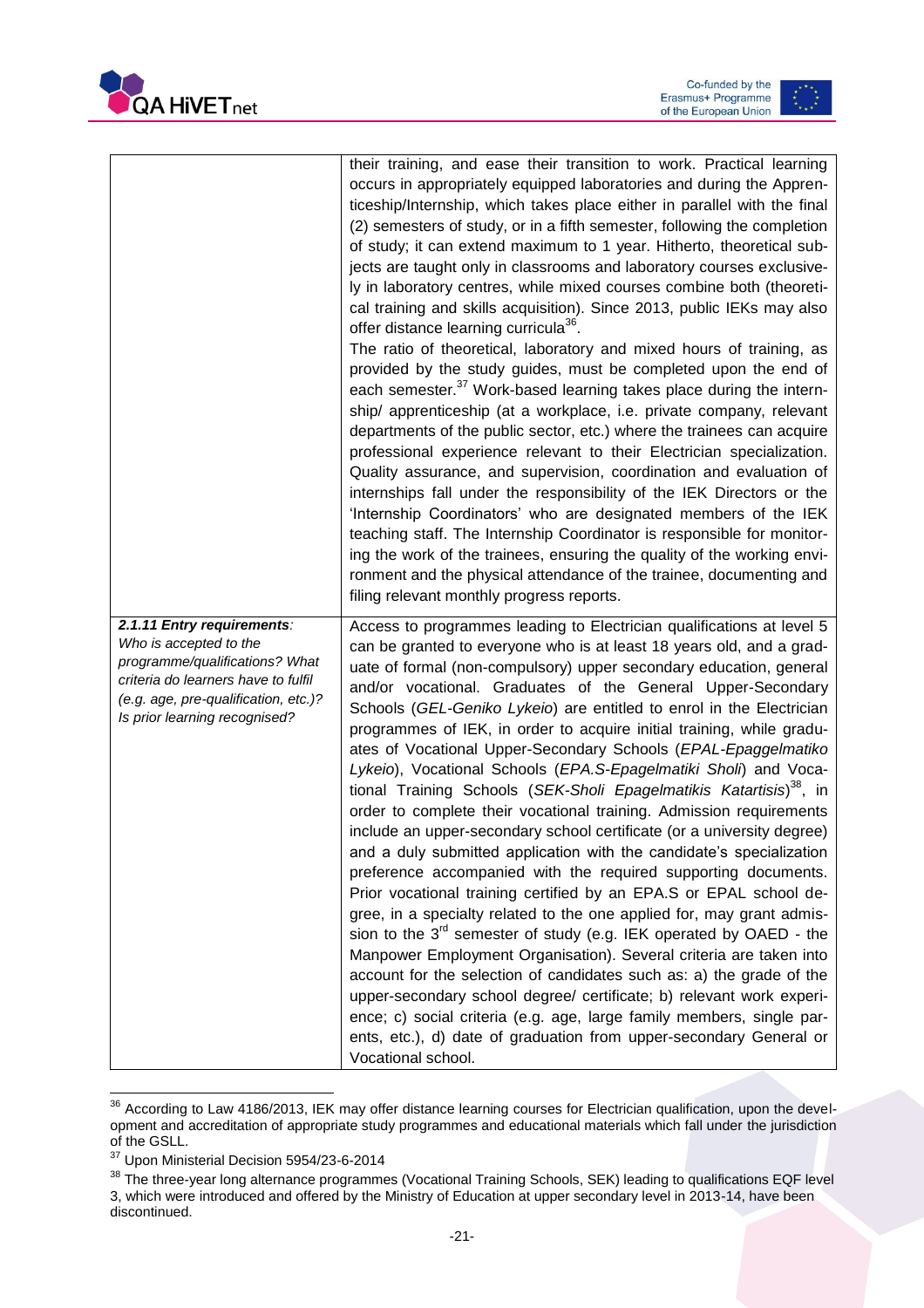



|                                                                                                                                                                                                        | their training, and ease their transition to work. Practical learning<br>occurs in appropriately equipped laboratories and during the Appren-<br>ticeship/Internship, which takes place either in parallel with the final<br>(2) semesters of study, or in a fifth semester, following the completion<br>of study; it can extend maximum to 1 year. Hitherto, theoretical sub-<br>jects are taught only in classrooms and laboratory courses exclusive-<br>ly in laboratory centres, while mixed courses combine both (theoreti-<br>cal training and skills acquisition). Since 2013, public IEKs may also<br>offer distance learning curricula <sup>36</sup> .<br>The ratio of theoretical, laboratory and mixed hours of training, as<br>provided by the study guides, must be completed upon the end of<br>each semester. <sup>37</sup> Work-based learning takes place during the intern-<br>ship/ apprenticeship (at a workplace, i.e. private company, relevant<br>departments of the public sector, etc.) where the trainees can acquire<br>professional experience relevant to their Electrician specialization.<br>Quality assurance, and supervision, coordination and evaluation of<br>internships fall under the responsibility of the IEK Directors or the<br>'Internship Coordinators' who are designated members of the IEK                                                                                                                                                                                                                                   |
|--------------------------------------------------------------------------------------------------------------------------------------------------------------------------------------------------------|------------------------------------------------------------------------------------------------------------------------------------------------------------------------------------------------------------------------------------------------------------------------------------------------------------------------------------------------------------------------------------------------------------------------------------------------------------------------------------------------------------------------------------------------------------------------------------------------------------------------------------------------------------------------------------------------------------------------------------------------------------------------------------------------------------------------------------------------------------------------------------------------------------------------------------------------------------------------------------------------------------------------------------------------------------------------------------------------------------------------------------------------------------------------------------------------------------------------------------------------------------------------------------------------------------------------------------------------------------------------------------------------------------------------------------------------------------------------------------------------------------------------------------------------------------------------------|
|                                                                                                                                                                                                        | teaching staff. The Internship Coordinator is responsible for monitor-<br>ing the work of the trainees, ensuring the quality of the working envi-<br>ronment and the physical attendance of the trainee, documenting and<br>filing relevant monthly progress reports.                                                                                                                                                                                                                                                                                                                                                                                                                                                                                                                                                                                                                                                                                                                                                                                                                                                                                                                                                                                                                                                                                                                                                                                                                                                                                                        |
| 2.1.11 Entry requirements:<br>Who is accepted to the<br>programme/qualifications? What<br>criteria do learners have to fulfil<br>(e.g. age, pre-qualification, etc.)?<br>Is prior learning recognised? | Access to programmes leading to Electrician qualifications at level 5<br>can be granted to everyone who is at least 18 years old, and a grad-<br>uate of formal (non-compulsory) upper secondary education, general<br>and/or vocational. Graduates of the General Upper-Secondary<br>Schools (GEL-Geniko Lykeio) are entitled to enrol in the Electrician<br>programmes of IEK, in order to acquire initial training, while gradu-<br>ates of Vocational Upper-Secondary Schools (EPAL-Epaggelmatiko<br>Lykeio), Vocational Schools (EPA.S-Epagelmatiki Sholi) and Voca-<br>tional Training Schools (SEK-Sholi Epagelmatikis Katartisis) <sup>38</sup> , in<br>order to complete their vocational training. Admission requirements<br>include an upper-secondary school certificate (or a university degree)<br>and a duly submitted application with the candidate's specialization<br>preference accompanied with the required supporting documents.<br>Prior vocational training certified by an EPA.S or EPAL school de-<br>gree, in a specialty related to the one applied for, may grant admis-<br>sion to the $3^{rd}$ semester of study (e.g. IEK operated by OAED - the<br>Manpower Employment Organisation). Several criteria are taken into<br>account for the selection of candidates such as: a) the grade of the<br>upper-secondary school degree/ certificate; b) relevant work experi-<br>ence; c) social criteria (e.g. age, large family members, single par-<br>ents, etc.), d) date of graduation from upper-secondary General or<br>Vocational school. |

 $\overline{\phantom{a}}$  $36$  According to Law 4186/2013, IEK may offer distance learning courses for Electrician qualification, upon the development and accreditation of appropriate study programmes and educational materials which fall under the jurisdiction of the GSLL.

<sup>37</sup> Upon Ministerial Decision 5954/23-6-2014

 $^{38}$  The three-year long alternance programmes (Vocational Training Schools, SEK) leading to qualifications EQF level 3, which were introduced and offered by the Ministry of Education at upper secondary level in 2013-14, have been discontinued.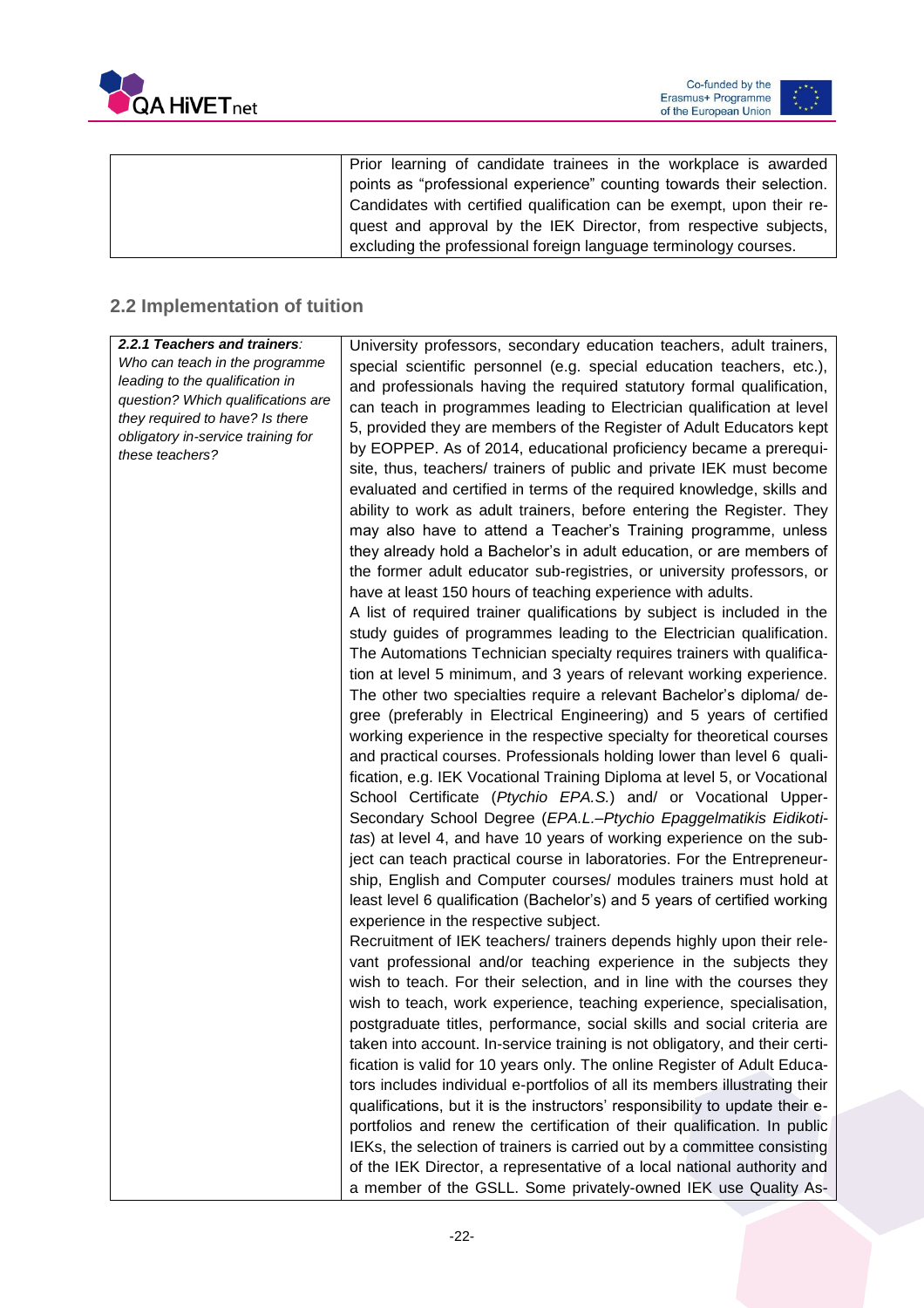



| Prior learning of candidate trainees in the workplace is awarded      |
|-----------------------------------------------------------------------|
| points as "professional experience" counting towards their selection. |
| Candidates with certified qualification can be exempt, upon their re- |
| quest and approval by the IEK Director, from respective subjects,     |
| excluding the professional foreign language terminology courses.      |
|                                                                       |

### <span id="page-22-0"></span>**2.2 Implementation of tuition**

| 2.2.1 Teachers and trainers:       | University professors, secondary education teachers, adult trainers,         |
|------------------------------------|------------------------------------------------------------------------------|
| Who can teach in the programme     | special scientific personnel (e.g. special education teachers, etc.),        |
| leading to the qualification in    | and professionals having the required statutory formal qualification,        |
| question? Which qualifications are | can teach in programmes leading to Electrician qualification at level        |
| they required to have? Is there    | 5, provided they are members of the Register of Adult Educators kept         |
| obligatory in-service training for | by EOPPEP. As of 2014, educational proficiency became a prerequi-            |
| these teachers?                    | site, thus, teachers/ trainers of public and private IEK must become         |
|                                    | evaluated and certified in terms of the required knowledge, skills and       |
|                                    |                                                                              |
|                                    | ability to work as adult trainers, before entering the Register. They        |
|                                    | may also have to attend a Teacher's Training programme, unless               |
|                                    | they already hold a Bachelor's in adult education, or are members of         |
|                                    | the former adult educator sub-registries, or university professors, or       |
|                                    | have at least 150 hours of teaching experience with adults.                  |
|                                    | A list of required trainer qualifications by subject is included in the      |
|                                    | study guides of programmes leading to the Electrician qualification.         |
|                                    | The Automations Technician specialty requires trainers with qualifica-       |
|                                    | tion at level 5 minimum, and 3 years of relevant working experience.         |
|                                    | The other two specialties require a relevant Bachelor's diploma/ de-         |
|                                    | gree (preferably in Electrical Engineering) and 5 years of certified         |
|                                    | working experience in the respective specialty for theoretical courses       |
|                                    | and practical courses. Professionals holding lower than level 6 quali-       |
|                                    | fication, e.g. IEK Vocational Training Diploma at level 5, or Vocational     |
|                                    | School Certificate (Ptychio EPA.S.) and/ or Vocational Upper-                |
|                                    | Secondary School Degree (EPA.L.-Ptychio Epaggelmatikis Eidikoti-             |
|                                    | tas) at level 4, and have 10 years of working experience on the sub-         |
|                                    | ject can teach practical course in laboratories. For the Entrepreneur-       |
|                                    | ship, English and Computer courses/ modules trainers must hold at            |
|                                    | least level 6 qualification (Bachelor's) and 5 years of certified working    |
|                                    | experience in the respective subject.                                        |
|                                    | Recruitment of IEK teachers/ trainers depends highly upon their rele-        |
|                                    | vant professional and/or teaching experience in the subjects they            |
|                                    | wish to teach. For their selection, and in line with the courses they        |
|                                    | wish to teach, work experience, teaching experience, specialisation,         |
|                                    |                                                                              |
|                                    | postgraduate titles, performance, social skills and social criteria are      |
|                                    | taken into account. In-service training is not obligatory, and their certi-  |
|                                    | fication is valid for 10 years only. The online Register of Adult Educa-     |
|                                    | tors includes individual e-portfolios of all its members illustrating their  |
|                                    | qualifications, but it is the instructors' responsibility to update their e- |
|                                    | portfolios and renew the certification of their qualification. In public     |
|                                    | IEKs, the selection of trainers is carried out by a committee consisting     |
|                                    | of the IEK Director, a representative of a local national authority and      |
|                                    | a member of the GSLL. Some privately-owned IEK use Quality As-               |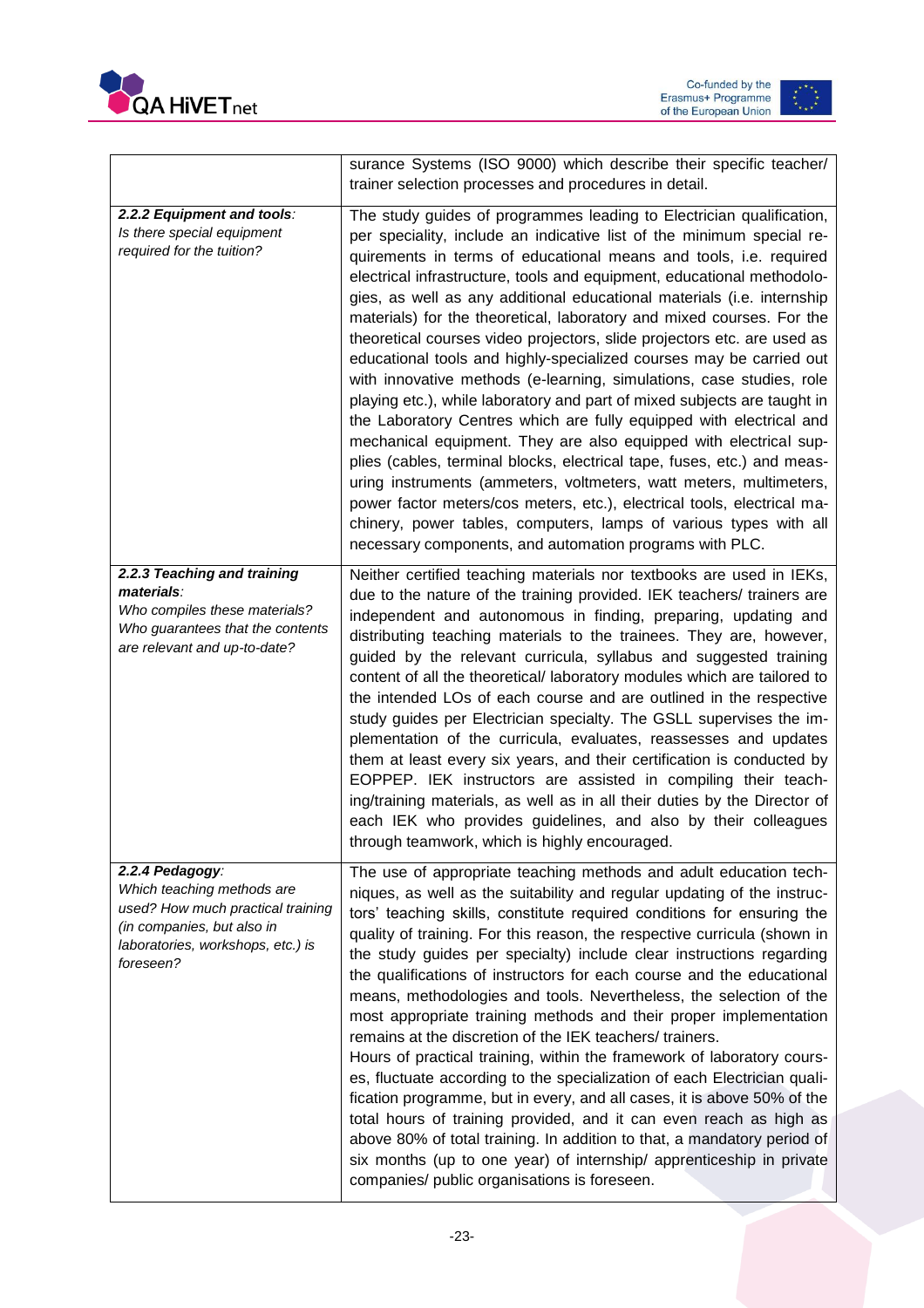



|                                                                                                                                                                    | surance Systems (ISO 9000) which describe their specific teacher/<br>trainer selection processes and procedures in detail.                                                                                                                                                                                                                                                                                                                                                                                                                                                                                                                                                                                                                                                                                                                                                                                                                                                                                                                                                                                                                                                                                                                                    |
|--------------------------------------------------------------------------------------------------------------------------------------------------------------------|---------------------------------------------------------------------------------------------------------------------------------------------------------------------------------------------------------------------------------------------------------------------------------------------------------------------------------------------------------------------------------------------------------------------------------------------------------------------------------------------------------------------------------------------------------------------------------------------------------------------------------------------------------------------------------------------------------------------------------------------------------------------------------------------------------------------------------------------------------------------------------------------------------------------------------------------------------------------------------------------------------------------------------------------------------------------------------------------------------------------------------------------------------------------------------------------------------------------------------------------------------------|
| 2.2.2 Equipment and tools:<br>Is there special equipment<br>required for the tuition?                                                                              | The study guides of programmes leading to Electrician qualification,<br>per speciality, include an indicative list of the minimum special re-<br>quirements in terms of educational means and tools, i.e. required<br>electrical infrastructure, tools and equipment, educational methodolo-<br>gies, as well as any additional educational materials (i.e. internship<br>materials) for the theoretical, laboratory and mixed courses. For the<br>theoretical courses video projectors, slide projectors etc. are used as<br>educational tools and highly-specialized courses may be carried out<br>with innovative methods (e-learning, simulations, case studies, role<br>playing etc.), while laboratory and part of mixed subjects are taught in<br>the Laboratory Centres which are fully equipped with electrical and<br>mechanical equipment. They are also equipped with electrical sup-<br>plies (cables, terminal blocks, electrical tape, fuses, etc.) and meas-<br>uring instruments (ammeters, voltmeters, watt meters, multimeters,<br>power factor meters/cos meters, etc.), electrical tools, electrical ma-<br>chinery, power tables, computers, lamps of various types with all<br>necessary components, and automation programs with PLC. |
| 2.2.3 Teaching and training<br>materials:<br>Who compiles these materials?<br>Who guarantees that the contents<br>are relevant and up-to-date?                     | Neither certified teaching materials nor textbooks are used in IEKs,<br>due to the nature of the training provided. IEK teachers/ trainers are<br>independent and autonomous in finding, preparing, updating and<br>distributing teaching materials to the trainees. They are, however,<br>guided by the relevant curricula, syllabus and suggested training<br>content of all the theoretical/ laboratory modules which are tailored to<br>the intended LOs of each course and are outlined in the respective<br>study guides per Electrician specialty. The GSLL supervises the im-<br>plementation of the curricula, evaluates, reassesses and updates<br>them at least every six years, and their certification is conducted by<br>EOPPEP. IEK instructors are assisted in compiling their teach-<br>ing/training materials, as well as in all their duties by the Director of<br>each IEK who provides guidelines, and also by their colleagues<br>through teamwork, which is highly encouraged.                                                                                                                                                                                                                                                         |
| 2.2.4 Pedagogy:<br>Which teaching methods are<br>used? How much practical training<br>(in companies, but also in<br>laboratories, workshops, etc.) is<br>foreseen? | The use of appropriate teaching methods and adult education tech-<br>niques, as well as the suitability and regular updating of the instruc-<br>tors' teaching skills, constitute required conditions for ensuring the<br>quality of training. For this reason, the respective curricula (shown in<br>the study guides per specialty) include clear instructions regarding<br>the qualifications of instructors for each course and the educational<br>means, methodologies and tools. Nevertheless, the selection of the<br>most appropriate training methods and their proper implementation<br>remains at the discretion of the IEK teachers/ trainers.<br>Hours of practical training, within the framework of laboratory cours-<br>es, fluctuate according to the specialization of each Electrician quali-<br>fication programme, but in every, and all cases, it is above 50% of the<br>total hours of training provided, and it can even reach as high as<br>above 80% of total training. In addition to that, a mandatory period of<br>six months (up to one year) of internship/ apprenticeship in private<br>companies/ public organisations is foreseen.                                                                                          |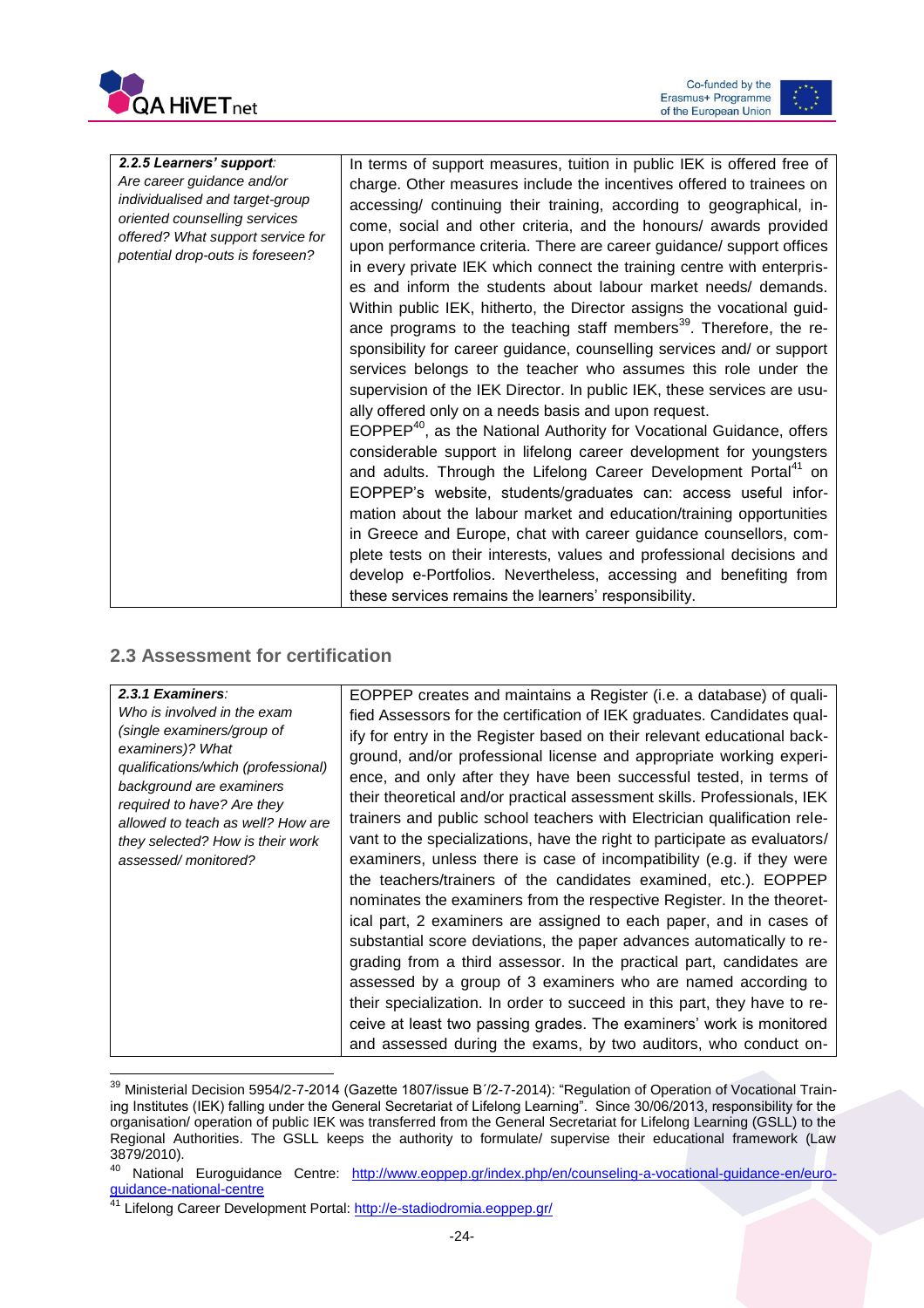



| 2.2.5 Learners' support:          | In terms of support measures, tuition in public IEK is offered free of           |
|-----------------------------------|----------------------------------------------------------------------------------|
| Are career guidance and/or        | charge. Other measures include the incentives offered to trainees on             |
| individualised and target-group   | accessing/ continuing their training, according to geographical, in-             |
| oriented counselling services     | come, social and other criteria, and the honours/ awards provided                |
| offered? What support service for | upon performance criteria. There are career guidance/ support offices            |
| potential drop-outs is foreseen?  | in every private IEK which connect the training centre with enterpris-           |
|                                   | es and inform the students about labour market needs/ demands.                   |
|                                   | Within public IEK, hitherto, the Director assigns the vocational guid-           |
|                                   | ance programs to the teaching staff members <sup>39</sup> . Therefore, the re-   |
|                                   | sponsibility for career guidance, counselling services and/ or support           |
|                                   | services belongs to the teacher who assumes this role under the                  |
|                                   | supervision of the IEK Director. In public IEK, these services are usu-          |
|                                   | ally offered only on a needs basis and upon request.                             |
|                                   | EOPPEP <sup>40</sup> , as the National Authority for Vocational Guidance, offers |
|                                   | considerable support in lifelong career development for youngsters               |
|                                   | and adults. Through the Lifelong Career Development Portal <sup>41</sup> on      |
|                                   | EOPPEP's website, students/graduates can: access useful infor-                   |
|                                   | mation about the labour market and education/training opportunities              |
|                                   | in Greece and Europe, chat with career guidance counsellors, com-                |
|                                   | plete tests on their interests, values and professional decisions and            |
|                                   | develop e-Portfolios. Nevertheless, accessing and benefiting from                |
|                                   | these services remains the learners' responsibility.                             |

### <span id="page-24-0"></span>**2.3 Assessment for certification**

| 2.3.1 Examiners:                                                | EOPPEP creates and maintains a Register (i.e. a database) of quali-       |
|-----------------------------------------------------------------|---------------------------------------------------------------------------|
| Who is involved in the exam                                     | fied Assessors for the certification of IEK graduates. Candidates qual-   |
| (single examiners/group of                                      | ify for entry in the Register based on their relevant educational back-   |
| examiners)? What                                                | ground, and/or professional license and appropriate working experi-       |
| qualifications/which (professional)                             | ence, and only after they have been successful tested, in terms of        |
| background are examiners                                        | their theoretical and/or practical assessment skills. Professionals, IEK  |
| required to have? Are they<br>allowed to teach as well? How are | trainers and public school teachers with Electrician qualification rele-  |
| they selected? How is their work                                | vant to the specializations, have the right to participate as evaluators/ |
| assessed/monitored?                                             | examiners, unless there is case of incompatibility (e.g. if they were     |
|                                                                 | the teachers/trainers of the candidates examined, etc.). EOPPEP           |
|                                                                 | nominates the examiners from the respective Register. In the theoret-     |
|                                                                 | ical part, 2 examiners are assigned to each paper, and in cases of        |
|                                                                 | substantial score deviations, the paper advances automatically to re-     |
|                                                                 | grading from a third assessor. In the practical part, candidates are      |
|                                                                 | assessed by a group of 3 examiners who are named according to             |
|                                                                 | their specialization. In order to succeed in this part, they have to re-  |
|                                                                 | ceive at least two passing grades. The examiners' work is monitored       |
|                                                                 |                                                                           |
|                                                                 | and assessed during the exams, by two auditors, who conduct on-           |

 $\overline{\phantom{a}}$ <sup>39</sup> Ministerial Decision 5954/2-7-2014 (Gazette 1807/issue Β΄/2-7-2014): "Regulation of Operation of Vocational Training Institutes (IEK) falling under the General Secretariat of Lifelong Learning". Since 30/06/2013, responsibility for the organisation/ operation of public IEK was transferred from the General Secretariat for Lifelong Learning (GSLL) to the Regional Authorities. The GSLL keeps the authority to formulate/ supervise their educational framework (Law 3879/2010).

<sup>40</sup> National Euroguidance Centre: [http://www.eoppep.gr/index.php/en/counseling-a-vocational-guidance-en/euro](http://www.eoppep.gr/index.php/en/counseling-a-vocational-guidance-en/euroguidance-national-centre)[guidance-national-centre](http://www.eoppep.gr/index.php/en/counseling-a-vocational-guidance-en/euroguidance-national-centre)

<sup>41</sup> Lifelong Career Development Portal:<http://e-stadiodromia.eoppep.gr/>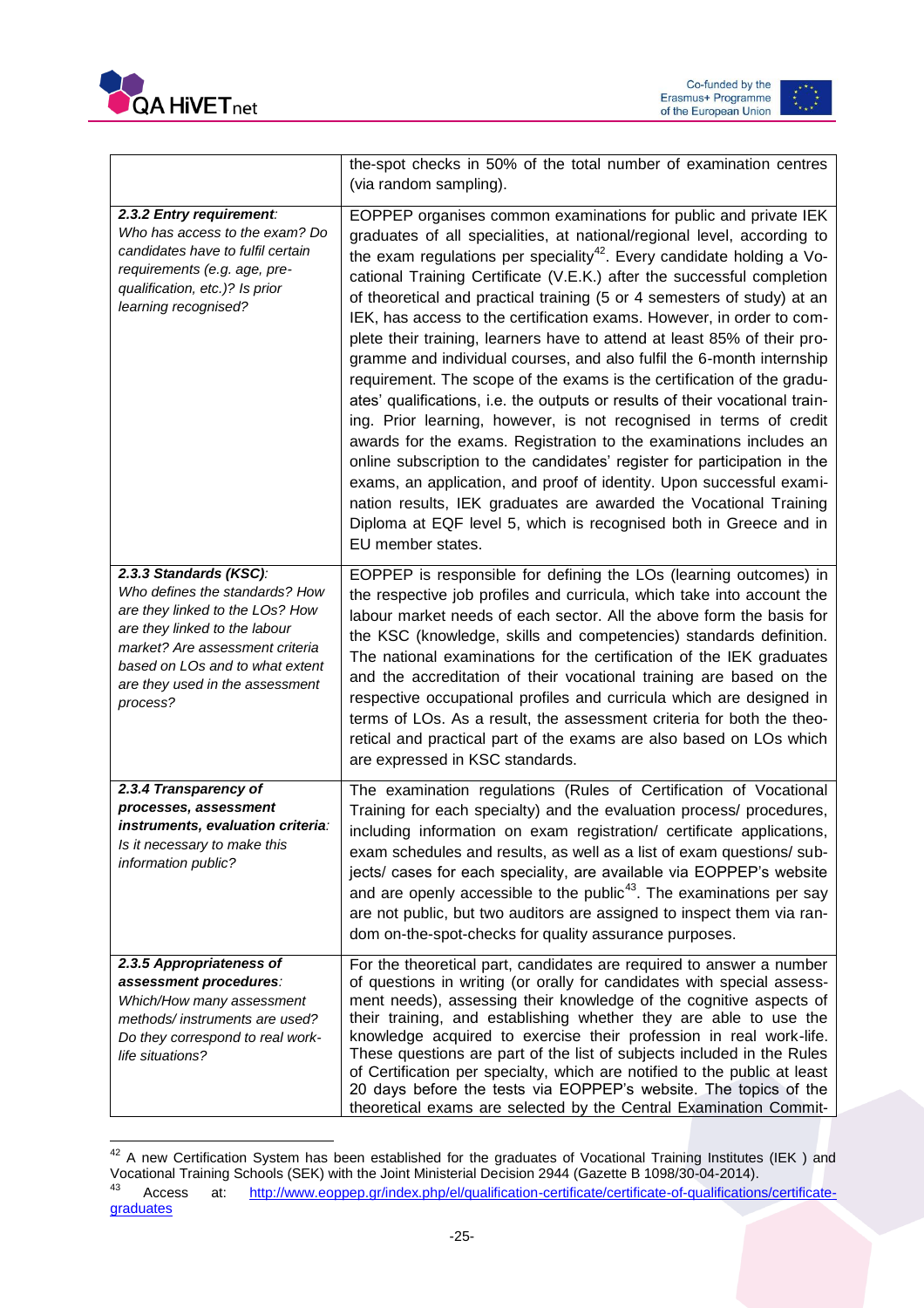



|                                                                                                                                                                                                                                                   | the-spot checks in 50% of the total number of examination centres<br>(via random sampling).                                                                                                                                                                                                                                                                                                                                                                                                                                                                                                                                                                                                                                                                                                                                                                                                                                                                                                                                                                                                                                                                                                                                                 |
|---------------------------------------------------------------------------------------------------------------------------------------------------------------------------------------------------------------------------------------------------|---------------------------------------------------------------------------------------------------------------------------------------------------------------------------------------------------------------------------------------------------------------------------------------------------------------------------------------------------------------------------------------------------------------------------------------------------------------------------------------------------------------------------------------------------------------------------------------------------------------------------------------------------------------------------------------------------------------------------------------------------------------------------------------------------------------------------------------------------------------------------------------------------------------------------------------------------------------------------------------------------------------------------------------------------------------------------------------------------------------------------------------------------------------------------------------------------------------------------------------------|
| 2.3.2 Entry requirement:<br>Who has access to the exam? Do<br>candidates have to fulfil certain<br>requirements (e.g. age, pre-<br>qualification, etc.)? Is prior<br>learning recognised?                                                         | EOPPEP organises common examinations for public and private IEK<br>graduates of all specialities, at national/regional level, according to<br>the exam regulations per speciality <sup>42</sup> . Every candidate holding a Vo-<br>cational Training Certificate (V.E.K.) after the successful completion<br>of theoretical and practical training (5 or 4 semesters of study) at an<br>IEK, has access to the certification exams. However, in order to com-<br>plete their training, learners have to attend at least 85% of their pro-<br>gramme and individual courses, and also fulfil the 6-month internship<br>requirement. The scope of the exams is the certification of the gradu-<br>ates' qualifications, i.e. the outputs or results of their vocational train-<br>ing. Prior learning, however, is not recognised in terms of credit<br>awards for the exams. Registration to the examinations includes an<br>online subscription to the candidates' register for participation in the<br>exams, an application, and proof of identity. Upon successful exami-<br>nation results, IEK graduates are awarded the Vocational Training<br>Diploma at EQF level 5, which is recognised both in Greece and in<br>EU member states. |
| 2.3.3 Standards (KSC):<br>Who defines the standards? How<br>are they linked to the LOs? How<br>are they linked to the labour<br>market? Are assessment criteria<br>based on LOs and to what extent<br>are they used in the assessment<br>process? | EOPPEP is responsible for defining the LOs (learning outcomes) in<br>the respective job profiles and curricula, which take into account the<br>labour market needs of each sector. All the above form the basis for<br>the KSC (knowledge, skills and competencies) standards definition.<br>The national examinations for the certification of the IEK graduates<br>and the accreditation of their vocational training are based on the<br>respective occupational profiles and curricula which are designed in<br>terms of LOs. As a result, the assessment criteria for both the theo-<br>retical and practical part of the exams are also based on LOs which<br>are expressed in KSC standards.                                                                                                                                                                                                                                                                                                                                                                                                                                                                                                                                         |
| 2.3.4 Transparency of<br>processes, assessment<br>instruments, evaluation criteria:<br>Is it necessary to make this<br>information public?                                                                                                        | The examination regulations (Rules of Certification of Vocational<br>Training for each specialty) and the evaluation process/ procedures,<br>including information on exam registration/ certificate applications,<br>exam schedules and results, as well as a list of exam questions/ sub-<br>jects/ cases for each speciality, are available via EOPPEP's website<br>and are openly accessible to the public <sup>43</sup> . The examinations per say<br>are not public, but two auditors are assigned to inspect them via ran-<br>dom on-the-spot-checks for quality assurance purposes.                                                                                                                                                                                                                                                                                                                                                                                                                                                                                                                                                                                                                                                 |
| 2.3.5 Appropriateness of<br>assessment procedures:<br>Which/How many assessment<br>methods/instruments are used?<br>Do they correspond to real work-<br>life situations?                                                                          | For the theoretical part, candidates are required to answer a number<br>of questions in writing (or orally for candidates with special assess-<br>ment needs), assessing their knowledge of the cognitive aspects of<br>their training, and establishing whether they are able to use the<br>knowledge acquired to exercise their profession in real work-life.<br>These questions are part of the list of subjects included in the Rules<br>of Certification per specialty, which are notified to the public at least<br>20 days before the tests via EOPPEP's website. The topics of the<br>theoretical exams are selected by the Central Examination Commit-                                                                                                                                                                                                                                                                                                                                                                                                                                                                                                                                                                             |

 $\overline{a}$  $42$  A new Certification System has been established for the graduates of Vocational Training Institutes (IEK) and Vocational Training Schools (SEK) with the Joint Ministerial Decision 2944 (Gazette B 1098/30-04-2014). Access at: [http://www.eoppep.gr/index.php/el/qualification-certificate/certificate-of-qualifications/certificate](http://www.eoppep.gr/index.php/el/qualification-certificate/certificate-of-qualifications/certificate-graduates)[graduates](http://www.eoppep.gr/index.php/el/qualification-certificate/certificate-of-qualifications/certificate-graduates)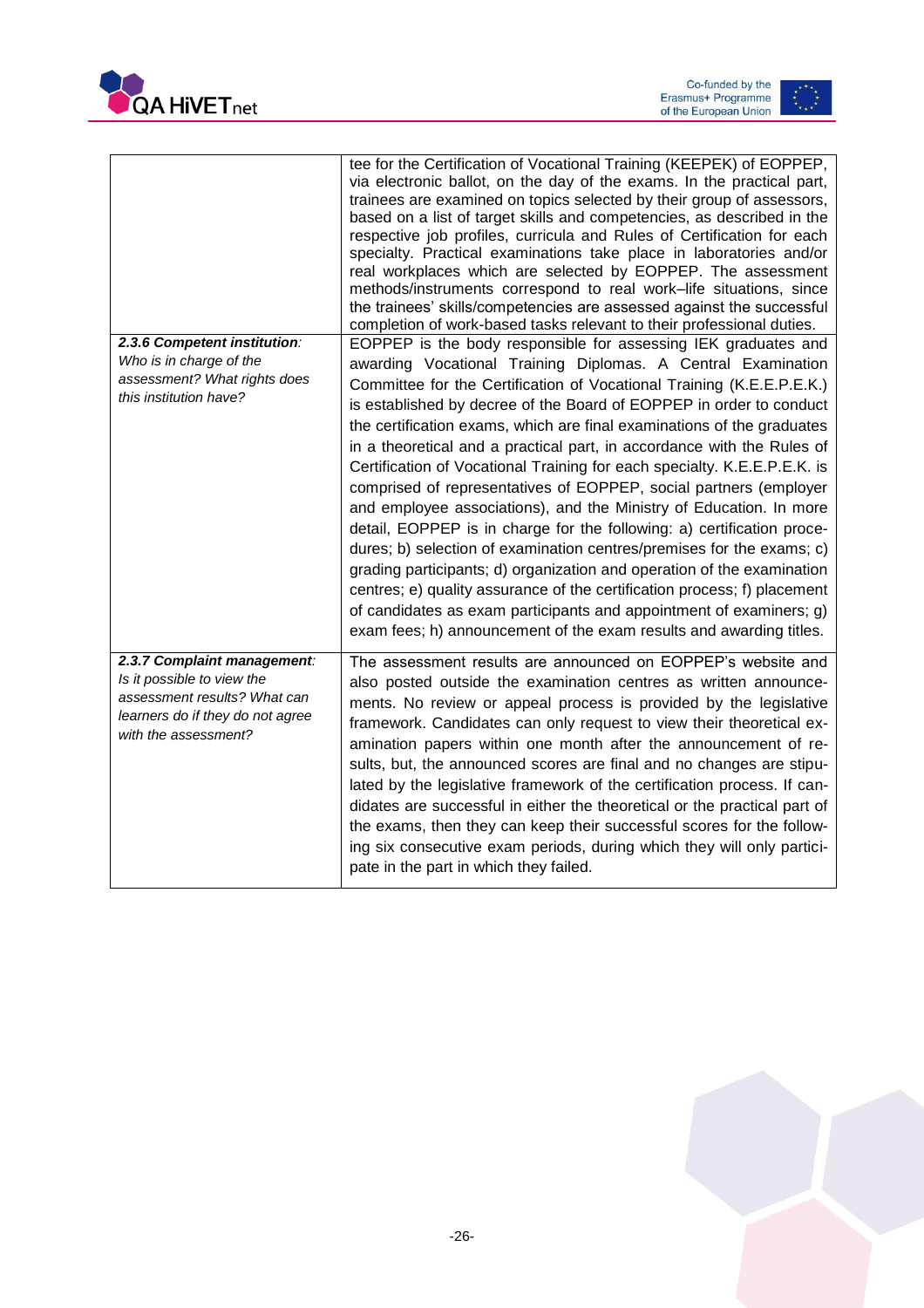



| 2.3.6 Competent institution:<br>Who is in charge of the<br>assessment? What rights does<br>this institution have?                                     | tee for the Certification of Vocational Training (KEEPEK) of EOPPEP,<br>via electronic ballot, on the day of the exams. In the practical part,<br>trainees are examined on topics selected by their group of assessors,<br>based on a list of target skills and competencies, as described in the<br>respective job profiles, curricula and Rules of Certification for each<br>specialty. Practical examinations take place in laboratories and/or<br>real workplaces which are selected by EOPPEP. The assessment<br>methods/instruments correspond to real work-life situations, since<br>the trainees' skills/competencies are assessed against the successful<br>completion of work-based tasks relevant to their professional duties.<br>EOPPEP is the body responsible for assessing IEK graduates and<br>awarding Vocational Training Diplomas. A Central Examination<br>Committee for the Certification of Vocational Training (K.E.E.P.E.K.)<br>is established by decree of the Board of EOPPEP in order to conduct<br>the certification exams, which are final examinations of the graduates<br>in a theoretical and a practical part, in accordance with the Rules of<br>Certification of Vocational Training for each specialty. K.E.E.P.E.K. is<br>comprised of representatives of EOPPEP, social partners (employer<br>and employee associations), and the Ministry of Education. In more<br>detail, EOPPEP is in charge for the following: a) certification proce-<br>dures; b) selection of examination centres/premises for the exams; c)<br>grading participants; d) organization and operation of the examination<br>centres; e) quality assurance of the certification process; f) placement<br>of candidates as exam participants and appointment of examiners; g) |
|-------------------------------------------------------------------------------------------------------------------------------------------------------|-----------------------------------------------------------------------------------------------------------------------------------------------------------------------------------------------------------------------------------------------------------------------------------------------------------------------------------------------------------------------------------------------------------------------------------------------------------------------------------------------------------------------------------------------------------------------------------------------------------------------------------------------------------------------------------------------------------------------------------------------------------------------------------------------------------------------------------------------------------------------------------------------------------------------------------------------------------------------------------------------------------------------------------------------------------------------------------------------------------------------------------------------------------------------------------------------------------------------------------------------------------------------------------------------------------------------------------------------------------------------------------------------------------------------------------------------------------------------------------------------------------------------------------------------------------------------------------------------------------------------------------------------------------------------------------------------------------------------------------------------------------------------------------------|
|                                                                                                                                                       | exam fees; h) announcement of the exam results and awarding titles.                                                                                                                                                                                                                                                                                                                                                                                                                                                                                                                                                                                                                                                                                                                                                                                                                                                                                                                                                                                                                                                                                                                                                                                                                                                                                                                                                                                                                                                                                                                                                                                                                                                                                                                     |
| 2.3.7 Complaint management:<br>Is it possible to view the<br>assessment results? What can<br>learners do if they do not agree<br>with the assessment? | The assessment results are announced on EOPPEP's website and<br>also posted outside the examination centres as written announce-<br>ments. No review or appeal process is provided by the legislative<br>framework. Candidates can only request to view their theoretical ex-<br>amination papers within one month after the announcement of re-<br>sults, but, the announced scores are final and no changes are stipu-<br>lated by the legislative framework of the certification process. If can-<br>didates are successful in either the theoretical or the practical part of<br>the exams, then they can keep their successful scores for the follow-<br>ing six consecutive exam periods, during which they will only partici-<br>pate in the part in which they failed.                                                                                                                                                                                                                                                                                                                                                                                                                                                                                                                                                                                                                                                                                                                                                                                                                                                                                                                                                                                                          |

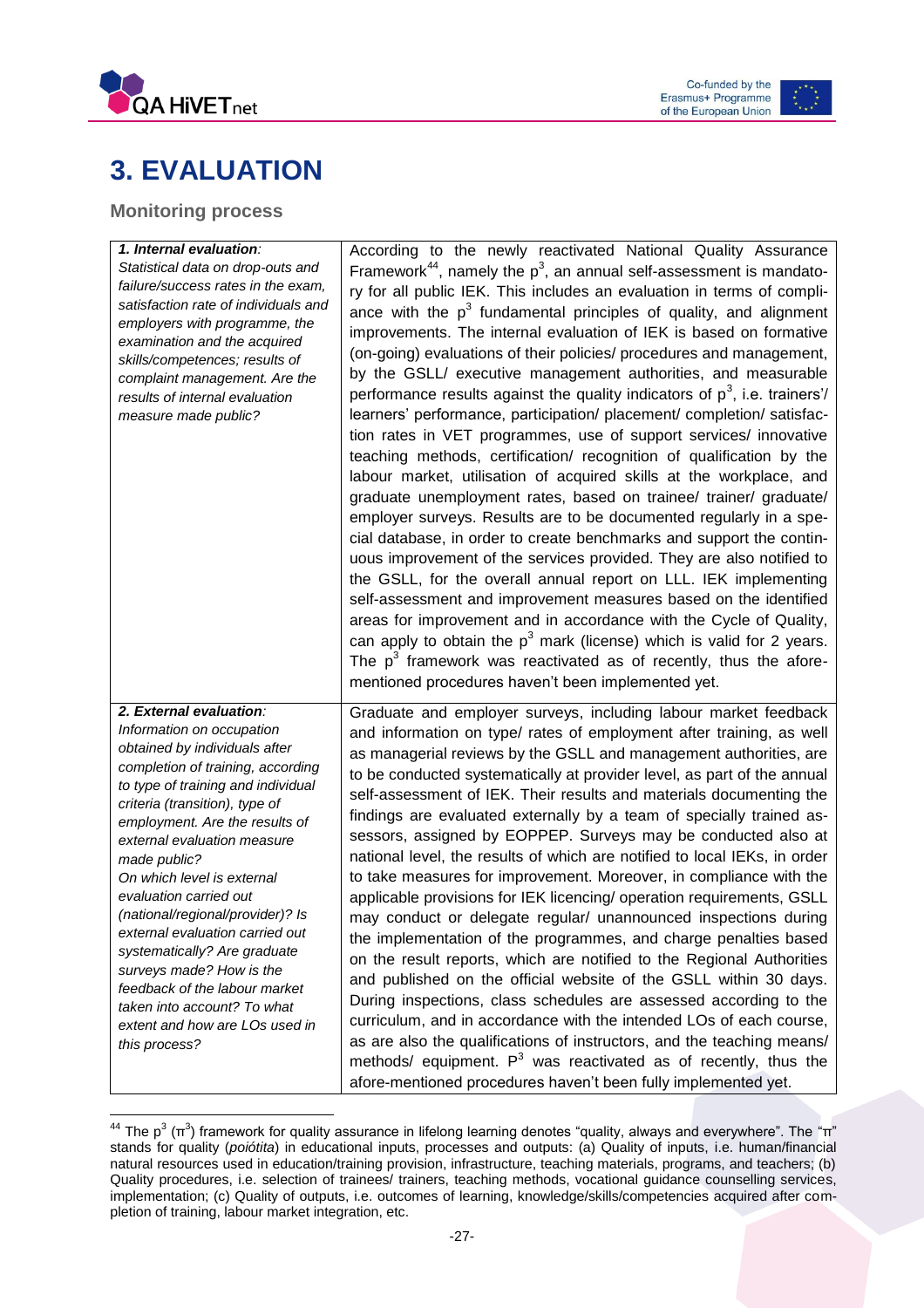



# <span id="page-27-0"></span>**3. EVALUATION**

### <span id="page-27-1"></span>**Monitoring process**

 $\overline{\phantom{a}}$ 

| 1. Internal evaluation:                                                 | According to the newly reactivated National Quality Assurance                                                                        |
|-------------------------------------------------------------------------|--------------------------------------------------------------------------------------------------------------------------------------|
| Statistical data on drop-outs and                                       | Framework <sup>44</sup> , namely the $p^3$ , an annual self-assessment is mandato-                                                   |
| failure/success rates in the exam,                                      | ry for all public IEK. This includes an evaluation in terms of compli-                                                               |
| satisfaction rate of individuals and                                    | ance with the $p^3$ fundamental principles of quality, and alignment                                                                 |
| employers with programme, the                                           | improvements. The internal evaluation of IEK is based on formative                                                                   |
| examination and the acquired                                            | (on-going) evaluations of their policies/ procedures and management,                                                                 |
| skills/competences; results of                                          |                                                                                                                                      |
| complaint management. Are the                                           | by the GSLL/ executive management authorities, and measurable                                                                        |
| results of internal evaluation                                          | performance results against the quality indicators of $p^3$ , i.e. trainers'/                                                        |
| measure made public?                                                    | learners' performance, participation/ placement/ completion/ satisfac-                                                               |
|                                                                         | tion rates in VET programmes, use of support services/ innovative                                                                    |
|                                                                         | teaching methods, certification/ recognition of qualification by the                                                                 |
|                                                                         | labour market, utilisation of acquired skills at the workplace, and                                                                  |
|                                                                         | graduate unemployment rates, based on trainee/ trainer/ graduate/                                                                    |
|                                                                         | employer surveys. Results are to be documented regularly in a spe-                                                                   |
|                                                                         | cial database, in order to create benchmarks and support the contin-                                                                 |
|                                                                         | uous improvement of the services provided. They are also notified to                                                                 |
|                                                                         | the GSLL, for the overall annual report on LLL. IEK implementing                                                                     |
|                                                                         |                                                                                                                                      |
|                                                                         | self-assessment and improvement measures based on the identified                                                                     |
|                                                                         | areas for improvement and in accordance with the Cycle of Quality,                                                                   |
|                                                                         | can apply to obtain the $p^3$ mark (license) which is valid for 2 years.                                                             |
|                                                                         | The $p^3$ framework was reactivated as of recently, thus the afore-                                                                  |
|                                                                         | mentioned procedures haven't been implemented yet.                                                                                   |
|                                                                         |                                                                                                                                      |
|                                                                         |                                                                                                                                      |
| 2. External evaluation:                                                 | Graduate and employer surveys, including labour market feedback                                                                      |
| Information on occupation                                               | and information on type/ rates of employment after training, as well                                                                 |
| obtained by individuals after                                           | as managerial reviews by the GSLL and management authorities, are                                                                    |
| completion of training, according<br>to type of training and individual | to be conducted systematically at provider level, as part of the annual                                                              |
| criteria (transition), type of                                          | self-assessment of IEK. Their results and materials documenting the                                                                  |
| employment. Are the results of                                          | findings are evaluated externally by a team of specially trained as-                                                                 |
| external evaluation measure                                             | sessors, assigned by EOPPEP. Surveys may be conducted also at                                                                        |
| made public?                                                            | national level, the results of which are notified to local IEKs, in order                                                            |
| On which level is external                                              | to take measures for improvement. Moreover, in compliance with the                                                                   |
| evaluation carried out                                                  | applicable provisions for IEK licencing/ operation requirements, GSLL                                                                |
| (national/regional/provider)? Is                                        | may conduct or delegate regular/ unannounced inspections during                                                                      |
| external evaluation carried out                                         |                                                                                                                                      |
| systematically? Are graduate                                            | the implementation of the programmes, and charge penalties based                                                                     |
| surveys made? How is the                                                | on the result reports, which are notified to the Regional Authorities                                                                |
| feedback of the labour market                                           | and published on the official website of the GSLL within 30 days.                                                                    |
| taken into account? To what                                             | During inspections, class schedules are assessed according to the                                                                    |
| extent and how are LOs used in                                          | curriculum, and in accordance with the intended LOs of each course,                                                                  |
| this process?                                                           | as are also the qualifications of instructors, and the teaching means/                                                               |
|                                                                         | methods/ equipment. $P^3$ was reactivated as of recently, thus the<br>afore-mentioned procedures haven't been fully implemented yet. |

 $^{44}$  The p $^3$  (π $^3$ ) framework for quality assurance in lifelong learning denotes "quality, always and everywhere". The "π" stands for quality (*poiótita*) in educational inputs, processes and outputs: (a) Quality of inputs, i.e. human/financial natural resources used in education/training provision, infrastructure, teaching materials, programs, and teachers; (b) Quality procedures, i.e. selection of trainees/ trainers, teaching methods, vocational guidance counselling services, implementation; (c) Quality of outputs, i.e. outcomes of learning, knowledge/skills/competencies acquired after completion of training, labour market integration, etc.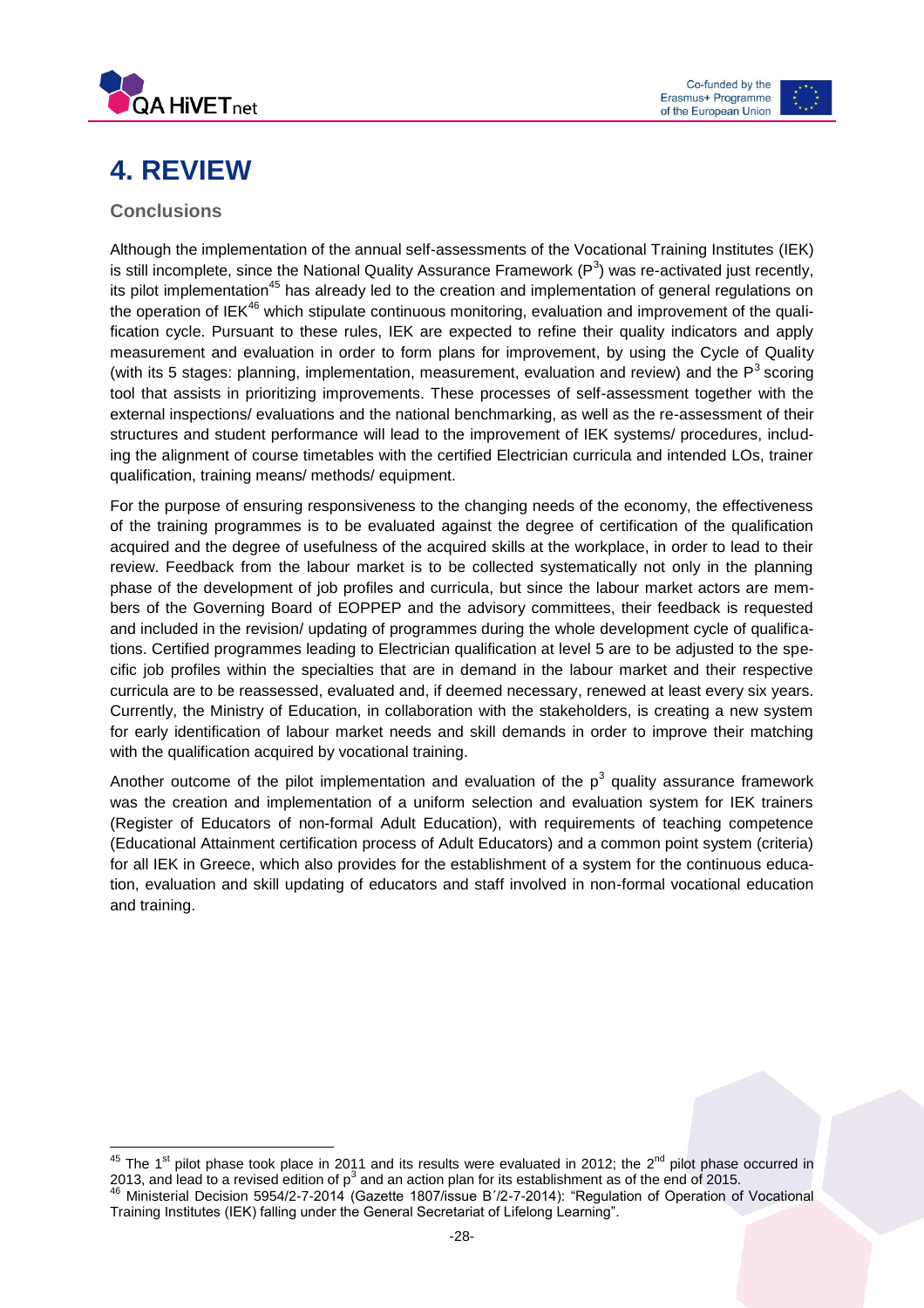



# <span id="page-28-0"></span>**4. REVIEW**

### <span id="page-28-1"></span>**Conclusions**

Although the implementation of the annual self-assessments of the Vocational Training Institutes (IEK) is still incomplete, since the National Quality Assurance Framework (P<sup>3</sup>) was re-activated just recently, its pilot implementation<sup>45</sup> has already led to the creation and implementation of general regulations on the operation of IEK<sup>46</sup> which stipulate continuous monitoring, evaluation and improvement of the qualification cycle. Pursuant to these rules, IEK are expected to refine their quality indicators and apply measurement and evaluation in order to form plans for improvement, by using the Cycle of Quality (with its 5 stages: planning, implementation, measurement, evaluation and review) and the  $P<sup>3</sup>$  scoring tool that assists in prioritizing improvements. These processes of self-assessment together with the external inspections/ evaluations and the national benchmarking, as well as the re-assessment of their structures and student performance will lead to the improvement of IEK systems/ procedures, including the alignment of course timetables with the certified Electrician curricula and intended LOs, trainer qualification, training means/ methods/ equipment.

For the purpose of ensuring responsiveness to the changing needs of the economy, the effectiveness of the training programmes is to be evaluated against the degree of certification of the qualification acquired and the degree of usefulness of the acquired skills at the workplace, in order to lead to their review. Feedback from the labour market is to be collected systematically not only in the planning phase of the development of job profiles and curricula, but since the labour market actors are members of the Governing Board of EOPPEP and the advisory committees, their feedback is requested and included in the revision/ updating of programmes during the whole development cycle of qualifications. Certified programmes leading to Electrician qualification at level 5 are to be adjusted to the specific job profiles within the specialties that are in demand in the labour market and their respective curricula are to be reassessed, evaluated and, if deemed necessary, renewed at least every six years. Currently, the Ministry of Education, in collaboration with the stakeholders, is creating a new system for early identification of labour market needs and skill demands in order to improve their matching with the qualification acquired by vocational training.

Another outcome of the pilot implementation and evaluation of the  $p^3$  quality assurance framework was the creation and implementation of a uniform selection and evaluation system for IEK trainers (Register of Educators of non-formal Adult Education), with requirements of teaching competence (Educational Attainment certification process of Adult Educators) and a common point system (criteria) for all IEK in Greece, which also provides for the establishment of a system for the continuous education, evaluation and skill updating of educators and staff involved in non-formal vocational education and training.

 $\overline{\phantom{a}}$ <sup>45</sup> The 1<sup>st</sup> pilot phase took place in 2011 and its results were evaluated in 2012; the 2<sup>nd</sup> pilot phase occurred in 2013, and lead to a revised edition of p<sup>3</sup> and an action plan for its establishment as of the end of 2015. <sup>46</sup> Ministerial Decision 5954/2-7-2014 (Gazette 1807/issue Β΄/2-7-2014): "Regulation of Operation of Vocational

Training Institutes (IEK) falling under the General Secretariat of Lifelong Learning".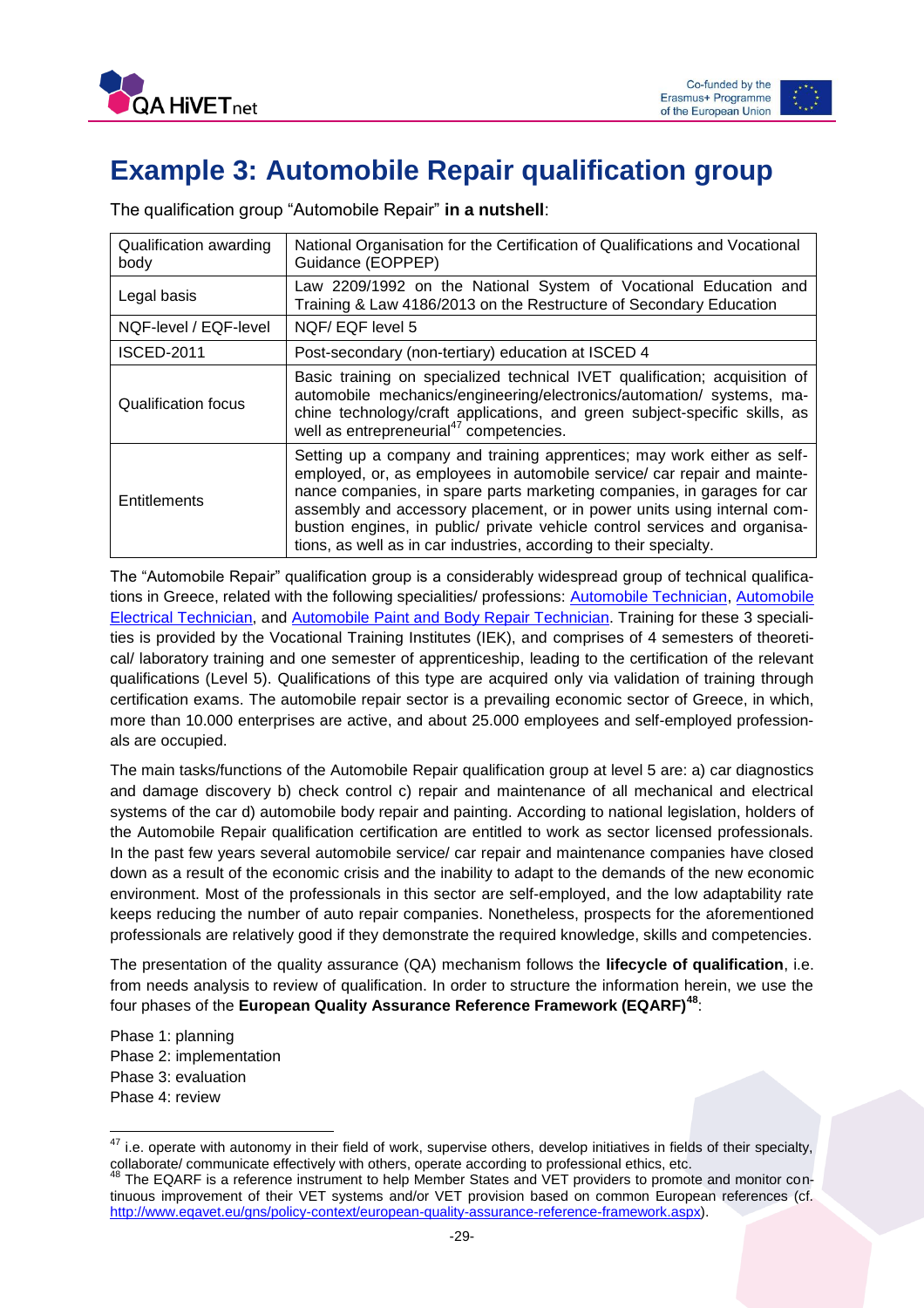

# <span id="page-29-0"></span>**Example 3: Automobile Repair qualification group**

| Qualification awarding<br>body | National Organisation for the Certification of Qualifications and Vocational<br>Guidance (EOPPEP)                                                                                                                                                                                                                                                                                                                                                             |
|--------------------------------|---------------------------------------------------------------------------------------------------------------------------------------------------------------------------------------------------------------------------------------------------------------------------------------------------------------------------------------------------------------------------------------------------------------------------------------------------------------|
| Legal basis                    | Law 2209/1992 on the National System of Vocational Education and<br>Training & Law 4186/2013 on the Restructure of Secondary Education                                                                                                                                                                                                                                                                                                                        |
| NQF-level / EQF-level          | NQF/EQF level 5                                                                                                                                                                                                                                                                                                                                                                                                                                               |
| <b>ISCED-2011</b>              | Post-secondary (non-tertiary) education at ISCED 4                                                                                                                                                                                                                                                                                                                                                                                                            |
| Qualification focus            | Basic training on specialized technical IVET qualification; acquisition of<br>automobile mechanics/engineering/electronics/automation/ systems, ma-<br>chine technology/craft applications, and green subject-specific skills, as<br>well as entrepreneurial <sup>47</sup> competencies.                                                                                                                                                                      |
| Entitlements                   | Setting up a company and training apprentices; may work either as self-<br>employed, or, as employees in automobile service/ car repair and mainte-<br>nance companies, in spare parts marketing companies, in garages for car<br>assembly and accessory placement, or in power units using internal com-<br>bustion engines, in public/ private vehicle control services and organisa-<br>tions, as well as in car industries, according to their specialty. |

The qualification group "Automobile Repair" **in a nutshell**:

The "Automobile Repair" qualification group is a considerably widespread group of technical qualifications in Greece, related with the following specialities/ professions: [Automobile Technician,](http://europass.eoppep.gr/images/IEKSupplementsEN/texnikos-aftokiniton-oximaton-en.pdf) [Automobile](http://europass.eoppep.gr/images/IEKSupplementsEN/texnikos-ilektrologos-aftokiniton-oxim-en.pdf)  [Electrical Technician,](http://europass.eoppep.gr/images/IEKSupplementsEN/texnikos-ilektrologos-aftokiniton-oxim-en.pdf) and [Automobile Paint and Body Repair Technician.](http://europass.eoppep.gr/images/IEKSupplementsEN/texnikos-fanop_vafi-aftok-en.pdf) Training for these 3 specialities is provided by the Vocational Training Institutes (IEK), and comprises of 4 semesters of theoretical/ laboratory training and one semester of apprenticeship, leading to the certification of the relevant qualifications (Level 5). Qualifications of this type are acquired only via validation of training through certification exams. The automobile repair sector is a prevailing economic sector of Greece, in which, more than 10.000 enterprises are active, and about 25.000 employees and self-employed professionals are occupied.

The main tasks/functions of the Automobile Repair qualification group at level 5 are: a) car diagnostics and damage discovery b) check control c) repair and maintenance of all mechanical and electrical systems of the car d) automobile body repair and painting. According to national legislation, holders of the Automobile Repair qualification certification are entitled to work as sector licensed professionals. In the past few years several automobile service/ car repair and maintenance companies have closed down as a result of the economic crisis and the inability to adapt to the demands of the new economic environment. Most of the professionals in this sector are self-employed, and the low adaptability rate keeps reducing the number of auto repair companies. Nonetheless, prospects for the aforementioned professionals are relatively good if they demonstrate the required knowledge, skills and competencies.

The presentation of the quality assurance (QA) mechanism follows the **lifecycle of qualification**, i.e. from needs analysis to review of qualification. In order to structure the information herein, we use the four phases of the **European Quality Assurance Reference Framework (EQARF)<sup>48</sup>**:

Phase 1: planning Phase 2: implementation Phase 3: evaluation Phase 4: review

 $\overline{a}$ 

 $47$  i.e. operate with autonomy in their field of work, supervise others, develop initiatives in fields of their specialty, collaborate/ communicate effectively with others, operate according to professional ethics, etc.

 $^{48}$  The EQARF is a reference instrument to help Member States and VET providers to promote and monitor continuous improvement of their VET systems and/or VET provision based on common European references (cf. [http://www.eqavet.eu/gns/policy-context/european-quality-assurance-reference-framework.aspx\)](http://www.eqavet.eu/gns/policy-context/european-quality-assurance-reference-framework.aspx).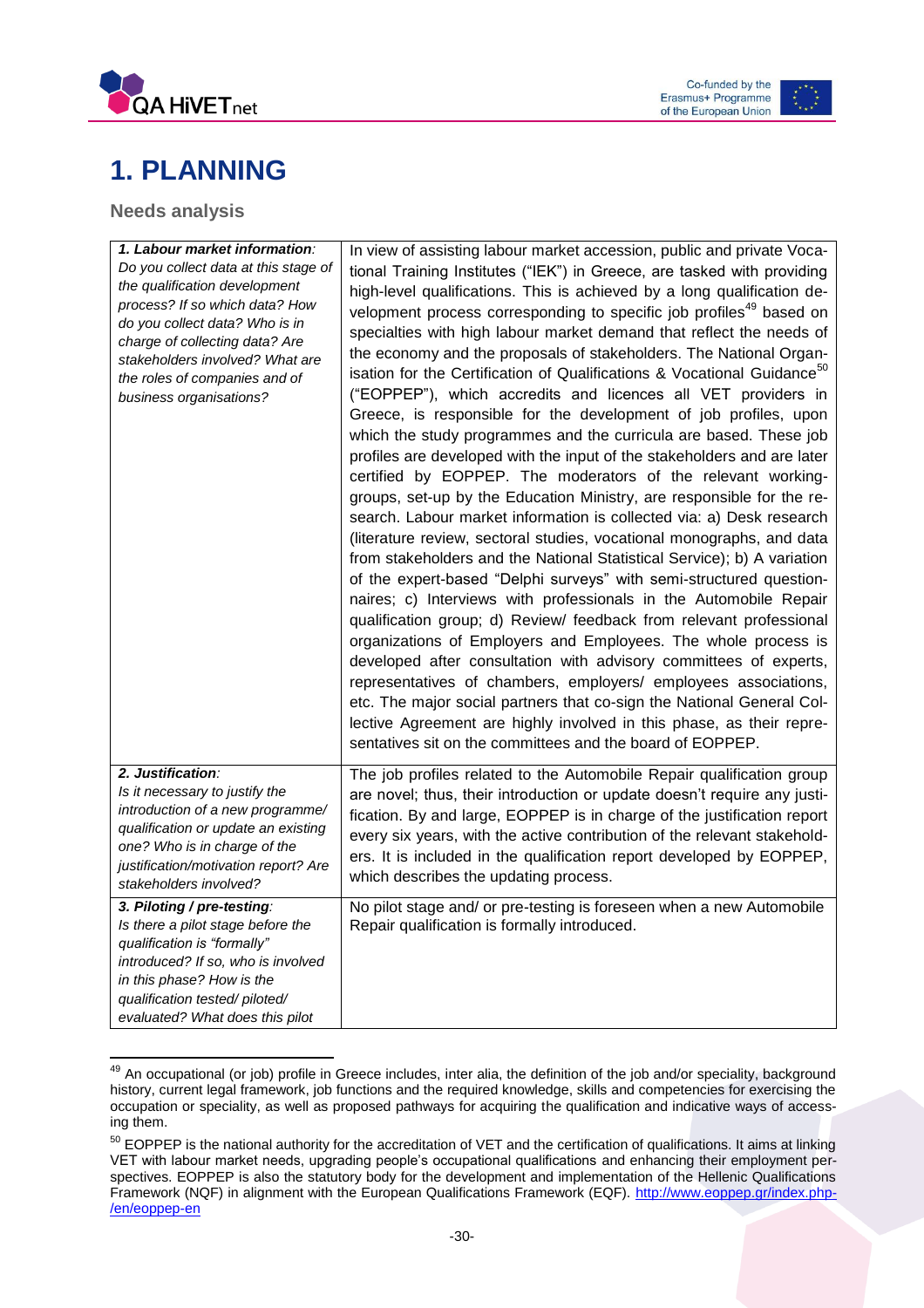



# <span id="page-30-0"></span>**1. PLANNING**

### <span id="page-30-1"></span>**Needs analysis**

| 1. Labour market information:<br>Do you collect data at this stage of<br>the qualification development<br>process? If so which data? How<br>do you collect data? Who is in<br>charge of collecting data? Are<br>stakeholders involved? What are<br>the roles of companies and of<br>business organisations? | In view of assisting labour market accession, public and private Voca-<br>tional Training Institutes ("IEK") in Greece, are tasked with providing<br>high-level qualifications. This is achieved by a long qualification de-<br>velopment process corresponding to specific job profiles <sup>49</sup> based on<br>specialties with high labour market demand that reflect the needs of<br>the economy and the proposals of stakeholders. The National Organ-<br>isation for the Certification of Qualifications & Vocational Guidance <sup>50</sup><br>("EOPPEP"), which accredits and licences all VET providers in<br>Greece, is responsible for the development of job profiles, upon<br>which the study programmes and the curricula are based. These job<br>profiles are developed with the input of the stakeholders and are later<br>certified by EOPPEP. The moderators of the relevant working-<br>groups, set-up by the Education Ministry, are responsible for the re-<br>search. Labour market information is collected via: a) Desk research<br>(literature review, sectoral studies, vocational monographs, and data<br>from stakeholders and the National Statistical Service); b) A variation<br>of the expert-based "Delphi surveys" with semi-structured question-<br>naires; c) Interviews with professionals in the Automobile Repair<br>qualification group; d) Review/ feedback from relevant professional<br>organizations of Employers and Employees. The whole process is<br>developed after consultation with advisory committees of experts,<br>representatives of chambers, employers/ employees associations,<br>etc. The major social partners that co-sign the National General Col-<br>lective Agreement are highly involved in this phase, as their repre- |
|-------------------------------------------------------------------------------------------------------------------------------------------------------------------------------------------------------------------------------------------------------------------------------------------------------------|----------------------------------------------------------------------------------------------------------------------------------------------------------------------------------------------------------------------------------------------------------------------------------------------------------------------------------------------------------------------------------------------------------------------------------------------------------------------------------------------------------------------------------------------------------------------------------------------------------------------------------------------------------------------------------------------------------------------------------------------------------------------------------------------------------------------------------------------------------------------------------------------------------------------------------------------------------------------------------------------------------------------------------------------------------------------------------------------------------------------------------------------------------------------------------------------------------------------------------------------------------------------------------------------------------------------------------------------------------------------------------------------------------------------------------------------------------------------------------------------------------------------------------------------------------------------------------------------------------------------------------------------------------------------------------------------------------------------------------------------------------------------------------------------|
|                                                                                                                                                                                                                                                                                                             | sentatives sit on the committees and the board of EOPPEP.                                                                                                                                                                                                                                                                                                                                                                                                                                                                                                                                                                                                                                                                                                                                                                                                                                                                                                                                                                                                                                                                                                                                                                                                                                                                                                                                                                                                                                                                                                                                                                                                                                                                                                                                    |
| 2. Justification:<br>Is it necessary to justify the<br>introduction of a new programme/<br>qualification or update an existing<br>one? Who is in charge of the<br>justification/motivation report? Are<br>stakeholders involved?                                                                            | The job profiles related to the Automobile Repair qualification group<br>are novel; thus, their introduction or update doesn't require any justi-<br>fication. By and large, EOPPEP is in charge of the justification report<br>every six years, with the active contribution of the relevant stakehold-<br>ers. It is included in the qualification report developed by EOPPEP,<br>which describes the updating process.                                                                                                                                                                                                                                                                                                                                                                                                                                                                                                                                                                                                                                                                                                                                                                                                                                                                                                                                                                                                                                                                                                                                                                                                                                                                                                                                                                    |
| 3. Piloting / pre-testing:<br>Is there a pilot stage before the<br>qualification is "formally"<br>introduced? If so, who is involved<br>in this phase? How is the<br>qualification tested/piloted/<br>evaluated? What does this pilot                                                                       | No pilot stage and/ or pre-testing is foreseen when a new Automobile<br>Repair qualification is formally introduced.                                                                                                                                                                                                                                                                                                                                                                                                                                                                                                                                                                                                                                                                                                                                                                                                                                                                                                                                                                                                                                                                                                                                                                                                                                                                                                                                                                                                                                                                                                                                                                                                                                                                         |

 <sup>49</sup> An occupational (or job) profile in Greece includes, inter alia, the definition of the job and/or speciality, background history, current legal framework, job functions and the required knowledge, skills and competencies for exercising the occupation or speciality, as well as proposed pathways for acquiring the qualification and indicative ways of accessing them.

<sup>&</sup>lt;sup>50</sup> EOPPEP is the national authority for the accreditation of VET and the certification of qualifications. It aims at linking VET with labour market needs, upgrading people's occupational qualifications and enhancing their employment perspectives. EOPPEP is also the statutory body for the development and implementation of the Hellenic Qualifications Framework (NQF) in alignment with the European Qualifications Framework (EQF). [http://www.eoppep.gr/index.php-](http://www.eoppep.gr/index.php/en/eoppep-en) [/en/eoppep-en](http://www.eoppep.gr/index.php/en/eoppep-en)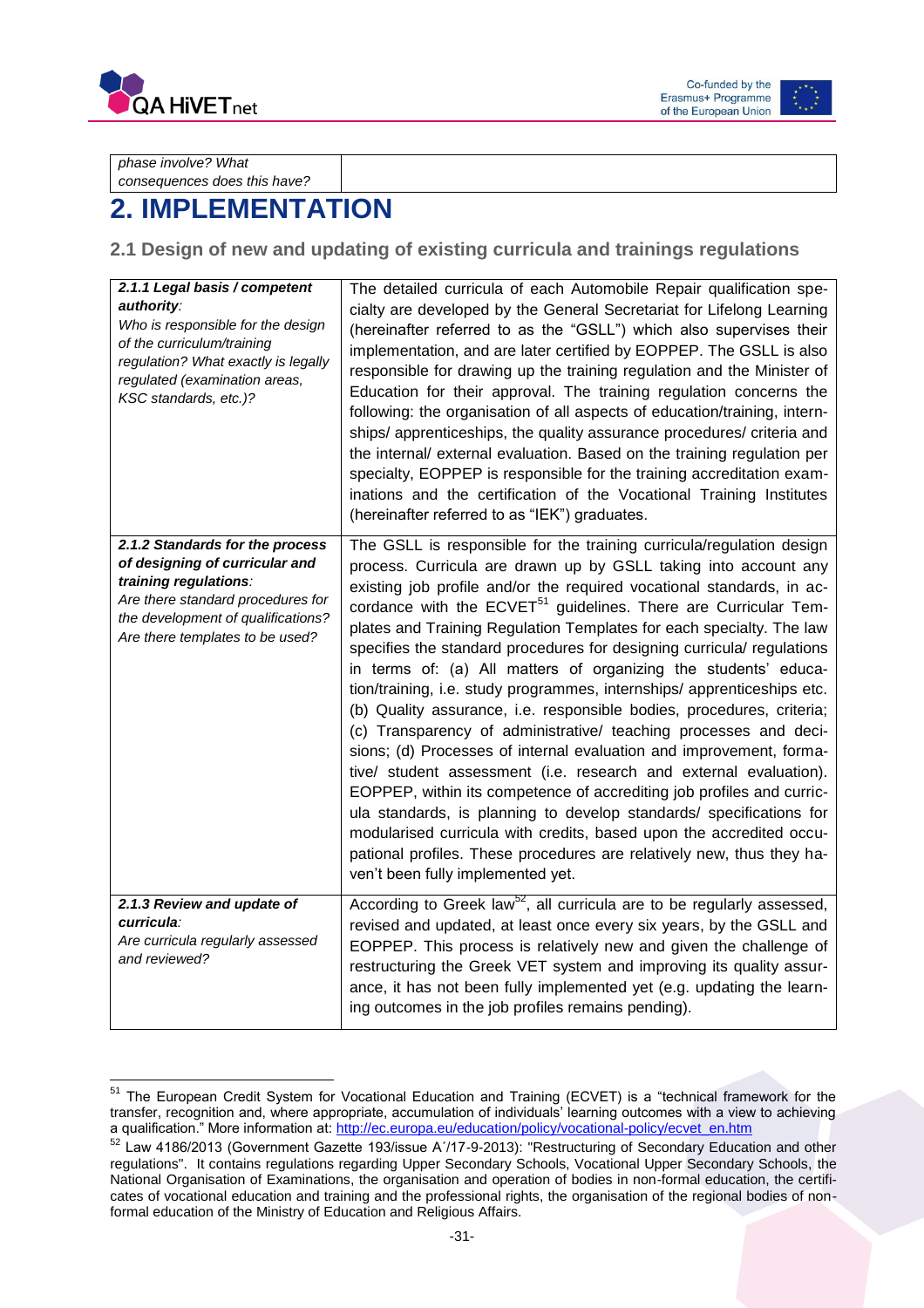

 $\overline{a}$ 

Co-funded by the Erasmus+ Programme of the European Union



*phase involve? What consequences does this have?*

# <span id="page-31-0"></span>**2. IMPLEMENTATION**

<span id="page-31-1"></span>**2.1 Design of new and updating of existing curricula and trainings regulations**

| 2.1.1 Legal basis / competent<br>authority:<br>Who is responsible for the design<br>of the curriculum/training<br>regulation? What exactly is legally<br>regulated (examination areas,<br>KSC standards, etc.)? | The detailed curricula of each Automobile Repair qualification spe-<br>cialty are developed by the General Secretariat for Lifelong Learning<br>(hereinafter referred to as the "GSLL") which also supervises their<br>implementation, and are later certified by EOPPEP. The GSLL is also<br>responsible for drawing up the training regulation and the Minister of<br>Education for their approval. The training regulation concerns the<br>following: the organisation of all aspects of education/training, intern-<br>ships/ apprenticeships, the quality assurance procedures/ criteria and<br>the internal/ external evaluation. Based on the training regulation per<br>specialty, EOPPEP is responsible for the training accreditation exam-<br>inations and the certification of the Vocational Training Institutes<br>(hereinafter referred to as "IEK") graduates.                                                                                                                                                                                                                                                                                                                                                |
|-----------------------------------------------------------------------------------------------------------------------------------------------------------------------------------------------------------------|-------------------------------------------------------------------------------------------------------------------------------------------------------------------------------------------------------------------------------------------------------------------------------------------------------------------------------------------------------------------------------------------------------------------------------------------------------------------------------------------------------------------------------------------------------------------------------------------------------------------------------------------------------------------------------------------------------------------------------------------------------------------------------------------------------------------------------------------------------------------------------------------------------------------------------------------------------------------------------------------------------------------------------------------------------------------------------------------------------------------------------------------------------------------------------------------------------------------------------|
| 2.1.2 Standards for the process<br>of designing of curricular and<br>training regulations:<br>Are there standard procedures for<br>the development of qualifications?<br>Are there templates to be used?        | The GSLL is responsible for the training curricula/regulation design<br>process. Curricula are drawn up by GSLL taking into account any<br>existing job profile and/or the required vocational standards, in ac-<br>cordance with the ECVET <sup>51</sup> guidelines. There are Curricular Tem-<br>plates and Training Regulation Templates for each specialty. The law<br>specifies the standard procedures for designing curricula/ regulations<br>in terms of: (a) All matters of organizing the students' educa-<br>tion/training, i.e. study programmes, internships/ apprenticeships etc.<br>(b) Quality assurance, i.e. responsible bodies, procedures, criteria;<br>(c) Transparency of administrative/ teaching processes and deci-<br>sions; (d) Processes of internal evaluation and improvement, forma-<br>tive/ student assessment (i.e. research and external evaluation).<br>EOPPEP, within its competence of accrediting job profiles and curric-<br>ula standards, is planning to develop standards/ specifications for<br>modularised curricula with credits, based upon the accredited occu-<br>pational profiles. These procedures are relatively new, thus they ha-<br>ven't been fully implemented yet. |
| 2.1.3 Review and update of<br>curricula:<br>Are curricula regularly assessed<br>and reviewed?                                                                                                                   | According to Greek law <sup>52</sup> , all curricula are to be regularly assessed,<br>revised and updated, at least once every six years, by the GSLL and<br>EOPPEP. This process is relatively new and given the challenge of<br>restructuring the Greek VET system and improving its quality assur-<br>ance, it has not been fully implemented yet (e.g. updating the learn-<br>ing outcomes in the job profiles remains pending).                                                                                                                                                                                                                                                                                                                                                                                                                                                                                                                                                                                                                                                                                                                                                                                          |

 $51$  The European Credit System for Vocational Education and Training (ECVET) is a "technical framework for the transfer, recognition and, where appropriate, accumulation of individuals' learning outcomes with a view to achieving a qualification." More information at[: http://ec.europa.eu/education/policy/vocational-policy/ecvet\\_en.htm](http://ec.europa.eu/education/policy/vocational-policy/ecvet_en.htm)

<sup>52</sup> Law 4186/2013 (Government Gazette 193/issue Α΄/17-9-2013): "Restructuring of Secondary Education and other regulations". It contains regulations regarding Upper Secondary Schools, Vocational Upper Secondary Schools, the National Organisation of Examinations, the organisation and operation of bodies in non-formal education, the certificates of vocational education and training and the professional rights, the organisation of the regional bodies of nonformal education of the Ministry of Education and Religious Affairs.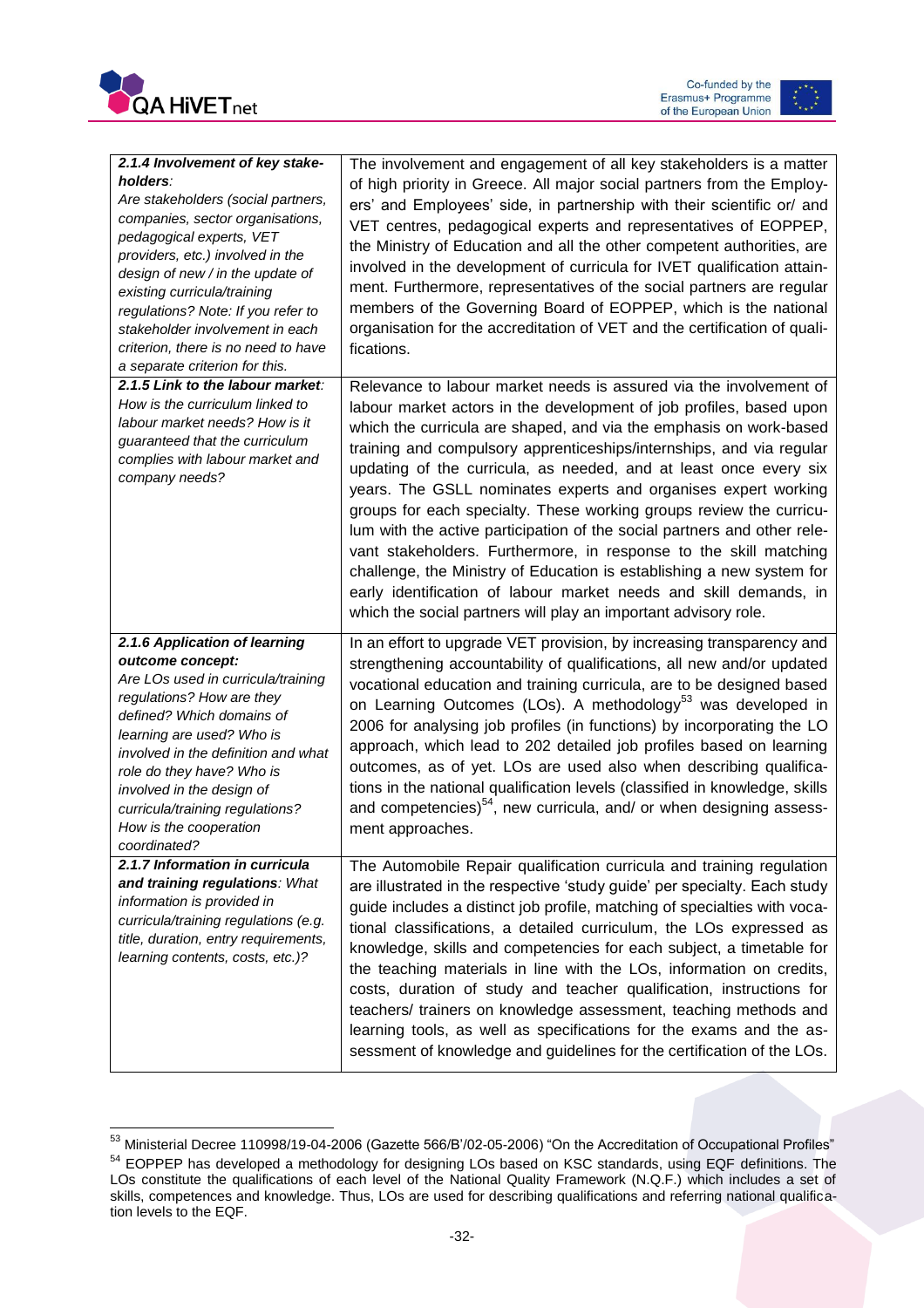

 $\overline{\phantom{a}}$ 

Co-funded by the Erasmus+ Programme<br>of the European Union



| 2.1.4 Involvement of key stake-                                                                                                                                                                                                                                                                                                                                         | The involvement and engagement of all key stakeholders is a matter                                                                                                                                                                                                                                                                                                                                                                                                                                                                                                                                                                                                                                                                                                                                                                                                      |
|-------------------------------------------------------------------------------------------------------------------------------------------------------------------------------------------------------------------------------------------------------------------------------------------------------------------------------------------------------------------------|-------------------------------------------------------------------------------------------------------------------------------------------------------------------------------------------------------------------------------------------------------------------------------------------------------------------------------------------------------------------------------------------------------------------------------------------------------------------------------------------------------------------------------------------------------------------------------------------------------------------------------------------------------------------------------------------------------------------------------------------------------------------------------------------------------------------------------------------------------------------------|
| holders:<br>Are stakeholders (social partners,<br>companies, sector organisations,<br>pedagogical experts, VET<br>providers, etc.) involved in the<br>design of new / in the update of<br>existing curricula/training<br>regulations? Note: If you refer to<br>stakeholder involvement in each<br>criterion, there is no need to have<br>a separate criterion for this. | of high priority in Greece. All major social partners from the Employ-<br>ers' and Employees' side, in partnership with their scientific or/ and<br>VET centres, pedagogical experts and representatives of EOPPEP,<br>the Ministry of Education and all the other competent authorities, are<br>involved in the development of curricula for IVET qualification attain-<br>ment. Furthermore, representatives of the social partners are regular<br>members of the Governing Board of EOPPEP, which is the national<br>organisation for the accreditation of VET and the certification of quali-<br>fications.                                                                                                                                                                                                                                                         |
| 2.1.5 Link to the labour market:<br>How is the curriculum linked to<br>labour market needs? How is it<br>guaranteed that the curriculum<br>complies with labour market and<br>company needs?                                                                                                                                                                            | Relevance to labour market needs is assured via the involvement of<br>labour market actors in the development of job profiles, based upon<br>which the curricula are shaped, and via the emphasis on work-based<br>training and compulsory apprenticeships/internships, and via regular<br>updating of the curricula, as needed, and at least once every six<br>years. The GSLL nominates experts and organises expert working<br>groups for each specialty. These working groups review the curricu-<br>lum with the active participation of the social partners and other rele-<br>vant stakeholders. Furthermore, in response to the skill matching<br>challenge, the Ministry of Education is establishing a new system for<br>early identification of labour market needs and skill demands, in<br>which the social partners will play an important advisory role. |
| 2.1.6 Application of learning<br>outcome concept:<br>Are LOs used in curricula/training<br>regulations? How are they<br>defined? Which domains of<br>learning are used? Who is<br>involved in the definition and what<br>role do they have? Who is<br>involved in the design of<br>curricula/training regulations?<br>How is the cooperation<br>coordinated?            | In an effort to upgrade VET provision, by increasing transparency and<br>strengthening accountability of qualifications, all new and/or updated<br>vocational education and training curricula, are to be designed based<br>on Learning Outcomes (LOs). A methodology <sup>53</sup> was developed in<br>2006 for analysing job profiles (in functions) by incorporating the LO<br>approach, which lead to 202 detailed job profiles based on learning<br>outcomes, as of yet. LOs are used also when describing qualifica-<br>tions in the national qualification levels (classified in knowledge, skills<br>and competencies) <sup>54</sup> , new curricula, and/ or when designing assess-<br>ment approaches.                                                                                                                                                        |
| 2.1.7 Information in curricula<br>and training regulations: What<br>information is provided in<br>curricula/training regulations (e.g.<br>title, duration, entry requirements,<br>learning contents, costs, etc.)?                                                                                                                                                      | The Automobile Repair qualification curricula and training regulation<br>are illustrated in the respective 'study guide' per specialty. Each study<br>guide includes a distinct job profile, matching of specialties with voca-<br>tional classifications, a detailed curriculum, the LOs expressed as<br>knowledge, skills and competencies for each subject, a timetable for<br>the teaching materials in line with the LOs, information on credits,<br>costs, duration of study and teacher qualification, instructions for<br>teachers/ trainers on knowledge assessment, teaching methods and<br>learning tools, as well as specifications for the exams and the as-<br>sessment of knowledge and guidelines for the certification of the LOs.                                                                                                                     |

 $^{53}$  Ministerial Decree 110998/19-04-2006 (Gazette 566/B'/02-05-2006) "On the Accreditation of Occupational Profiles" <sup>54</sup> EOPPEP has developed a methodology for designing LOs based on KSC standards, using EQF definitions. The LOs constitute the qualifications of each level of the National Quality Framework (N.Q.F.) which includes a set of skills, competences and knowledge. Thus, LOs are used for describing qualifications and referring national qualification levels to the EQF.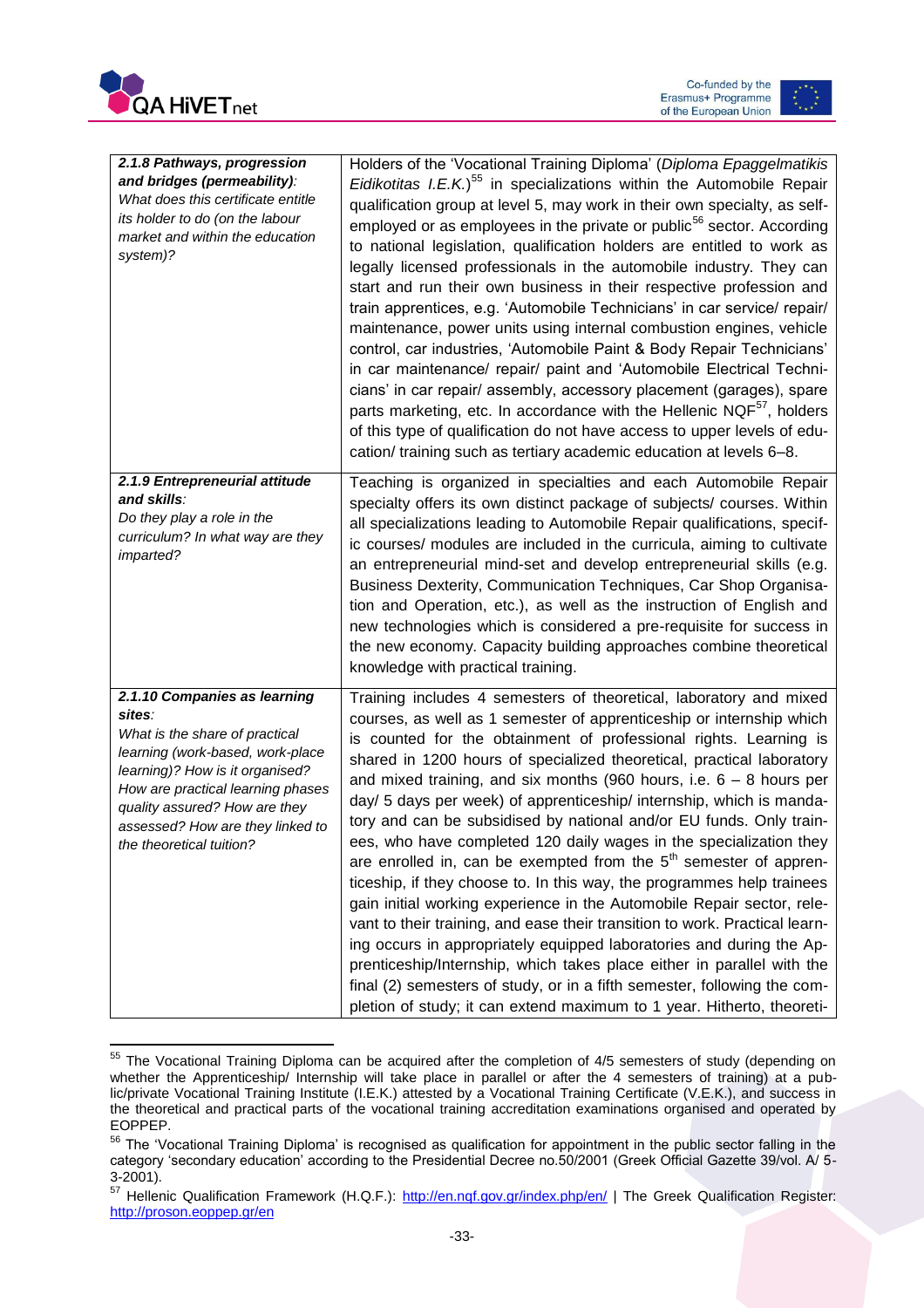



| 2.1.8 Pathways, progression<br>and bridges (permeability):<br>What does this certificate entitle<br>its holder to do (on the labour<br>market and within the education<br>system)?                                                                                                    | Holders of the 'Vocational Training Diploma' (Diploma Epaggelmatikis<br>Eidikotitas I.E.K.) <sup>55</sup> in specializations within the Automobile Repair<br>qualification group at level 5, may work in their own specialty, as self-<br>employed or as employees in the private or public <sup>56</sup> sector. According<br>to national legislation, qualification holders are entitled to work as<br>legally licensed professionals in the automobile industry. They can<br>start and run their own business in their respective profession and<br>train apprentices, e.g. 'Automobile Technicians' in car service/ repair/<br>maintenance, power units using internal combustion engines, vehicle<br>control, car industries, 'Automobile Paint & Body Repair Technicians'<br>in car maintenance/ repair/ paint and 'Automobile Electrical Techni-<br>cians' in car repair/ assembly, accessory placement (garages), spare<br>parts marketing, etc. In accordance with the Hellenic NQF <sup>57</sup> , holders<br>of this type of qualification do not have access to upper levels of edu-<br>cation/ training such as tertiary academic education at levels 6-8.                                  |
|---------------------------------------------------------------------------------------------------------------------------------------------------------------------------------------------------------------------------------------------------------------------------------------|----------------------------------------------------------------------------------------------------------------------------------------------------------------------------------------------------------------------------------------------------------------------------------------------------------------------------------------------------------------------------------------------------------------------------------------------------------------------------------------------------------------------------------------------------------------------------------------------------------------------------------------------------------------------------------------------------------------------------------------------------------------------------------------------------------------------------------------------------------------------------------------------------------------------------------------------------------------------------------------------------------------------------------------------------------------------------------------------------------------------------------------------------------------------------------------------------------|
| 2.1.9 Entrepreneurial attitude<br>and skills:<br>Do they play a role in the<br>curriculum? In what way are they<br>imparted?                                                                                                                                                          | Teaching is organized in specialties and each Automobile Repair<br>specialty offers its own distinct package of subjects/ courses. Within<br>all specializations leading to Automobile Repair qualifications, specif-<br>ic courses/ modules are included in the curricula, aiming to cultivate<br>an entrepreneurial mind-set and develop entrepreneurial skills (e.g.<br>Business Dexterity, Communication Techniques, Car Shop Organisa-<br>tion and Operation, etc.), as well as the instruction of English and<br>new technologies which is considered a pre-requisite for success in<br>the new economy. Capacity building approaches combine theoretical<br>knowledge with practical training.                                                                                                                                                                                                                                                                                                                                                                                                                                                                                                    |
| 2.1.10 Companies as learning<br>sites:<br>What is the share of practical<br>learning (work-based, work-place<br>learning)? How is it organised?<br>How are practical learning phases<br>quality assured? How are they<br>assessed? How are they linked to<br>the theoretical tuition? | Training includes 4 semesters of theoretical, laboratory and mixed<br>courses, as well as 1 semester of apprenticeship or internship which<br>is counted for the obtainment of professional rights. Learning is<br>shared in 1200 hours of specialized theoretical, practical laboratory<br>and mixed training, and six months (960 hours, i.e. $6 - 8$ hours per<br>day/ 5 days per week) of apprenticeship/ internship, which is manda-<br>tory and can be subsidised by national and/or EU funds. Only train-<br>ees, who have completed 120 daily wages in the specialization they<br>are enrolled in, can be exempted from the $5th$ semester of appren-<br>ticeship, if they choose to. In this way, the programmes help trainees<br>gain initial working experience in the Automobile Repair sector, rele-<br>vant to their training, and ease their transition to work. Practical learn-<br>ing occurs in appropriately equipped laboratories and during the Ap-<br>prenticeship/Internship, which takes place either in parallel with the<br>final (2) semesters of study, or in a fifth semester, following the com-<br>pletion of study; it can extend maximum to 1 year. Hitherto, theoreti- |

 $\overline{\phantom{a}}$ <sup>55</sup> The Vocational Training Diploma can be acquired after the completion of 4/5 semesters of study (depending on whether the Apprenticeship/ Internship will take place in parallel or after the 4 semesters of training) at a public/private Vocational Training Institute (I.E.K.) attested by a Vocational Training Certificate (V.E.K.), and success in the theoretical and practical parts of the vocational training accreditation examinations organised and operated by EOPPEP.

<sup>&</sup>lt;sup>56</sup> The 'Vocational Training Diploma' is recognised as qualification for appointment in the public sector falling in the category 'secondary education' according to the Presidential Decree no.50/2001 (Greek Official Gazette 39/vol. A/ 5- 3-2001).

<sup>57</sup> Hellenic Qualification Framework (H.Q.F.):<http://en.nqf.gov.gr/index.php/en/> | The Greek Qualification Register: <http://proson.eoppep.gr/en>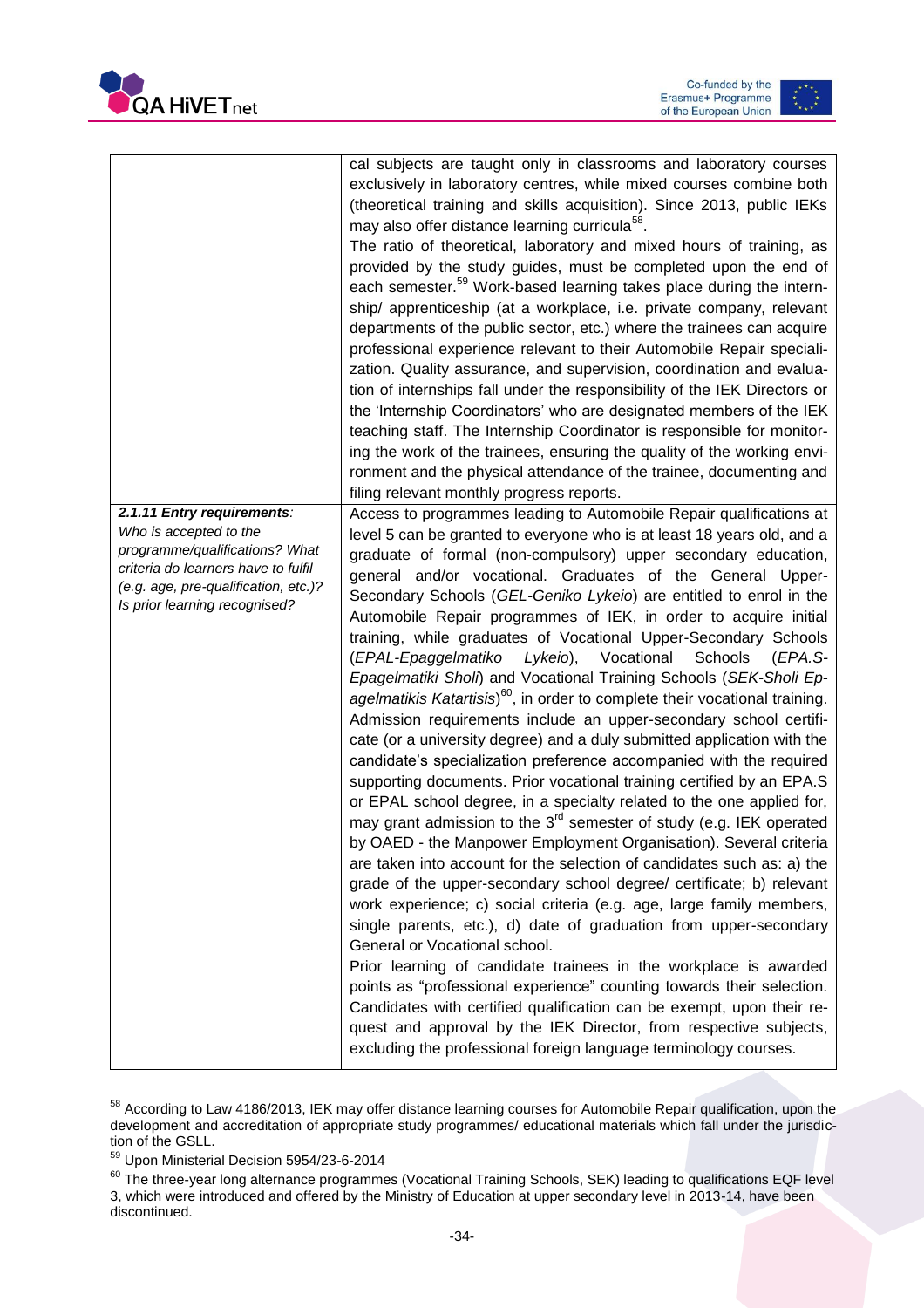



|                                                                                                                                                                                                        | cal subjects are taught only in classrooms and laboratory courses<br>exclusively in laboratory centres, while mixed courses combine both<br>(theoretical training and skills acquisition). Since 2013, public IEKs<br>may also offer distance learning curricula <sup>58</sup> .<br>The ratio of theoretical, laboratory and mixed hours of training, as<br>provided by the study guides, must be completed upon the end of<br>each semester. <sup>59</sup> Work-based learning takes place during the intern-<br>ship/ apprenticeship (at a workplace, i.e. private company, relevant<br>departments of the public sector, etc.) where the trainees can acquire<br>professional experience relevant to their Automobile Repair speciali-<br>zation. Quality assurance, and supervision, coordination and evalua-<br>tion of internships fall under the responsibility of the IEK Directors or<br>the 'Internship Coordinators' who are designated members of the IEK<br>teaching staff. The Internship Coordinator is responsible for monitor-<br>ing the work of the trainees, ensuring the quality of the working envi-                                                                                                                                                                                                                                                                                                                                                                                                                                                                                                                                                                                                                                                                                                                                                                                                                               |
|--------------------------------------------------------------------------------------------------------------------------------------------------------------------------------------------------------|----------------------------------------------------------------------------------------------------------------------------------------------------------------------------------------------------------------------------------------------------------------------------------------------------------------------------------------------------------------------------------------------------------------------------------------------------------------------------------------------------------------------------------------------------------------------------------------------------------------------------------------------------------------------------------------------------------------------------------------------------------------------------------------------------------------------------------------------------------------------------------------------------------------------------------------------------------------------------------------------------------------------------------------------------------------------------------------------------------------------------------------------------------------------------------------------------------------------------------------------------------------------------------------------------------------------------------------------------------------------------------------------------------------------------------------------------------------------------------------------------------------------------------------------------------------------------------------------------------------------------------------------------------------------------------------------------------------------------------------------------------------------------------------------------------------------------------------------------------------------------------------------------------------------------------------------------------|
|                                                                                                                                                                                                        | ronment and the physical attendance of the trainee, documenting and<br>filing relevant monthly progress reports.                                                                                                                                                                                                                                                                                                                                                                                                                                                                                                                                                                                                                                                                                                                                                                                                                                                                                                                                                                                                                                                                                                                                                                                                                                                                                                                                                                                                                                                                                                                                                                                                                                                                                                                                                                                                                                         |
| 2.1.11 Entry requirements:<br>Who is accepted to the<br>programme/qualifications? What<br>criteria do learners have to fulfil<br>(e.g. age, pre-qualification, etc.)?<br>Is prior learning recognised? | Access to programmes leading to Automobile Repair qualifications at<br>level 5 can be granted to everyone who is at least 18 years old, and a<br>graduate of formal (non-compulsory) upper secondary education,<br>general and/or vocational. Graduates of the General Upper-<br>Secondary Schools (GEL-Geniko Lykeio) are entitled to enrol in the<br>Automobile Repair programmes of IEK, in order to acquire initial<br>training, while graduates of Vocational Upper-Secondary Schools<br>Vocational<br>(EPAL-Epaggelmatiko<br>Lykeio),<br>Schools<br>(EPA.S-<br>Epagelmatiki Sholi) and Vocational Training Schools (SEK-Sholi Ep-<br>agelmatikis Katartisis) <sup>60</sup> , in order to complete their vocational training.<br>Admission requirements include an upper-secondary school certifi-<br>cate (or a university degree) and a duly submitted application with the<br>candidate's specialization preference accompanied with the required<br>supporting documents. Prior vocational training certified by an EPA.S<br>or EPAL school degree, in a specialty related to the one applied for,<br>may grant admission to the $3rd$ semester of study (e.g. IEK operated<br>by OAED - the Manpower Employment Organisation). Several criteria<br>are taken into account for the selection of candidates such as: a) the<br>grade of the upper-secondary school degree/ certificate; b) relevant<br>work experience; c) social criteria (e.g. age, large family members,<br>single parents, etc.), d) date of graduation from upper-secondary<br>General or Vocational school.<br>Prior learning of candidate trainees in the workplace is awarded<br>points as "professional experience" counting towards their selection.<br>Candidates with certified qualification can be exempt, upon their re-<br>quest and approval by the IEK Director, from respective subjects,<br>excluding the professional foreign language terminology courses. |

 $\overline{\phantom{a}}$ <sup>58</sup> According to Law 4186/2013, IEK may offer distance learning courses for Automobile Repair qualification, upon the development and accreditation of appropriate study programmes/ educational materials which fall under the jurisdiction of the GSLL.

<sup>59</sup> Upon Ministerial Decision 5954/23-6-2014

 $^{60}$  The three-year long alternance programmes (Vocational Training Schools, SEK) leading to qualifications EQF level 3, which were introduced and offered by the Ministry of Education at upper secondary level in 2013-14, have been discontinued.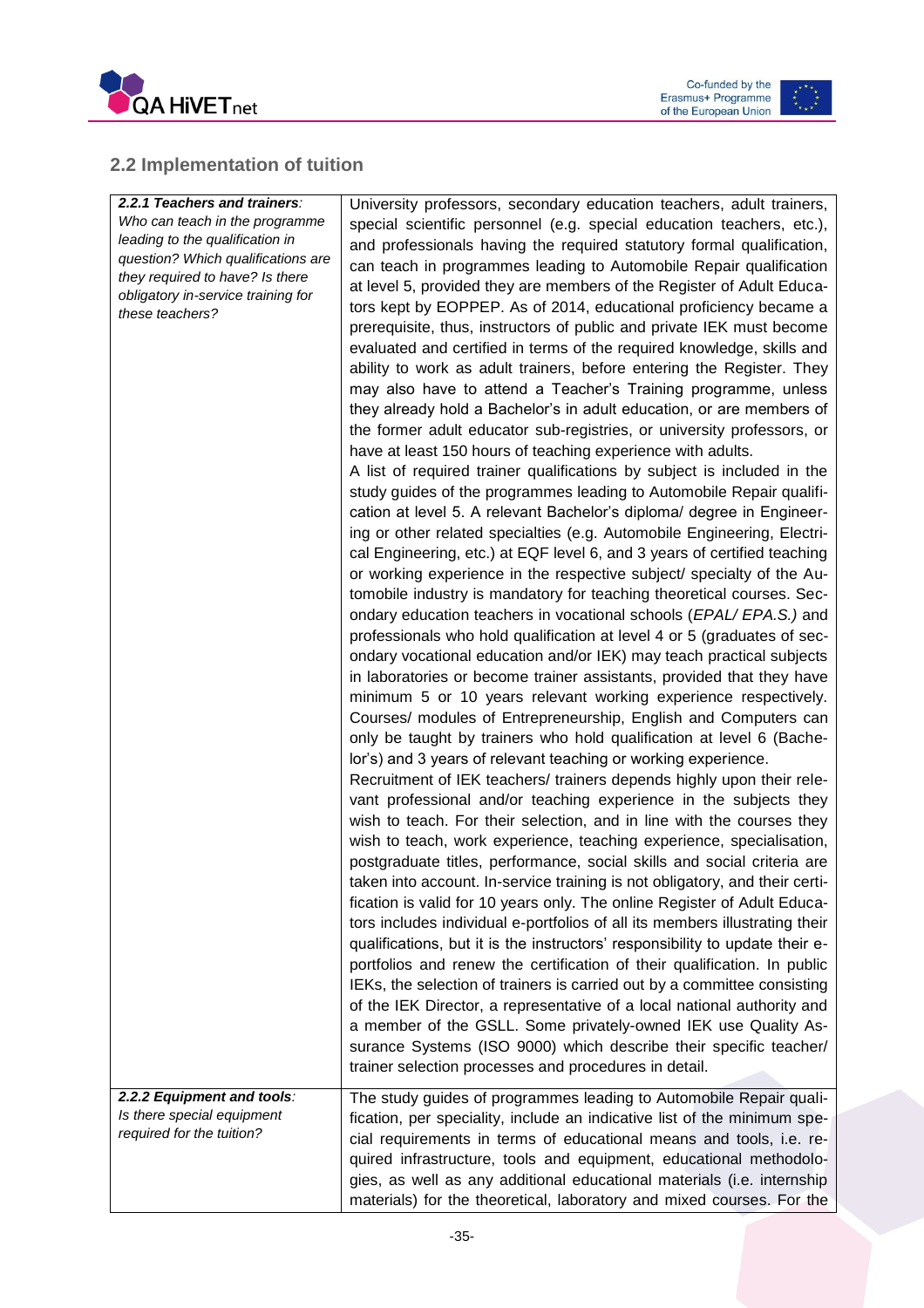



### <span id="page-35-0"></span>**2.2 Implementation of tuition**

| 2.2.1 Teachers and trainers:<br>Who can teach in the programme<br>leading to the qualification in<br>question? Which qualifications are<br>they required to have? Is there<br>obligatory in-service training for<br>these teachers? | University professors, secondary education teachers, adult trainers,<br>special scientific personnel (e.g. special education teachers, etc.),<br>and professionals having the required statutory formal qualification,<br>can teach in programmes leading to Automobile Repair qualification<br>at level 5, provided they are members of the Register of Adult Educa-<br>tors kept by EOPPEP. As of 2014, educational proficiency became a<br>prerequisite, thus, instructors of public and private IEK must become<br>evaluated and certified in terms of the required knowledge, skills and<br>ability to work as adult trainers, before entering the Register. They<br>may also have to attend a Teacher's Training programme, unless<br>they already hold a Bachelor's in adult education, or are members of<br>the former adult educator sub-registries, or university professors, or<br>have at least 150 hours of teaching experience with adults.<br>A list of required trainer qualifications by subject is included in the<br>study guides of the programmes leading to Automobile Repair qualifi-<br>cation at level 5. A relevant Bachelor's diploma/ degree in Engineer-<br>ing or other related specialties (e.g. Automobile Engineering, Electri-<br>cal Engineering, etc.) at EQF level 6, and 3 years of certified teaching<br>or working experience in the respective subject/ specialty of the Au-<br>tomobile industry is mandatory for teaching theoretical courses. Sec-<br>ondary education teachers in vocational schools (EPAL/EPA.S.) and<br>professionals who hold qualification at level 4 or 5 (graduates of sec-<br>ondary vocational education and/or IEK) may teach practical subjects<br>in laboratories or become trainer assistants, provided that they have<br>minimum 5 or 10 years relevant working experience respectively.<br>Courses/ modules of Entrepreneurship, English and Computers can<br>only be taught by trainers who hold qualification at level 6 (Bache-<br>lor's) and 3 years of relevant teaching or working experience.<br>Recruitment of IEK teachers/ trainers depends highly upon their rele-<br>vant professional and/or teaching experience in the subjects they<br>wish to teach. For their selection, and in line with the courses they<br>wish to teach, work experience, teaching experience, specialisation,<br>postgraduate titles, performance, social skills and social criteria are<br>taken into account. In-service training is not obligatory, and their certi-<br>fication is valid for 10 years only. The online Register of Adult Educa-<br>tors includes individual e-portfolios of all its members illustrating their<br>qualifications, but it is the instructors' responsibility to update their e-<br>portfolios and renew the certification of their qualification. In public<br>IEKs, the selection of trainers is carried out by a committee consisting |
|-------------------------------------------------------------------------------------------------------------------------------------------------------------------------------------------------------------------------------------|---------------------------------------------------------------------------------------------------------------------------------------------------------------------------------------------------------------------------------------------------------------------------------------------------------------------------------------------------------------------------------------------------------------------------------------------------------------------------------------------------------------------------------------------------------------------------------------------------------------------------------------------------------------------------------------------------------------------------------------------------------------------------------------------------------------------------------------------------------------------------------------------------------------------------------------------------------------------------------------------------------------------------------------------------------------------------------------------------------------------------------------------------------------------------------------------------------------------------------------------------------------------------------------------------------------------------------------------------------------------------------------------------------------------------------------------------------------------------------------------------------------------------------------------------------------------------------------------------------------------------------------------------------------------------------------------------------------------------------------------------------------------------------------------------------------------------------------------------------------------------------------------------------------------------------------------------------------------------------------------------------------------------------------------------------------------------------------------------------------------------------------------------------------------------------------------------------------------------------------------------------------------------------------------------------------------------------------------------------------------------------------------------------------------------------------------------------------------------------------------------------------------------------------------------------------------------------------------------------------------------------------------------------------------------------------------------------------------------------------------------------------------------------------------------------------------------------------------------------------------------------------------------------------------------------------------|
|                                                                                                                                                                                                                                     | of the IEK Director, a representative of a local national authority and<br>a member of the GSLL. Some privately-owned IEK use Quality As-<br>surance Systems (ISO 9000) which describe their specific teacher/<br>trainer selection processes and procedures in detail.                                                                                                                                                                                                                                                                                                                                                                                                                                                                                                                                                                                                                                                                                                                                                                                                                                                                                                                                                                                                                                                                                                                                                                                                                                                                                                                                                                                                                                                                                                                                                                                                                                                                                                                                                                                                                                                                                                                                                                                                                                                                                                                                                                                                                                                                                                                                                                                                                                                                                                                                                                                                                                                                     |
| 2.2.2 Equipment and tools:<br>Is there special equipment<br>required for the tuition?                                                                                                                                               | The study guides of programmes leading to Automobile Repair quali-<br>fication, per speciality, include an indicative list of the minimum spe-<br>cial requirements in terms of educational means and tools, i.e. re-<br>quired infrastructure, tools and equipment, educational methodolo-<br>gies, as well as any additional educational materials (i.e. internship<br>materials) for the theoretical, laboratory and mixed courses. For the                                                                                                                                                                                                                                                                                                                                                                                                                                                                                                                                                                                                                                                                                                                                                                                                                                                                                                                                                                                                                                                                                                                                                                                                                                                                                                                                                                                                                                                                                                                                                                                                                                                                                                                                                                                                                                                                                                                                                                                                                                                                                                                                                                                                                                                                                                                                                                                                                                                                                              |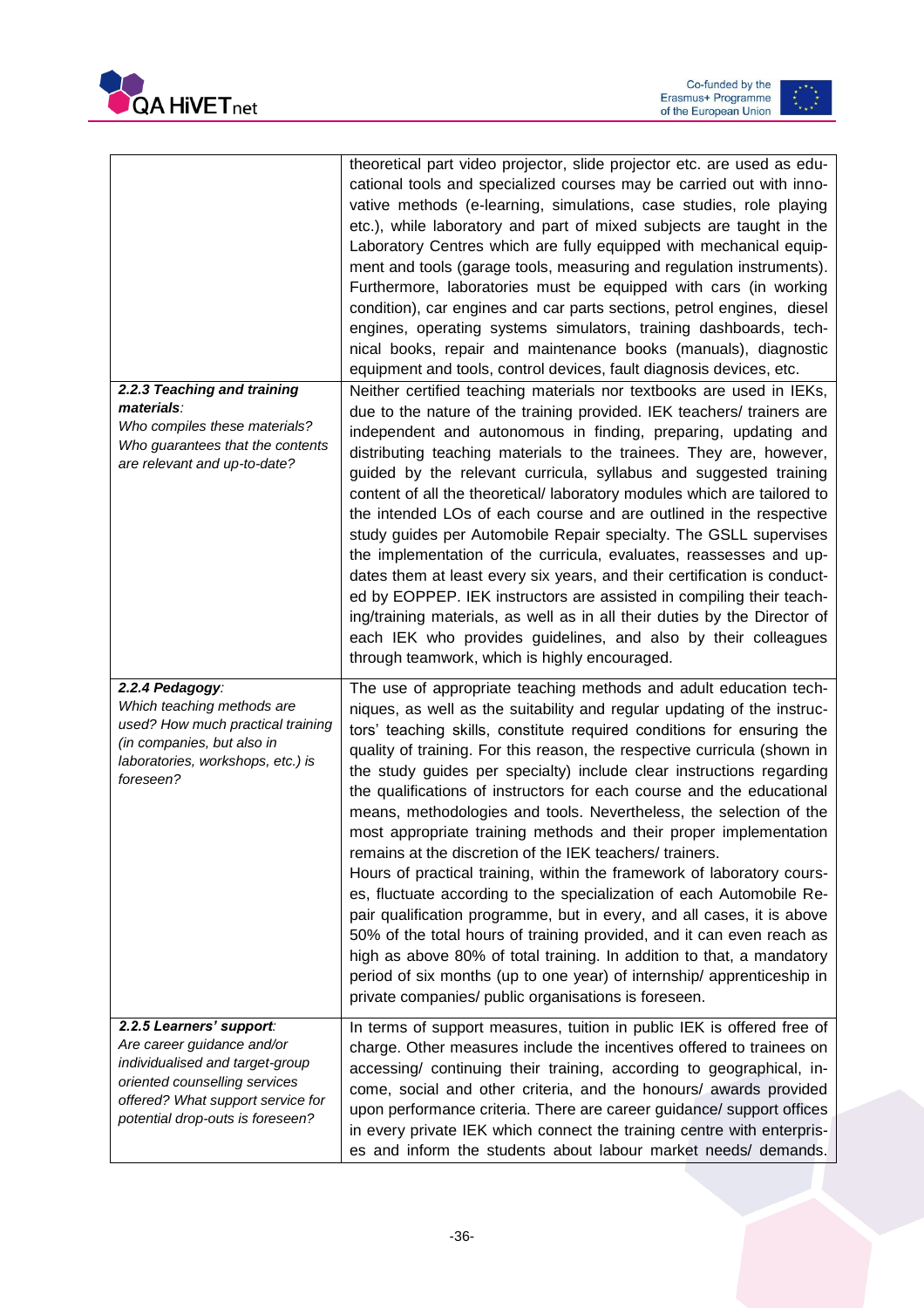



|                                                                                                                                                                                                     | theoretical part video projector, slide projector etc. are used as edu-<br>cational tools and specialized courses may be carried out with inno-<br>vative methods (e-learning, simulations, case studies, role playing<br>etc.), while laboratory and part of mixed subjects are taught in the<br>Laboratory Centres which are fully equipped with mechanical equip-<br>ment and tools (garage tools, measuring and regulation instruments).<br>Furthermore, laboratories must be equipped with cars (in working<br>condition), car engines and car parts sections, petrol engines, diesel<br>engines, operating systems simulators, training dashboards, tech-<br>nical books, repair and maintenance books (manuals), diagnostic<br>equipment and tools, control devices, fault diagnosis devices, etc.                                                                                                                                                                                                                                                                                                                                                                  |
|-----------------------------------------------------------------------------------------------------------------------------------------------------------------------------------------------------|----------------------------------------------------------------------------------------------------------------------------------------------------------------------------------------------------------------------------------------------------------------------------------------------------------------------------------------------------------------------------------------------------------------------------------------------------------------------------------------------------------------------------------------------------------------------------------------------------------------------------------------------------------------------------------------------------------------------------------------------------------------------------------------------------------------------------------------------------------------------------------------------------------------------------------------------------------------------------------------------------------------------------------------------------------------------------------------------------------------------------------------------------------------------------|
| 2.2.3 Teaching and training<br>materials:<br>Who compiles these materials?<br>Who guarantees that the contents<br>are relevant and up-to-date?                                                      | Neither certified teaching materials nor textbooks are used in IEKs,<br>due to the nature of the training provided. IEK teachers/ trainers are<br>independent and autonomous in finding, preparing, updating and<br>distributing teaching materials to the trainees. They are, however,<br>guided by the relevant curricula, syllabus and suggested training<br>content of all the theoretical/ laboratory modules which are tailored to<br>the intended LOs of each course and are outlined in the respective<br>study guides per Automobile Repair specialty. The GSLL supervises<br>the implementation of the curricula, evaluates, reassesses and up-<br>dates them at least every six years, and their certification is conduct-<br>ed by EOPPEP. IEK instructors are assisted in compiling their teach-<br>ing/training materials, as well as in all their duties by the Director of<br>each IEK who provides guidelines, and also by their colleagues<br>through teamwork, which is highly encouraged.                                                                                                                                                              |
| 2.2.4 Pedagogy:<br>Which teaching methods are<br>used? How much practical training<br>(in companies, but also in<br>laboratories, workshops, etc.) is<br>foreseen?                                  | The use of appropriate teaching methods and adult education tech-<br>niques, as well as the suitability and regular updating of the instruc-<br>tors' teaching skills, constitute required conditions for ensuring the<br>quality of training. For this reason, the respective curricula (shown in<br>the study guides per specialty) include clear instructions regarding<br>the qualifications of instructors for each course and the educational<br>means, methodologies and tools. Nevertheless, the selection of the<br>most appropriate training methods and their proper implementation<br>remains at the discretion of the IEK teachers/ trainers.<br>Hours of practical training, within the framework of laboratory cours-<br>es, fluctuate according to the specialization of each Automobile Re-<br>pair qualification programme, but in every, and all cases, it is above<br>50% of the total hours of training provided, and it can even reach as<br>high as above 80% of total training. In addition to that, a mandatory<br>period of six months (up to one year) of internship/ apprenticeship in<br>private companies/ public organisations is foreseen. |
| 2.2.5 Learners' support:<br>Are career guidance and/or<br>individualised and target-group<br>oriented counselling services<br>offered? What support service for<br>potential drop-outs is foreseen? | In terms of support measures, tuition in public IEK is offered free of<br>charge. Other measures include the incentives offered to trainees on<br>accessing/ continuing their training, according to geographical, in-<br>come, social and other criteria, and the honours/ awards provided<br>upon performance criteria. There are career guidance/ support offices<br>in every private IEK which connect the training centre with enterpris-<br>es and inform the students about labour market needs/ demands.                                                                                                                                                                                                                                                                                                                                                                                                                                                                                                                                                                                                                                                           |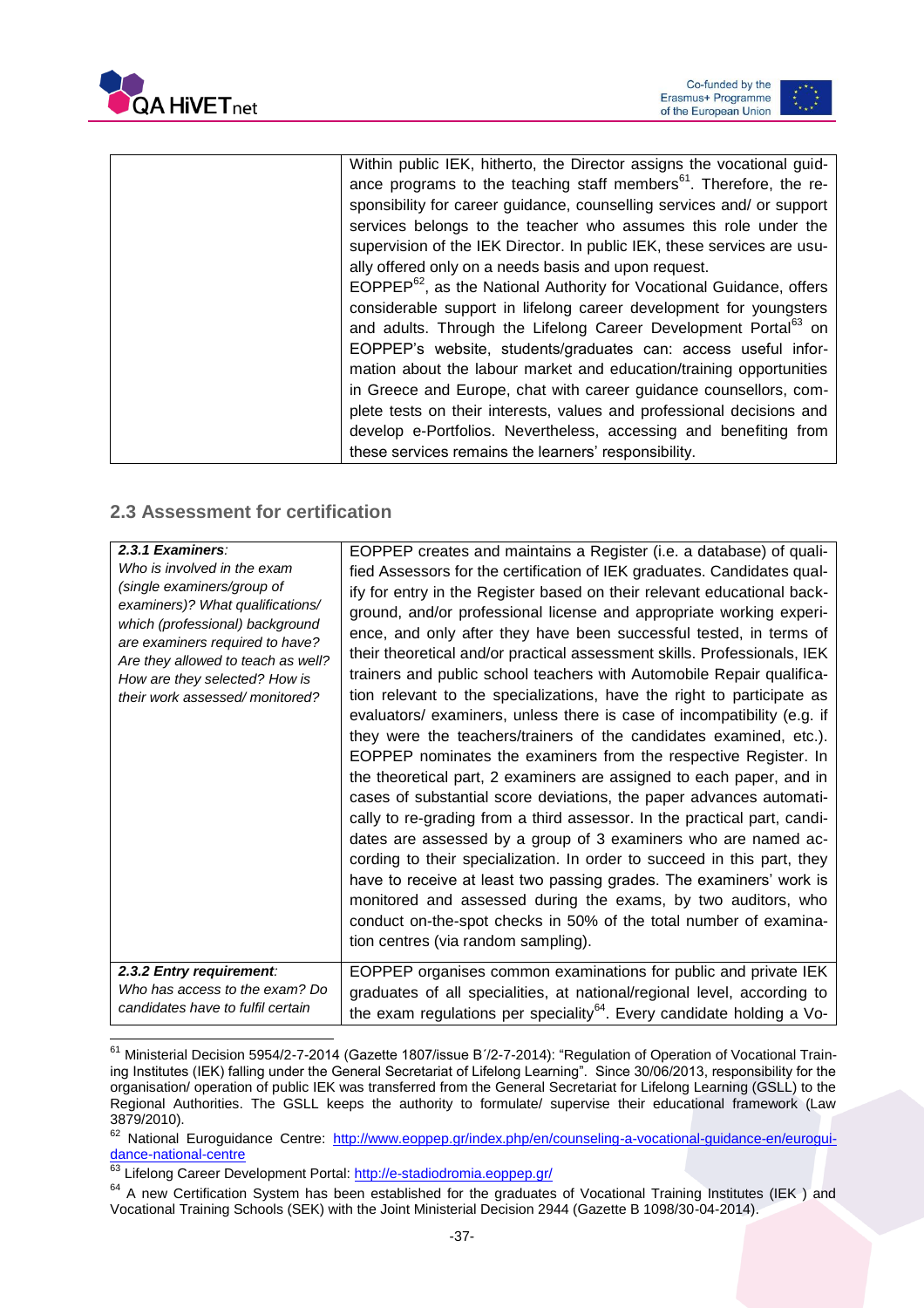



### <span id="page-37-0"></span>**2.3 Assessment for certification**

 $\overline{\phantom{a}}$ 

| 2.3.1 Examiners:<br>Who is involved in the exam<br>(single examiners/group of<br>examiners)? What qualifications/<br>which (professional) background<br>are examiners required to have?<br>Are they allowed to teach as well?<br>How are they selected? How is<br>their work assessed/monitored? | EOPPEP creates and maintains a Register (i.e. a database) of quali-<br>fied Assessors for the certification of IEK graduates. Candidates qual-<br>ify for entry in the Register based on their relevant educational back-<br>ground, and/or professional license and appropriate working experi-<br>ence, and only after they have been successful tested, in terms of<br>their theoretical and/or practical assessment skills. Professionals, IEK<br>trainers and public school teachers with Automobile Repair qualifica-<br>tion relevant to the specializations, have the right to participate as<br>evaluators/ examiners, unless there is case of incompatibility (e.g. if<br>they were the teachers/trainers of the candidates examined, etc.).<br>EOPPEP nominates the examiners from the respective Register. In<br>the theoretical part, 2 examiners are assigned to each paper, and in<br>cases of substantial score deviations, the paper advances automati-<br>cally to re-grading from a third assessor. In the practical part, candi-<br>dates are assessed by a group of 3 examiners who are named ac-<br>cording to their specialization. In order to succeed in this part, they<br>have to receive at least two passing grades. The examiners' work is<br>monitored and assessed during the exams, by two auditors, who<br>conduct on-the-spot checks in 50% of the total number of examina-<br>tion centres (via random sampling). |
|--------------------------------------------------------------------------------------------------------------------------------------------------------------------------------------------------------------------------------------------------------------------------------------------------|-------------------------------------------------------------------------------------------------------------------------------------------------------------------------------------------------------------------------------------------------------------------------------------------------------------------------------------------------------------------------------------------------------------------------------------------------------------------------------------------------------------------------------------------------------------------------------------------------------------------------------------------------------------------------------------------------------------------------------------------------------------------------------------------------------------------------------------------------------------------------------------------------------------------------------------------------------------------------------------------------------------------------------------------------------------------------------------------------------------------------------------------------------------------------------------------------------------------------------------------------------------------------------------------------------------------------------------------------------------------------------------------------------------------------------------------------------|
| 2.3.2 Entry requirement:<br>Who has access to the exam? Do<br>candidates have to fulfil certain                                                                                                                                                                                                  | EOPPEP organises common examinations for public and private IEK<br>graduates of all specialities, at national/regional level, according to<br>the exam regulations per speciality <sup>64</sup> . Every candidate holding a Vo-                                                                                                                                                                                                                                                                                                                                                                                                                                                                                                                                                                                                                                                                                                                                                                                                                                                                                                                                                                                                                                                                                                                                                                                                                       |

<sup>&</sup>lt;sup>61</sup> Ministerial Decision 5954/2-7-2014 (Gazette 1807/issue Β΄/2-7-2014): "Regulation of Operation of Vocational Training Institutes (IEK) falling under the General Secretariat of Lifelong Learning". Since 30/06/2013, responsibility for the organisation/ operation of public IEK was transferred from the General Secretariat for Lifelong Learning (GSLL) to the Regional Authorities. The GSLL keeps the authority to formulate/ supervise their educational framework (Law 3879/2010).

<sup>&</sup>lt;sup>62</sup> National Euroguidance Centre: [http://www.eoppep.gr/index.php/en/counseling-a-vocational-guidance-en/eurogui](http://www.eoppep.gr/index.php/en/counseling-a-vocational-guidance-en/euroguidance-national-centre)[dance-national-centre](http://www.eoppep.gr/index.php/en/counseling-a-vocational-guidance-en/euroguidance-national-centre)

<sup>&</sup>lt;sup>63</sup> Lifelong Career Development Portal:<http://e-stadiodromia.eoppep.gr/>

<sup>&</sup>lt;sup>64</sup> A new Certification System has been established for the graduates of Vocational Training Institutes (IEK ) and Vocational Training Schools (SEK) with the Joint Ministerial Decision 2944 (Gazette B 1098/30-04-2014).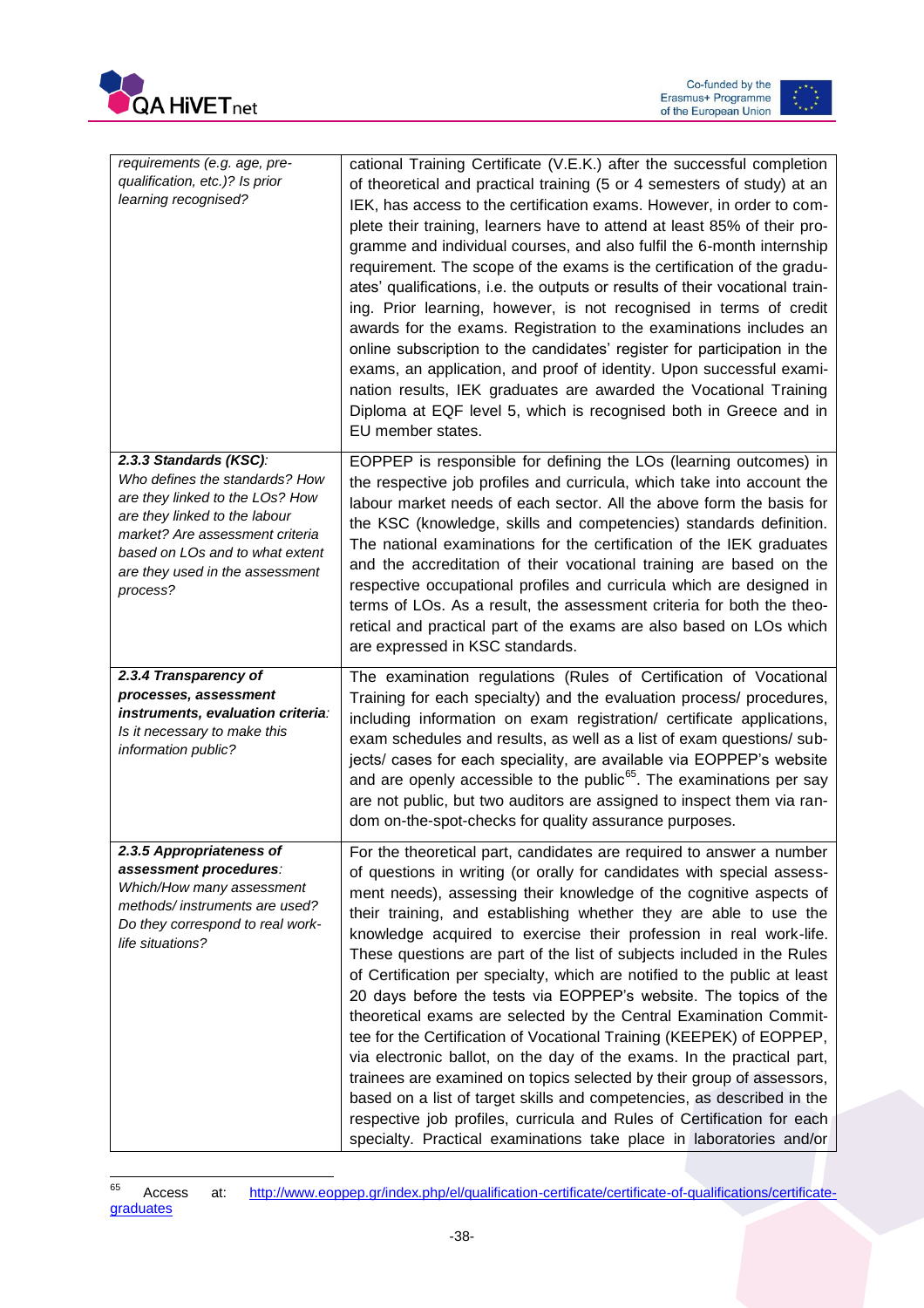



| requirements (e.g. age, pre-<br>qualification, etc.)? Is prior<br>learning recognised?                                                                                                                                                            | cational Training Certificate (V.E.K.) after the successful completion<br>of theoretical and practical training (5 or 4 semesters of study) at an<br>IEK, has access to the certification exams. However, in order to com-<br>plete their training, learners have to attend at least 85% of their pro-<br>gramme and individual courses, and also fulfil the 6-month internship<br>requirement. The scope of the exams is the certification of the gradu-<br>ates' qualifications, i.e. the outputs or results of their vocational train-<br>ing. Prior learning, however, is not recognised in terms of credit<br>awards for the exams. Registration to the examinations includes an<br>online subscription to the candidates' register for participation in the<br>exams, an application, and proof of identity. Upon successful exami-<br>nation results, IEK graduates are awarded the Vocational Training<br>Diploma at EQF level 5, which is recognised both in Greece and in<br>EU member states.                                                                                                              |
|---------------------------------------------------------------------------------------------------------------------------------------------------------------------------------------------------------------------------------------------------|-----------------------------------------------------------------------------------------------------------------------------------------------------------------------------------------------------------------------------------------------------------------------------------------------------------------------------------------------------------------------------------------------------------------------------------------------------------------------------------------------------------------------------------------------------------------------------------------------------------------------------------------------------------------------------------------------------------------------------------------------------------------------------------------------------------------------------------------------------------------------------------------------------------------------------------------------------------------------------------------------------------------------------------------------------------------------------------------------------------------------|
| 2.3.3 Standards (KSC):<br>Who defines the standards? How<br>are they linked to the LOs? How<br>are they linked to the labour<br>market? Are assessment criteria<br>based on LOs and to what extent<br>are they used in the assessment<br>process? | EOPPEP is responsible for defining the LOs (learning outcomes) in<br>the respective job profiles and curricula, which take into account the<br>labour market needs of each sector. All the above form the basis for<br>the KSC (knowledge, skills and competencies) standards definition.<br>The national examinations for the certification of the IEK graduates<br>and the accreditation of their vocational training are based on the<br>respective occupational profiles and curricula which are designed in<br>terms of LOs. As a result, the assessment criteria for both the theo-<br>retical and practical part of the exams are also based on LOs which<br>are expressed in KSC standards.                                                                                                                                                                                                                                                                                                                                                                                                                   |
| 2.3.4 Transparency of<br>processes, assessment<br>instruments, evaluation criteria:<br>Is it necessary to make this<br>information public?                                                                                                        | The examination regulations (Rules of Certification of Vocational<br>Training for each specialty) and the evaluation process/ procedures,<br>including information on exam registration/ certificate applications,<br>exam schedules and results, as well as a list of exam questions/ sub-<br>jects/ cases for each speciality, are available via EOPPEP's website<br>and are openly accessible to the public <sup>65</sup> . The examinations per say<br>are not public, but two auditors are assigned to inspect them via ran-<br>dom on-the-spot-checks for quality assurance purposes.                                                                                                                                                                                                                                                                                                                                                                                                                                                                                                                           |
| 2.3.5 Appropriateness of<br>assessment procedures:<br>Which/How many assessment<br>methods/instruments are used?<br>Do they correspond to real work-<br>life situations?                                                                          | For the theoretical part, candidates are required to answer a number<br>of questions in writing (or orally for candidates with special assess-<br>ment needs), assessing their knowledge of the cognitive aspects of<br>their training, and establishing whether they are able to use the<br>knowledge acquired to exercise their profession in real work-life.<br>These questions are part of the list of subjects included in the Rules<br>of Certification per specialty, which are notified to the public at least<br>20 days before the tests via EOPPEP's website. The topics of the<br>theoretical exams are selected by the Central Examination Commit-<br>tee for the Certification of Vocational Training (KEEPEK) of EOPPEP,<br>via electronic ballot, on the day of the exams. In the practical part,<br>trainees are examined on topics selected by their group of assessors,<br>based on a list of target skills and competencies, as described in the<br>respective job profiles, curricula and Rules of Certification for each<br>specialty. Practical examinations take place in laboratories and/or |

<sup>65</sup> Access at: [http://www.eoppep.gr/index.php/el/qualification-certificate/certificate-of-qualifications/certificate](http://www.eoppep.gr/index.php/el/qualification-certificate/certificate-of-qualifications/certificate-graduates)[graduates](http://www.eoppep.gr/index.php/el/qualification-certificate/certificate-of-qualifications/certificate-graduates)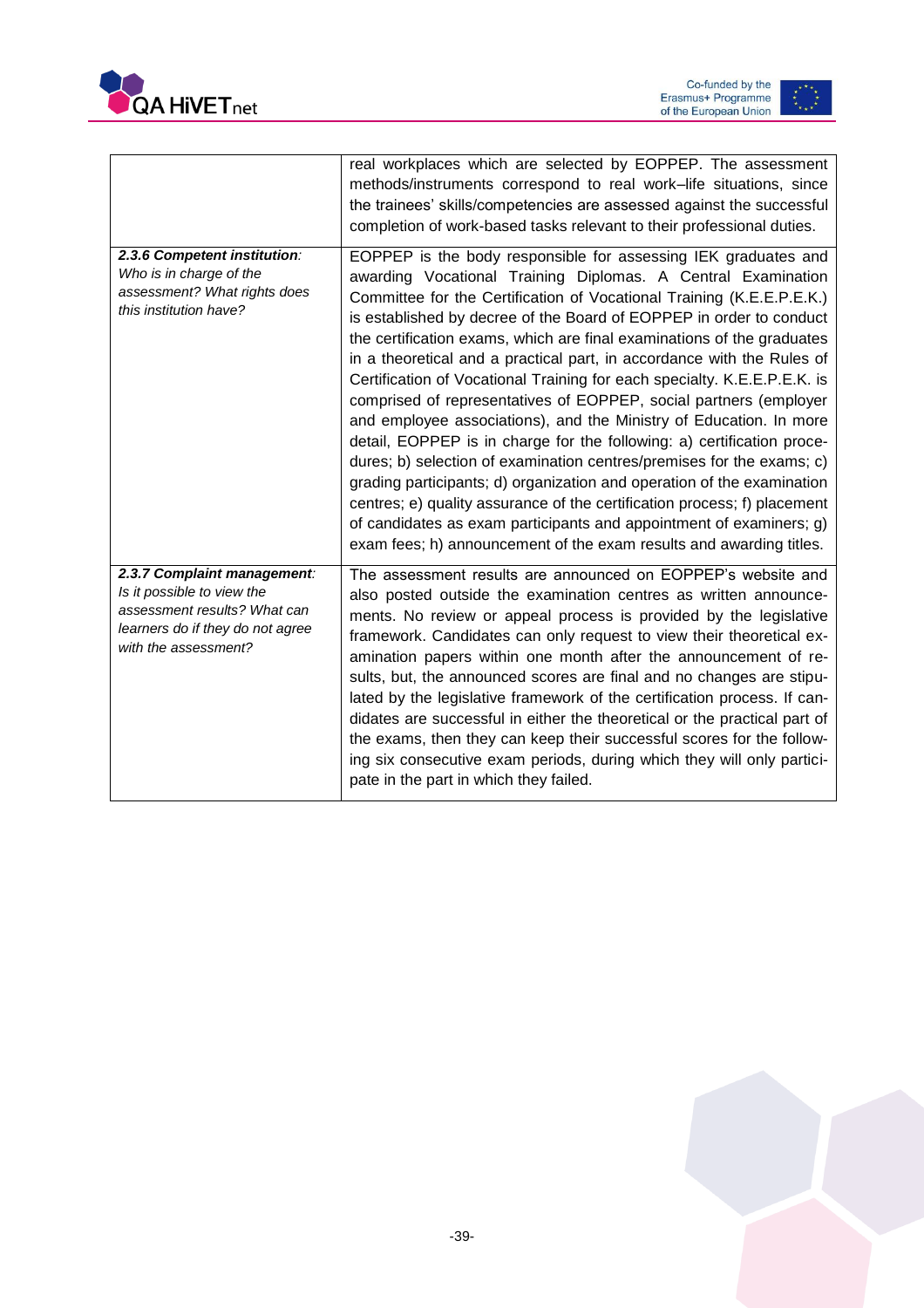



|                                                                                                                                                       | real workplaces which are selected by EOPPEP. The assessment<br>methods/instruments correspond to real work-life situations, since<br>the trainees' skills/competencies are assessed against the successful<br>completion of work-based tasks relevant to their professional duties.                                                                                                                                                                                                                                                                                                                                                                                                                                                                                                                                                                                                                                                                                                                                                                                                                             |
|-------------------------------------------------------------------------------------------------------------------------------------------------------|------------------------------------------------------------------------------------------------------------------------------------------------------------------------------------------------------------------------------------------------------------------------------------------------------------------------------------------------------------------------------------------------------------------------------------------------------------------------------------------------------------------------------------------------------------------------------------------------------------------------------------------------------------------------------------------------------------------------------------------------------------------------------------------------------------------------------------------------------------------------------------------------------------------------------------------------------------------------------------------------------------------------------------------------------------------------------------------------------------------|
| 2.3.6 Competent institution:<br>Who is in charge of the<br>assessment? What rights does<br>this institution have?                                     | EOPPEP is the body responsible for assessing IEK graduates and<br>awarding Vocational Training Diplomas. A Central Examination<br>Committee for the Certification of Vocational Training (K.E.E.P.E.K.)<br>is established by decree of the Board of EOPPEP in order to conduct<br>the certification exams, which are final examinations of the graduates<br>in a theoretical and a practical part, in accordance with the Rules of<br>Certification of Vocational Training for each specialty. K.E.E.P.E.K. is<br>comprised of representatives of EOPPEP, social partners (employer<br>and employee associations), and the Ministry of Education. In more<br>detail, EOPPEP is in charge for the following: a) certification proce-<br>dures; b) selection of examination centres/premises for the exams; c)<br>grading participants; d) organization and operation of the examination<br>centres; e) quality assurance of the certification process; f) placement<br>of candidates as exam participants and appointment of examiners; g)<br>exam fees; h) announcement of the exam results and awarding titles. |
| 2.3.7 Complaint management:<br>Is it possible to view the<br>assessment results? What can<br>learners do if they do not agree<br>with the assessment? | The assessment results are announced on EOPPEP's website and<br>also posted outside the examination centres as written announce-<br>ments. No review or appeal process is provided by the legislative<br>framework. Candidates can only request to view their theoretical ex-<br>amination papers within one month after the announcement of re-<br>sults, but, the announced scores are final and no changes are stipu-<br>lated by the legislative framework of the certification process. If can-<br>didates are successful in either the theoretical or the practical part of<br>the exams, then they can keep their successful scores for the follow-<br>ing six consecutive exam periods, during which they will only partici-<br>pate in the part in which they failed.                                                                                                                                                                                                                                                                                                                                   |

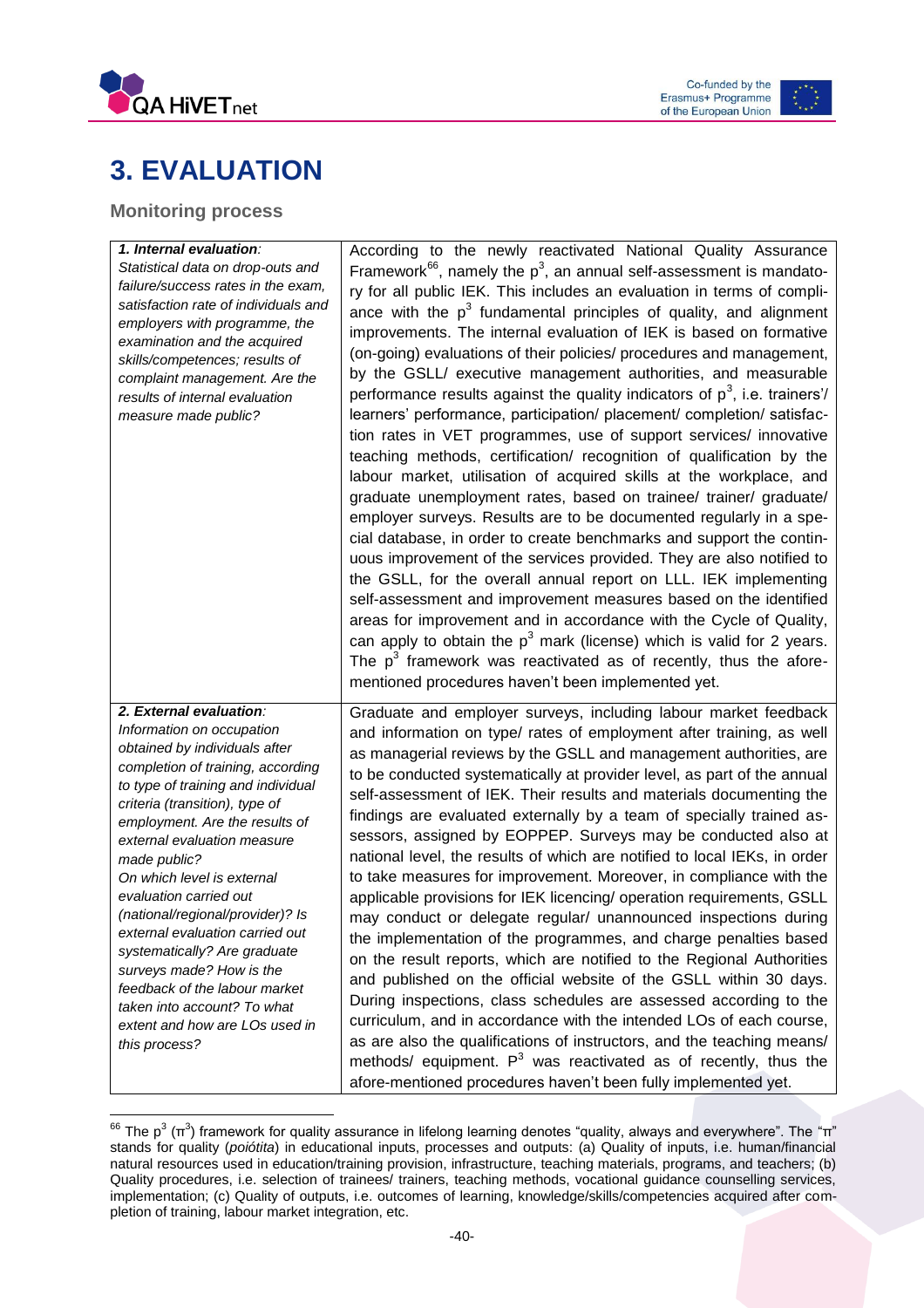



# <span id="page-40-0"></span>**3. EVALUATION**

### <span id="page-40-1"></span>**Monitoring process**

 $\overline{\phantom{a}}$ 

| 1. Internal evaluation:              | According to the newly reactivated National Quality Assurance                                                                        |
|--------------------------------------|--------------------------------------------------------------------------------------------------------------------------------------|
| Statistical data on drop-outs and    | Framework <sup>66</sup> , namely the $p^3$ , an annual self-assessment is mandato-                                                   |
| failure/success rates in the exam,   | ry for all public IEK. This includes an evaluation in terms of compli-                                                               |
| satisfaction rate of individuals and | ance with the $p3$ fundamental principles of quality, and alignment                                                                  |
| employers with programme, the        | improvements. The internal evaluation of IEK is based on formative                                                                   |
| examination and the acquired         |                                                                                                                                      |
| skills/competences; results of       | (on-going) evaluations of their policies/ procedures and management,                                                                 |
| complaint management. Are the        | by the GSLL/ executive management authorities, and measurable                                                                        |
| results of internal evaluation       | performance results against the quality indicators of $p^3$ , i.e. trainers'/                                                        |
| measure made public?                 | learners' performance, participation/ placement/ completion/ satisfac-                                                               |
|                                      | tion rates in VET programmes, use of support services/ innovative                                                                    |
|                                      | teaching methods, certification/ recognition of qualification by the                                                                 |
|                                      | labour market, utilisation of acquired skills at the workplace, and                                                                  |
|                                      | graduate unemployment rates, based on trainee/ trainer/ graduate/                                                                    |
|                                      |                                                                                                                                      |
|                                      | employer surveys. Results are to be documented regularly in a spe-                                                                   |
|                                      | cial database, in order to create benchmarks and support the contin-                                                                 |
|                                      | uous improvement of the services provided. They are also notified to                                                                 |
|                                      | the GSLL, for the overall annual report on LLL. IEK implementing                                                                     |
|                                      | self-assessment and improvement measures based on the identified                                                                     |
|                                      | areas for improvement and in accordance with the Cycle of Quality,                                                                   |
|                                      | can apply to obtain the $p^3$ mark (license) which is valid for 2 years.                                                             |
|                                      | The $p3$ framework was reactivated as of recently, thus the afore-                                                                   |
|                                      | mentioned procedures haven't been implemented yet.                                                                                   |
|                                      |                                                                                                                                      |
|                                      |                                                                                                                                      |
| 2. External evaluation:              | Graduate and employer surveys, including labour market feedback                                                                      |
| Information on occupation            | and information on type/ rates of employment after training, as well                                                                 |
| obtained by individuals after        | as managerial reviews by the GSLL and management authorities, are                                                                    |
| completion of training, according    | to be conducted systematically at provider level, as part of the annual                                                              |
| to type of training and individual   |                                                                                                                                      |
| criteria (transition), type of       | self-assessment of IEK. Their results and materials documenting the                                                                  |
| employment. Are the results of       | findings are evaluated externally by a team of specially trained as-                                                                 |
| external evaluation measure          | sessors, assigned by EOPPEP. Surveys may be conducted also at                                                                        |
| made public?                         | national level, the results of which are notified to local IEKs, in order                                                            |
| On which level is external           | to take measures for improvement. Moreover, in compliance with the                                                                   |
| evaluation carried out               | applicable provisions for IEK licencing/ operation requirements, GSLL                                                                |
| (national/regional/provider)? Is     | may conduct or delegate regular/ unannounced inspections during                                                                      |
| external evaluation carried out      | the implementation of the programmes, and charge penalties based                                                                     |
| systematically? Are graduate         | on the result reports, which are notified to the Regional Authorities                                                                |
| surveys made? How is the             | and published on the official website of the GSLL within 30 days.                                                                    |
| feedback of the labour market        |                                                                                                                                      |
| taken into account? To what          | During inspections, class schedules are assessed according to the                                                                    |
| extent and how are LOs used in       | curriculum, and in accordance with the intended LOs of each course,                                                                  |
| this process?                        | as are also the qualifications of instructors, and the teaching means/                                                               |
|                                      | methods/ equipment. $P^3$ was reactivated as of recently, thus the<br>afore-mentioned procedures haven't been fully implemented yet. |

<sup>&</sup>lt;sup>66</sup> The p $^3$  (π $^3$ ) framework for quality assurance in lifelong learning denotes "quality, always and everywhere". The "π" stands for quality (*poiótita*) in educational inputs, processes and outputs: (a) Quality of inputs, i.e. human/financial natural resources used in education/training provision, infrastructure, teaching materials, programs, and teachers; (b) Quality procedures, i.e. selection of trainees/ trainers, teaching methods, vocational guidance counselling services, implementation; (c) Quality of outputs, i.e. outcomes of learning, knowledge/skills/competencies acquired after completion of training, labour market integration, etc.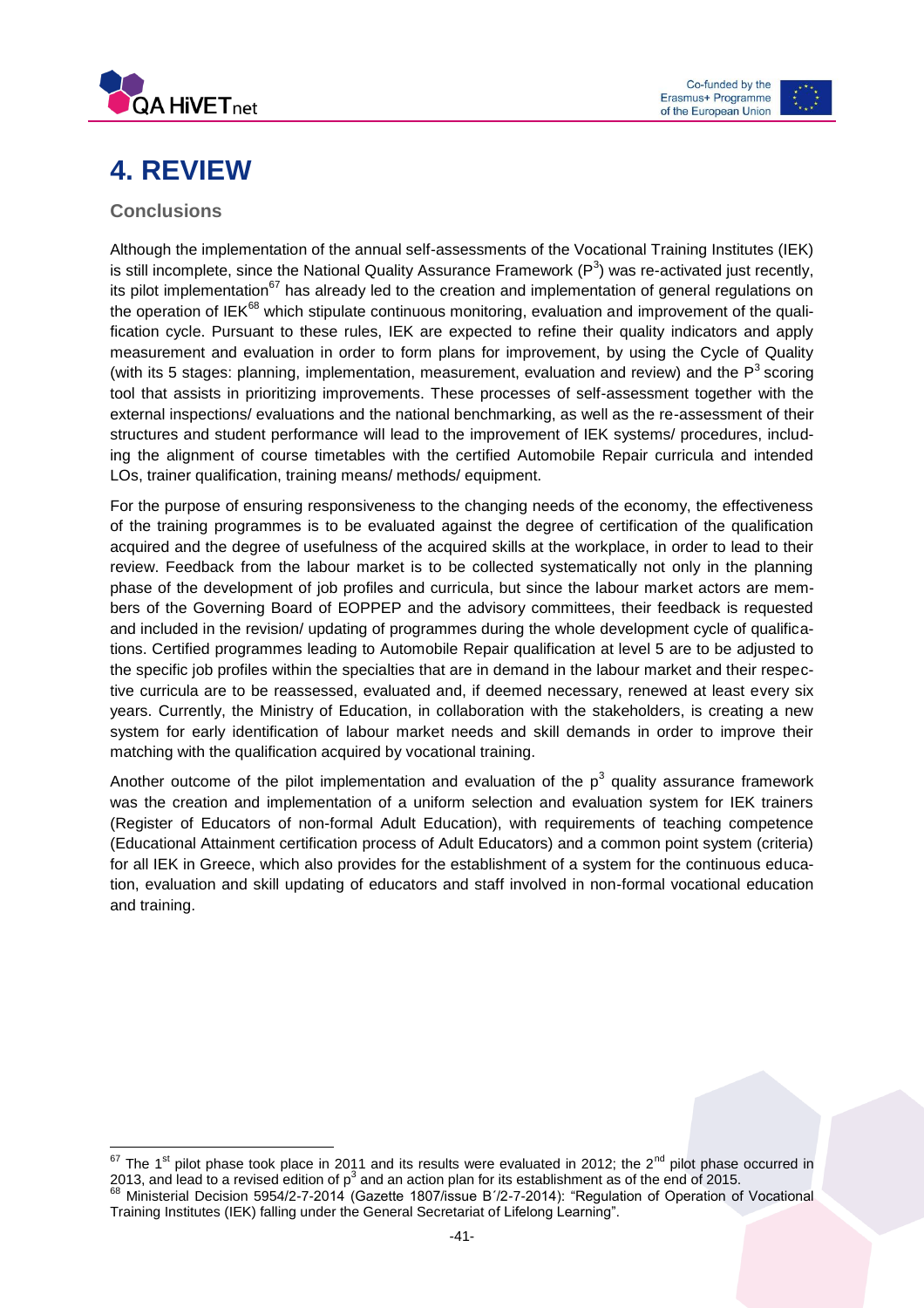



# <span id="page-41-0"></span>**4. REVIEW**

### <span id="page-41-1"></span>**Conclusions**

Although the implementation of the annual self-assessments of the Vocational Training Institutes (IEK) is still incomplete, since the National Quality Assurance Framework (P<sup>3</sup>) was re-activated just recently, its pilot implementation<sup>67</sup> has already led to the creation and implementation of general regulations on the operation of IEK $^{68}$  which stipulate continuous monitoring, evaluation and improvement of the qualification cycle. Pursuant to these rules, IEK are expected to refine their quality indicators and apply measurement and evaluation in order to form plans for improvement, by using the Cycle of Quality (with its 5 stages: planning, implementation, measurement, evaluation and review) and the  $P<sup>3</sup>$  scoring tool that assists in prioritizing improvements. These processes of self-assessment together with the external inspections/ evaluations and the national benchmarking, as well as the re-assessment of their structures and student performance will lead to the improvement of IEK systems/ procedures, including the alignment of course timetables with the certified Automobile Repair curricula and intended LOs, trainer qualification, training means/ methods/ equipment.

For the purpose of ensuring responsiveness to the changing needs of the economy, the effectiveness of the training programmes is to be evaluated against the degree of certification of the qualification acquired and the degree of usefulness of the acquired skills at the workplace, in order to lead to their review. Feedback from the labour market is to be collected systematically not only in the planning phase of the development of job profiles and curricula, but since the labour market actors are members of the Governing Board of EOPPEP and the advisory committees, their feedback is requested and included in the revision/ updating of programmes during the whole development cycle of qualifications. Certified programmes leading to Automobile Repair qualification at level 5 are to be adjusted to the specific job profiles within the specialties that are in demand in the labour market and their respective curricula are to be reassessed, evaluated and, if deemed necessary, renewed at least every six years. Currently, the Ministry of Education, in collaboration with the stakeholders, is creating a new system for early identification of labour market needs and skill demands in order to improve their matching with the qualification acquired by vocational training.

Another outcome of the pilot implementation and evaluation of the  $p^3$  quality assurance framework was the creation and implementation of a uniform selection and evaluation system for IEK trainers (Register of Educators of non-formal Adult Education), with requirements of teaching competence (Educational Attainment certification process of Adult Educators) and a common point system (criteria) for all IEK in Greece, which also provides for the establishment of a system for the continuous education, evaluation and skill updating of educators and staff involved in non-formal vocational education and training.

 $\overline{\phantom{a}}$  $^{67}$  The 1<sup>st</sup> pilot phase took place in 2011 and its results were evaluated in 2012; the 2<sup>nd</sup> pilot phase occurred in 2013, and lead to a revised edition of p<sup>3</sup> and an action plan for its establishment as of the end of 2015. <sup>68</sup> Ministerial Decision 5954/2-7-2014 (Gazette 1807/issue Β΄/2-7-2014): "Regulation of Operation of Vocational

Training Institutes (IEK) falling under the General Secretariat of Lifelong Learning".